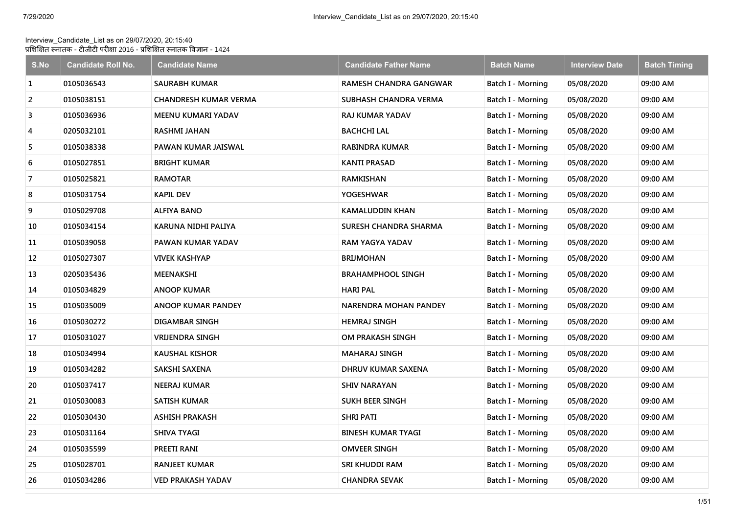## Interview\_Candidate\_List as on 29/07/2020, 20:15:40 प्रशिक्षित स्नातक - टीजीटी परीक्षा 2016 - प्रशिक्षित स्नातक विज्ञान - 1424

| S.No           | <b>Candidate Roll No.</b> | <b>Candidate Name</b>        | <b>Candidate Father Name</b>  | <b>Batch Name</b>        | <b>Interview Date</b> | <b>Batch Timing</b> |
|----------------|---------------------------|------------------------------|-------------------------------|--------------------------|-----------------------|---------------------|
| 1              | 0105036543                | <b>SAURABH KUMAR</b>         | <b>RAMESH CHANDRA GANGWAR</b> | Batch I - Morning        | 05/08/2020            | 09:00 AM            |
| $\overline{2}$ | 0105038151                | <b>CHANDRESH KUMAR VERMA</b> | SUBHASH CHANDRA VERMA         | Batch I - Morning        | 05/08/2020            | 09:00 AM            |
| 3              | 0105036936                | MEENU KUMARI YADAV           | <b>RAJ KUMAR YADAV</b>        | Batch I - Morning        | 05/08/2020            | 09:00 AM            |
| 4              | 0205032101                | <b>RASHMI JAHAN</b>          | <b>BACHCHI LAL</b>            | Batch I - Morning        | 05/08/2020            | 09:00 AM            |
| 5              | 0105038338                | PAWAN KUMAR JAISWAL          | <b>RABINDRA KUMAR</b>         | Batch I - Morning        | 05/08/2020            | 09:00 AM            |
| 6              | 0105027851                | <b>BRIGHT KUMAR</b>          | <b>KANTI PRASAD</b>           | Batch I - Morning        | 05/08/2020            | 09:00 AM            |
| 7              | 0105025821                | <b>RAMOTAR</b>               | RAMKISHAN                     | <b>Batch I - Morning</b> | 05/08/2020            | 09:00 AM            |
| 8              | 0105031754                | <b>KAPIL DEV</b>             | <b>YOGESHWAR</b>              | Batch I - Morning        | 05/08/2020            | 09:00 AM            |
| 9              | 0105029708                | ALFIYA BANO                  | <b>KAMALUDDIN KHAN</b>        | <b>Batch I - Morning</b> | 05/08/2020            | 09:00 AM            |
| 10             | 0105034154                | KARUNA NIDHI PALIYA          | <b>SURESH CHANDRA SHARMA</b>  | Batch I - Morning        | 05/08/2020            | 09:00 AM            |
| 11             | 0105039058                | PAWAN KUMAR YADAV            | RAM YAGYA YADAV               | Batch I - Morning        | 05/08/2020            | 09:00 AM            |
| 12             | 0105027307                | VIVEK KASHYAP                | <b>BRIJMOHAN</b>              | Batch I - Morning        | 05/08/2020            | 09:00 AM            |
| 13             | 0205035436                | MEENAKSHI                    | <b>BRAHAMPHOOL SINGH</b>      | Batch I - Morning        | 05/08/2020            | 09:00 AM            |
| 14             | 0105034829                | <b>ANOOP KUMAR</b>           | <b>HARI PAL</b>               | Batch I - Morning        | 05/08/2020            | 09:00 AM            |
| 15             | 0105035009                | <b>ANOOP KUMAR PANDEY</b>    | <b>NARENDRA MOHAN PANDEY</b>  | Batch I - Morning        | 05/08/2020            | 09:00 AM            |
| 16             | 0105030272                | DIGAMBAR SINGH               | <b>HEMRAJ SINGH</b>           | Batch I - Morning        | 05/08/2020            | 09:00 AM            |
| 17             | 0105031027                | <b>VRIJENDRA SINGH</b>       | OM PRAKASH SINGH              | Batch I - Morning        | 05/08/2020            | 09:00 AM            |
| 18             | 0105034994                | KAUSHAL KISHOR               | <b>MAHARAJ SINGH</b>          | <b>Batch I - Morning</b> | 05/08/2020            | 09:00 AM            |
| 19             | 0105034282                | SAKSHI SAXENA                | DHRUV KUMAR SAXENA            | Batch I - Morning        | 05/08/2020            | 09:00 AM            |
| 20             | 0105037417                | NEERAJ KUMAR                 | <b>SHIV NARAYAN</b>           | Batch I - Morning        | 05/08/2020            | 09:00 AM            |
| 21             | 0105030083                | <b>SATISH KUMAR</b>          | SUKH BEER SINGH               | Batch I - Morning        | 05/08/2020            | 09:00 AM            |
| 22             | 0105030430                | <b>ASHISH PRAKASH</b>        | <b>SHRI PATI</b>              | Batch I - Morning        | 05/08/2020            | 09:00 AM            |
| 23             | 0105031164                | SHIVA TYAGI                  | <b>BINESH KUMAR TYAGI</b>     | Batch I - Morning        | 05/08/2020            | 09:00 AM            |
| 24             | 0105035599                | PREETI RANI                  | <b>OMVEER SINGH</b>           | Batch I - Morning        | 05/08/2020            | 09:00 AM            |
| 25             | 0105028701                | <b>RANJEET KUMAR</b>         | SRI KHUDDI RAM                | Batch I - Morning        | 05/08/2020            | 09:00 AM            |
| 26             | 0105034286                | <b>VED PRAKASH YADAV</b>     | <b>CHANDRA SEVAK</b>          | Batch I - Morning        | 05/08/2020            | 09:00 AM            |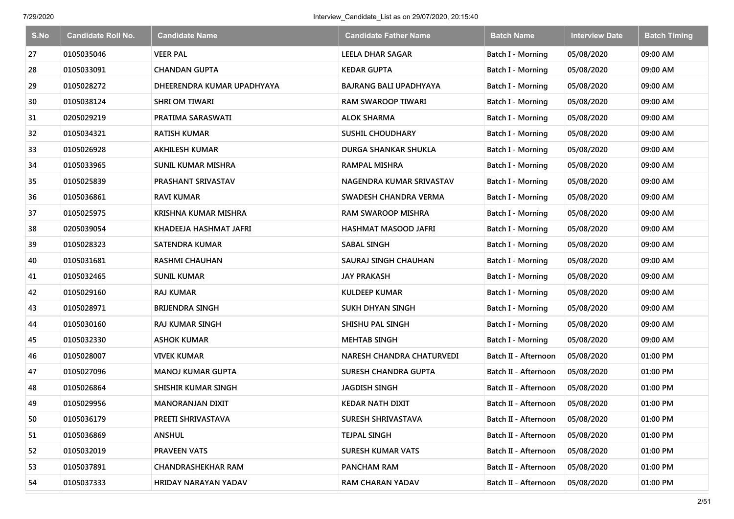| S.No | <b>Candidate Roll No.</b> | <b>Candidate Name</b>       | <b>Candidate Father Name</b>  | <b>Batch Name</b>        | <b>Interview Date</b> | <b>Batch Timing</b> |
|------|---------------------------|-----------------------------|-------------------------------|--------------------------|-----------------------|---------------------|
| 27   | 0105035046                | <b>VEER PAL</b>             | <b>LEELA DHAR SAGAR</b>       | Batch I - Morning        | 05/08/2020            | 09:00 AM            |
| 28   | 0105033091                | <b>CHANDAN GUPTA</b>        | <b>KEDAR GUPTA</b>            | Batch I - Morning        | 05/08/2020            | 09:00 AM            |
| 29   | 0105028272                | DHEERENDRA KUMAR UPADHYAYA  | <b>BAJRANG BALI UPADHYAYA</b> | Batch I - Morning        | 05/08/2020            | 09:00 AM            |
| 30   | 0105038124                | <b>SHRI OM TIWARI</b>       | <b>RAM SWAROOP TIWARI</b>     | Batch I - Morning        | 05/08/2020            | 09:00 AM            |
| 31   | 0205029219                | PRATIMA SARASWATI           | <b>ALOK SHARMA</b>            | Batch I - Morning        | 05/08/2020            | 09:00 AM            |
| 32   | 0105034321                | <b>RATISH KUMAR</b>         | <b>SUSHIL CHOUDHARY</b>       | <b>Batch I - Morning</b> | 05/08/2020            | 09:00 AM            |
| 33   | 0105026928                | <b>AKHILESH KUMAR</b>       | <b>DURGA SHANKAR SHUKLA</b>   | Batch I - Morning        | 05/08/2020            | 09:00 AM            |
| 34   | 0105033965                | <b>SUNIL KUMAR MISHRA</b>   | <b>RAMPAL MISHRA</b>          | <b>Batch I - Morning</b> | 05/08/2020            | 09:00 AM            |
| 35   | 0105025839                | PRASHANT SRIVASTAV          | NAGENDRA KUMAR SRIVASTAV      | Batch I - Morning        | 05/08/2020            | 09:00 AM            |
| 36   | 0105036861                | <b>RAVI KUMAR</b>           | SWADESH CHANDRA VERMA         | Batch I - Morning        | 05/08/2020            | 09:00 AM            |
| 37   | 0105025975                | <b>KRISHNA KUMAR MISHRA</b> | RAM SWAROOP MISHRA            | Batch I - Morning        | 05/08/2020            | 09:00 AM            |
| 38   | 0205039054                | KHADEEJA HASHMAT JAFRI      | HASHMAT MASOOD JAFRI          | Batch I - Morning        | 05/08/2020            | 09:00 AM            |
| 39   | 0105028323                | <b>SATENDRA KUMAR</b>       | <b>SABAL SINGH</b>            | Batch I - Morning        | 05/08/2020            | 09:00 AM            |
| 40   | 0105031681                | <b>RASHMI CHAUHAN</b>       | SAURAJ SINGH CHAUHAN          | <b>Batch I - Morning</b> | 05/08/2020            | 09:00 AM            |
| 41   | 0105032465                | <b>SUNIL KUMAR</b>          | <b>JAY PRAKASH</b>            | Batch I - Morning        | 05/08/2020            | 09:00 AM            |
| 42   | 0105029160                | <b>RAJ KUMAR</b>            | <b>KULDEEP KUMAR</b>          | Batch I - Morning        | 05/08/2020            | 09:00 AM            |
| 43   | 0105028971                | <b>BRIJENDRA SINGH</b>      | <b>SUKH DHYAN SINGH</b>       | Batch I - Morning        | 05/08/2020            | 09:00 AM            |
| 44   | 0105030160                | <b>RAJ KUMAR SINGH</b>      | SHISHU PAL SINGH              | Batch I - Morning        | 05/08/2020            | 09:00 AM            |
| 45   | 0105032330                | <b>ASHOK KUMAR</b>          | <b>MEHTAB SINGH</b>           | Batch I - Morning        | 05/08/2020            | 09:00 AM            |
| 46   | 0105028007                | VIVEK KUMAR                 | NARESH CHANDRA CHATURVEDI     | Batch II - Afternoon     | 05/08/2020            | 01:00 PM            |
| 47   | 0105027096                | <b>MANOJ KUMAR GUPTA</b>    | <b>SURESH CHANDRA GUPTA</b>   | Batch II - Afternoon     | 05/08/2020            | 01:00 PM            |
| 48   | 0105026864                | SHISHIR KUMAR SINGH         | <b>JAGDISH SINGH</b>          | Batch II - Afternoon     | 05/08/2020            | 01:00 PM            |
| 49   | 0105029956                | <b>MANORANJAN DIXIT</b>     | <b>KEDAR NATH DIXIT</b>       | Batch II - Afternoon     | 05/08/2020            | 01:00 PM            |
| 50   | 0105036179                | PREETI SHRIVASTAVA          | SURESH SHRIVASTAVA            | Batch II - Afternoon     | 05/08/2020            | 01:00 PM            |
| 51   | 0105036869                | <b>ANSHUL</b>               | <b>TEJPAL SINGH</b>           | Batch II - Afternoon     | 05/08/2020            | 01:00 PM            |
| 52   | 0105032019                | <b>PRAVEEN VATS</b>         | <b>SURESH KUMAR VATS</b>      | Batch II - Afternoon     | 05/08/2020            | 01:00 PM            |
| 53   | 0105037891                | <b>CHANDRASHEKHAR RAM</b>   | <b>PANCHAM RAM</b>            | Batch II - Afternoon     | 05/08/2020            | 01:00 PM            |
| 54   | 0105037333                | HRIDAY NARAYAN YADAV        | RAM CHARAN YADAV              | Batch II - Afternoon     | 05/08/2020            | 01:00 PM            |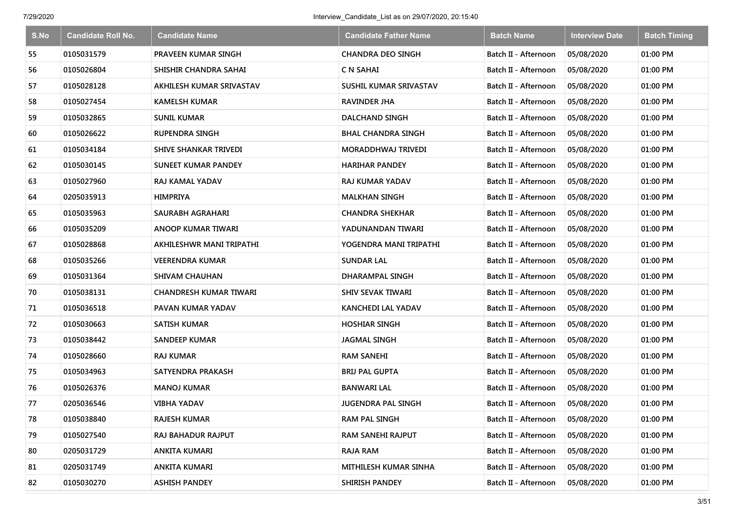| S.No | <b>Candidate Roll No.</b> | <b>Candidate Name</b>         | <b>Candidate Father Name</b> | <b>Batch Name</b>    | <b>Interview Date</b> | <b>Batch Timing</b> |
|------|---------------------------|-------------------------------|------------------------------|----------------------|-----------------------|---------------------|
| 55   | 0105031579                | PRAVEEN KUMAR SINGH           | <b>CHANDRA DEO SINGH</b>     | Batch II - Afternoon | 05/08/2020            | 01:00 PM            |
| 56   | 0105026804                | SHISHIR CHANDRA SAHAI         | C N SAHAI                    | Batch II - Afternoon | 05/08/2020            | 01:00 PM            |
| 57   | 0105028128                | AKHILESH KUMAR SRIVASTAV      | SUSHIL KUMAR SRIVASTAV       | Batch II - Afternoon | 05/08/2020            | 01:00 PM            |
| 58   | 0105027454                | <b>KAMELSH KUMAR</b>          | RAVINDER JHA                 | Batch II - Afternoon | 05/08/2020            | 01:00 PM            |
| 59   | 0105032865                | <b>SUNIL KUMAR</b>            | <b>DALCHAND SINGH</b>        | Batch II - Afternoon | 05/08/2020            | 01:00 PM            |
| 60   | 0105026622                | <b>RUPENDRA SINGH</b>         | <b>BHAL CHANDRA SINGH</b>    | Batch II - Afternoon | 05/08/2020            | 01:00 PM            |
| 61   | 0105034184                | <b>SHIVE SHANKAR TRIVEDI</b>  | <b>MORADDHWAJ TRIVEDI</b>    | Batch II - Afternoon | 05/08/2020            | 01:00 PM            |
| 62   | 0105030145                | <b>SUNEET KUMAR PANDEY</b>    | <b>HARIHAR PANDEY</b>        | Batch II - Afternoon | 05/08/2020            | 01:00 PM            |
| 63   | 0105027960                | RAJ KAMAL YADAV               | <b>RAJ KUMAR YADAV</b>       | Batch II - Afternoon | 05/08/2020            | 01:00 PM            |
| 64   | 0205035913                | <b>HIMPRIYA</b>               | <b>MALKHAN SINGH</b>         | Batch II - Afternoon | 05/08/2020            | 01:00 PM            |
| 65   | 0105035963                | SAURABH AGRAHARI              | <b>CHANDRA SHEKHAR</b>       | Batch II - Afternoon | 05/08/2020            | 01:00 PM            |
| 66   | 0105035209                | ANOOP KUMAR TIWARI            | YADUNANDAN TIWARI            | Batch II - Afternoon | 05/08/2020            | 01:00 PM            |
| 67   | 0105028868                | AKHILESHWR MANI TRIPATHI      | YOGENDRA MANI TRIPATHI       | Batch II - Afternoon | 05/08/2020            | 01:00 PM            |
| 68   | 0105035266                | <b>VEERENDRA KUMAR</b>        | SUNDAR LAL                   | Batch II - Afternoon | 05/08/2020            | 01:00 PM            |
| 69   | 0105031364                | <b>SHIVAM CHAUHAN</b>         | <b>DHARAMPAL SINGH</b>       | Batch II - Afternoon | 05/08/2020            | 01:00 PM            |
| 70   | 0105038131                | <b>CHANDRESH KUMAR TIWARI</b> | <b>SHIV SEVAK TIWARI</b>     | Batch II - Afternoon | 05/08/2020            | 01:00 PM            |
| 71   | 0105036518                | PAVAN KUMAR YADAV             | KANCHEDI LAL YADAV           | Batch II - Afternoon | 05/08/2020            | 01:00 PM            |
| 72   | 0105030663                | <b>SATISH KUMAR</b>           | <b>HOSHIAR SINGH</b>         | Batch II - Afternoon | 05/08/2020            | 01:00 PM            |
| 73   | 0105038442                | <b>SANDEEP KUMAR</b>          | <b>JAGMAL SINGH</b>          | Batch II - Afternoon | 05/08/2020            | 01:00 PM            |
| 74   | 0105028660                | <b>RAJ KUMAR</b>              | <b>RAM SANEHI</b>            | Batch II - Afternoon | 05/08/2020            | 01:00 PM            |
| 75   | 0105034963                | SATYENDRA PRAKASH             | <b>BRIJ PAL GUPTA</b>        | Batch II - Afternoon | 05/08/2020            | 01:00 PM            |
| 76   | 0105026376                | <b>MANOJ KUMAR</b>            | <b>BANWARI LAL</b>           | Batch II - Afternoon | 05/08/2020            | 01:00 PM            |
| 77   | 0205036546                | VIBHA YADAV                   | <b>JUGENDRA PAL SINGH</b>    | Batch II - Afternoon | 05/08/2020            | 01:00 PM            |
| 78   | 0105038840                | <b>RAJESH KUMAR</b>           | <b>RAM PAL SINGH</b>         | Batch II - Afternoon | 05/08/2020            | 01:00 PM            |
| 79   | 0105027540                | <b>RAJ BAHADUR RAJPUT</b>     | <b>RAM SANEHI RAJPUT</b>     | Batch II - Afternoon | 05/08/2020            | 01:00 PM            |
| 80   | 0205031729                | <b>ANKITA KUMARI</b>          | <b>RAJA RAM</b>              | Batch II - Afternoon | 05/08/2020            | 01:00 PM            |
| 81   | 0205031749                | ANKITA KUMARI                 | MITHILESH KUMAR SINHA        | Batch II - Afternoon | 05/08/2020            | 01:00 PM            |
| 82   | 0105030270                | <b>ASHISH PANDEY</b>          | SHIRISH PANDEY               | Batch II - Afternoon | 05/08/2020            | 01:00 PM            |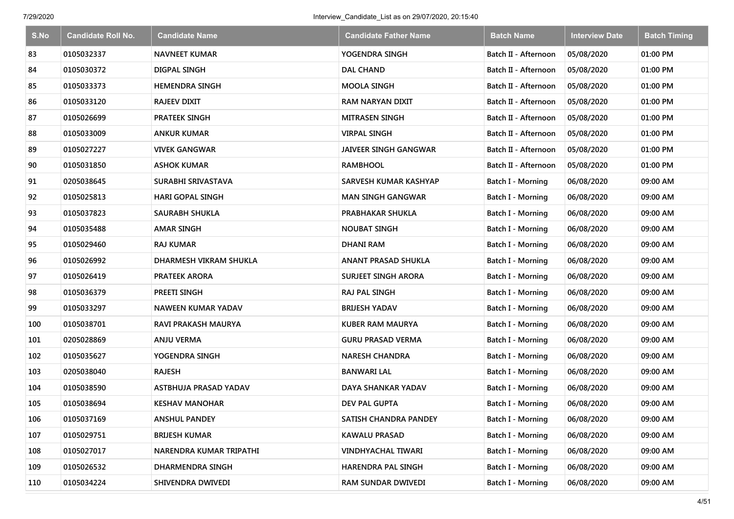| S.No | <b>Candidate Roll No.</b> | <b>Candidate Name</b>      | <b>Candidate Father Name</b> | <b>Batch Name</b>        | <b>Interview Date</b> | <b>Batch Timing</b> |
|------|---------------------------|----------------------------|------------------------------|--------------------------|-----------------------|---------------------|
| 83   | 0105032337                | <b>NAVNEET KUMAR</b>       | YOGENDRA SINGH               | Batch II - Afternoon     | 05/08/2020            | 01:00 PM            |
| 84   | 0105030372                | DIGPAL SINGH               | <b>DAL CHAND</b>             | Batch II - Afternoon     | 05/08/2020            | 01:00 PM            |
| 85   | 0105033373                | <b>HEMENDRA SINGH</b>      | <b>MOOLA SINGH</b>           | Batch II - Afternoon     | 05/08/2020            | 01:00 PM            |
| 86   | 0105033120                | <b>RAJEEV DIXIT</b>        | <b>RAM NARYAN DIXIT</b>      | Batch II - Afternoon     | 05/08/2020            | 01:00 PM            |
| 87   | 0105026699                | <b>PRATEEK SINGH</b>       | <b>MITRASEN SINGH</b>        | Batch II - Afternoon     | 05/08/2020            | 01:00 PM            |
| 88   | 0105033009                | <b>ANKUR KUMAR</b>         | <b>VIRPAL SINGH</b>          | Batch II - Afternoon     | 05/08/2020            | 01:00 PM            |
| 89   | 0105027227                | <b>VIVEK GANGWAR</b>       | <b>JAIVEER SINGH GANGWAR</b> | Batch II - Afternoon     | 05/08/2020            | 01:00 PM            |
| 90   | 0105031850                | <b>ASHOK KUMAR</b>         | <b>RAMBHOOL</b>              | Batch II - Afternoon     | 05/08/2020            | 01:00 PM            |
| 91   | 0205038645                | SURABHI SRIVASTAVA         | SARVESH KUMAR KASHYAP        | <b>Batch I - Morning</b> | 06/08/2020            | 09:00 AM            |
| 92   | 0105025813                | <b>HARI GOPAL SINGH</b>    | <b>MAN SINGH GANGWAR</b>     | Batch I - Morning        | 06/08/2020            | 09:00 AM            |
| 93   | 0105037823                | <b>SAURABH SHUKLA</b>      | PRABHAKAR SHUKLA             | Batch I - Morning        | 06/08/2020            | 09:00 AM            |
| 94   | 0105035488                | <b>AMAR SINGH</b>          | <b>NOUBAT SINGH</b>          | Batch I - Morning        | 06/08/2020            | 09:00 AM            |
| 95   | 0105029460                | <b>RAJ KUMAR</b>           | <b>DHANI RAM</b>             | Batch I - Morning        | 06/08/2020            | 09:00 AM            |
| 96   | 0105026992                | DHARMESH VIKRAM SHUKLA     | ANANT PRASAD SHUKLA          | <b>Batch I - Morning</b> | 06/08/2020            | 09:00 AM            |
| 97   | 0105026419                | PRATEEK ARORA              | <b>SURJEET SINGH ARORA</b>   | Batch I - Morning        | 06/08/2020            | 09:00 AM            |
| 98   | 0105036379                | PREETI SINGH               | RAJ PAL SINGH                | Batch I - Morning        | 06/08/2020            | 09:00 AM            |
| 99   | 0105033297                | <b>NAWEEN KUMAR YADAV</b>  | <b>BRIJESH YADAV</b>         | Batch I - Morning        | 06/08/2020            | 09:00 AM            |
| 100  | 0105038701                | <b>RAVI PRAKASH MAURYA</b> | KUBER RAM MAURYA             | Batch I - Morning        | 06/08/2020            | 09:00 AM            |
| 101  | 0205028869                | <b>ANJU VERMA</b>          | <b>GURU PRASAD VERMA</b>     | Batch I - Morning        | 06/08/2020            | 09:00 AM            |
| 102  | 0105035627                | YOGENDRA SINGH             | <b>NARESH CHANDRA</b>        | Batch I - Morning        | 06/08/2020            | 09:00 AM            |
| 103  | 0205038040                | <b>RAJESH</b>              | <b>BANWARI LAL</b>           | Batch I - Morning        | 06/08/2020            | 09:00 AM            |
| 104  | 0105038590                | ASTBHUJA PRASAD YADAV      | <b>DAYA SHANKAR YADAV</b>    | <b>Batch I - Morning</b> | 06/08/2020            | 09:00 AM            |
| 105  | 0105038694                | <b>KESHAV MANOHAR</b>      | DEV PAL GUPTA                | Batch I - Morning        | 06/08/2020            | 09:00 AM            |
| 106  | 0105037169                | <b>ANSHUL PANDEY</b>       | SATISH CHANDRA PANDEY        | Batch I - Morning        | 06/08/2020            | 09:00 AM            |
| 107  | 0105029751                | <b>BRIJESH KUMAR</b>       | <b>KAWALU PRASAD</b>         | Batch I - Morning        | 06/08/2020            | 09:00 AM            |
| 108  | 0105027017                | NARENDRA KUMAR TRIPATHI    | <b>VINDHYACHAL TIWARI</b>    | Batch I - Morning        | 06/08/2020            | 09:00 AM            |
| 109  | 0105026532                | DHARMENDRA SINGH           | HARENDRA PAL SINGH           | Batch I - Morning        | 06/08/2020            | 09:00 AM            |
| 110  | 0105034224                | SHIVENDRA DWIVEDI          | RAM SUNDAR DWIVEDI           | <b>Batch I - Morning</b> | 06/08/2020            | 09:00 AM            |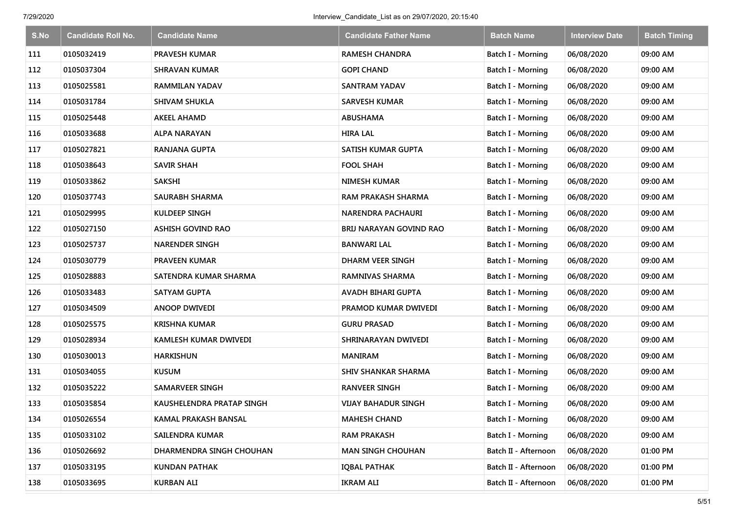| S.No | <b>Candidate Roll No.</b> | <b>Candidate Name</b>     | <b>Candidate Father Name</b> | <b>Batch Name</b>        | <b>Interview Date</b> | <b>Batch Timing</b> |
|------|---------------------------|---------------------------|------------------------------|--------------------------|-----------------------|---------------------|
| 111  | 0105032419                | <b>PRAVESH KUMAR</b>      | <b>RAMESH CHANDRA</b>        | Batch I - Morning        | 06/08/2020            | 09:00 AM            |
| 112  | 0105037304                | SHRAVAN KUMAR             | <b>GOPI CHAND</b>            | Batch I - Morning        | 06/08/2020            | 09:00 AM            |
| 113  | 0105025581                | RAMMILAN YADAV            | <b>SANTRAM YADAV</b>         | Batch I - Morning        | 06/08/2020            | 09:00 AM            |
| 114  | 0105031784                | <b>SHIVAM SHUKLA</b>      | <b>SARVESH KUMAR</b>         | Batch I - Morning        | 06/08/2020            | 09:00 AM            |
| 115  | 0105025448                | <b>AKEEL AHAMD</b>        | <b>ABUSHAMA</b>              | Batch I - Morning        | 06/08/2020            | 09:00 AM            |
| 116  | 0105033688                | ALPA NARAYAN              | <b>HIRA LAL</b>              | Batch I - Morning        | 06/08/2020            | 09:00 AM            |
| 117  | 0105027821                | <b>RANJANA GUPTA</b>      | SATISH KUMAR GUPTA           | Batch I - Morning        | 06/08/2020            | 09:00 AM            |
| 118  | 0105038643                | <b>SAVIR SHAH</b>         | <b>FOOL SHAH</b>             | <b>Batch I - Morning</b> | 06/08/2020            | 09:00 AM            |
| 119  | 0105033862                | <b>SAKSHI</b>             | <b>NIMESH KUMAR</b>          | Batch I - Morning        | 06/08/2020            | 09:00 AM            |
| 120  | 0105037743                | <b>SAURABH SHARMA</b>     | <b>RAM PRAKASH SHARMA</b>    | Batch I - Morning        | 06/08/2020            | 09:00 AM            |
| 121  | 0105029995                | <b>KULDEEP SINGH</b>      | <b>NARENDRA PACHAURI</b>     | Batch I - Morning        | 06/08/2020            | 09:00 AM            |
| 122  | 0105027150                | <b>ASHISH GOVIND RAO</b>  | BRIJ NARAYAN GOVIND RAO      | Batch I - Morning        | 06/08/2020            | 09:00 AM            |
| 123  | 0105025737                | <b>NARENDER SINGH</b>     | <b>BANWARI LAL</b>           | Batch I - Morning        | 06/08/2020            | 09:00 AM            |
| 124  | 0105030779                | <b>PRAVEEN KUMAR</b>      | DHARM VEER SINGH             | <b>Batch I - Morning</b> | 06/08/2020            | 09:00 AM            |
| 125  | 0105028883                | SATENDRA KUMAR SHARMA     | <b>RAMNIVAS SHARMA</b>       | Batch I - Morning        | 06/08/2020            | 09:00 AM            |
| 126  | 0105033483                | <b>SATYAM GUPTA</b>       | AVADH BIHARI GUPTA           | Batch I - Morning        | 06/08/2020            | 09:00 AM            |
| 127  | 0105034509                | <b>ANOOP DWIVEDI</b>      | PRAMOD KUMAR DWIVEDI         | Batch I - Morning        | 06/08/2020            | 09:00 AM            |
| 128  | 0105025575                | <b>KRISHNA KUMAR</b>      | <b>GURU PRASAD</b>           | Batch I - Morning        | 06/08/2020            | 09:00 AM            |
| 129  | 0105028934                | KAMLESH KUMAR DWIVEDI     | SHRINARAYAN DWIVEDI          | Batch I - Morning        | 06/08/2020            | 09:00 AM            |
| 130  | 0105030013                | <b>HARKISHUN</b>          | <b>MANIRAM</b>               | Batch I - Morning        | 06/08/2020            | 09:00 AM            |
| 131  | 0105034055                | <b>KUSUM</b>              | <b>SHIV SHANKAR SHARMA</b>   | Batch I - Morning        | 06/08/2020            | 09:00 AM            |
| 132  | 0105035222                | SAMARVEER SINGH           | <b>RANVEER SINGH</b>         | Batch I - Morning        | 06/08/2020            | 09:00 AM            |
| 133  | 0105035854                | KAUSHELENDRA PRATAP SINGH | VIJAY BAHADUR SINGH          | Batch I - Morning        | 06/08/2020            | 09:00 AM            |
| 134  | 0105026554                | KAMAL PRAKASH BANSAL      | <b>MAHESH CHAND</b>          | Batch I - Morning        | 06/08/2020            | 09:00 AM            |
| 135  | 0105033102                | SAILENDRA KUMAR           | <b>RAM PRAKASH</b>           | Batch I - Morning        | 06/08/2020            | 09:00 AM            |
| 136  | 0105026692                | DHARMENDRA SINGH CHOUHAN  | <b>MAN SINGH CHOUHAN</b>     | Batch II - Afternoon     | 06/08/2020            | 01:00 PM            |
| 137  | 0105033195                | <b>KUNDAN PATHAK</b>      | <b>IQBAL PATHAK</b>          | Batch II - Afternoon     | 06/08/2020            | 01:00 PM            |
| 138  | 0105033695                | <b>KURBAN ALI</b>         | <b>IKRAM ALI</b>             | Batch II - Afternoon     | 06/08/2020            | 01:00 PM            |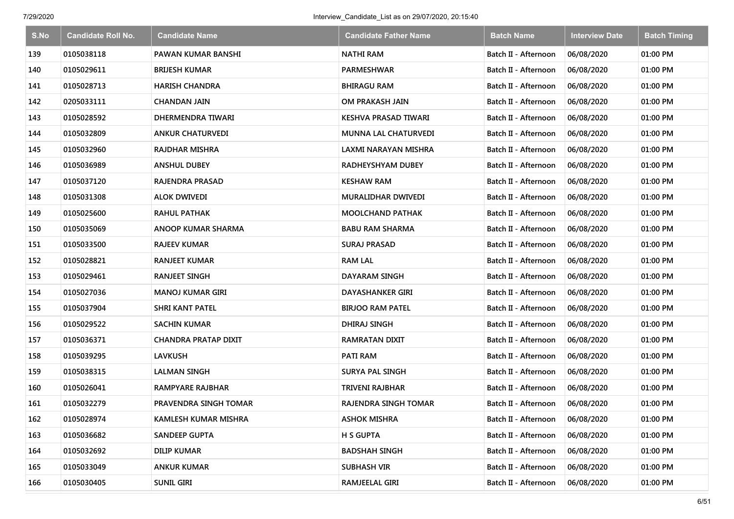| S.No | <b>Candidate Roll No.</b> | <b>Candidate Name</b>       | <b>Candidate Father Name</b> | <b>Batch Name</b>    | <b>Interview Date</b> | <b>Batch Timing</b> |
|------|---------------------------|-----------------------------|------------------------------|----------------------|-----------------------|---------------------|
| 139  | 0105038118                | PAWAN KUMAR BANSHI          | <b>NATHI RAM</b>             | Batch II - Afternoon | 06/08/2020            | 01:00 PM            |
| 140  | 0105029611                | <b>BRIJESH KUMAR</b>        | PARMESHWAR                   | Batch II - Afternoon | 06/08/2020            | 01:00 PM            |
| 141  | 0105028713                | <b>HARISH CHANDRA</b>       | <b>BHIRAGU RAM</b>           | Batch II - Afternoon | 06/08/2020            | 01:00 PM            |
| 142  | 0205033111                | CHANDAN JAIN                | OM PRAKASH JAIN              | Batch II - Afternoon | 06/08/2020            | 01:00 PM            |
| 143  | 0105028592                | DHERMENDRA TIWARI           | KESHVA PRASAD TIWARI         | Batch II - Afternoon | 06/08/2020            | 01:00 PM            |
| 144  | 0105032809                | <b>ANKUR CHATURVEDI</b>     | <b>MUNNA LAL CHATURVEDI</b>  | Batch II - Afternoon | 06/08/2020            | 01:00 PM            |
| 145  | 0105032960                | <b>RAJDHAR MISHRA</b>       | LAXMI NARAYAN MISHRA         | Batch II - Afternoon | 06/08/2020            | 01:00 PM            |
| 146  | 0105036989                | <b>ANSHUL DUBEY</b>         | RADHEYSHYAM DUBEY            | Batch II - Afternoon | 06/08/2020            | 01:00 PM            |
| 147  | 0105037120                | RAJENDRA PRASAD             | <b>KESHAW RAM</b>            | Batch II - Afternoon | 06/08/2020            | 01:00 PM            |
| 148  | 0105031308                | ALOK DWIVEDI                | MURALIDHAR DWIVEDI           | Batch II - Afternoon | 06/08/2020            | 01:00 PM            |
| 149  | 0105025600                | RAHUL PATHAK                | <b>MOOLCHAND PATHAK</b>      | Batch II - Afternoon | 06/08/2020            | 01:00 PM            |
| 150  | 0105035069                | ANOOP KUMAR SHARMA          | BABU RAM SHARMA              | Batch II - Afternoon | 06/08/2020            | 01:00 PM            |
| 151  | 0105033500                | RAJEEV KUMAR                | <b>SURAJ PRASAD</b>          | Batch II - Afternoon | 06/08/2020            | 01:00 PM            |
| 152  | 0105028821                | RANJEET KUMAR               | <b>RAM LAL</b>               | Batch II - Afternoon | 06/08/2020            | 01:00 PM            |
| 153  | 0105029461                | <b>RANJEET SINGH</b>        | DAYARAM SINGH                | Batch II - Afternoon | 06/08/2020            | 01:00 PM            |
| 154  | 0105027036                | <b>MANOJ KUMAR GIRI</b>     | <b>DAYASHANKER GIRI</b>      | Batch II - Afternoon | 06/08/2020            | 01:00 PM            |
| 155  | 0105037904                | <b>SHRI KANT PATEL</b>      | <b>BIRJOO RAM PATEL</b>      | Batch II - Afternoon | 06/08/2020            | 01:00 PM            |
| 156  | 0105029522                | SACHIN KUMAR                | DHIRAJ SINGH                 | Batch II - Afternoon | 06/08/2020            | 01:00 PM            |
| 157  | 0105036371                | <b>CHANDRA PRATAP DIXIT</b> | RAMRATAN DIXIT               | Batch II - Afternoon | 06/08/2020            | 01:00 PM            |
| 158  | 0105039295                | <b>LAVKUSH</b>              | <b>PATI RAM</b>              | Batch II - Afternoon | 06/08/2020            | 01:00 PM            |
| 159  | 0105038315                | <b>LALMAN SINGH</b>         | <b>SURYA PAL SINGH</b>       | Batch II - Afternoon | 06/08/2020            | 01:00 PM            |
| 160  | 0105026041                | RAMPYARE RAJBHAR            | <b>TRIVENI RAJBHAR</b>       | Batch II - Afternoon | 06/08/2020            | 01:00 PM            |
| 161  | 0105032279                | PRAVENDRA SINGH TOMAR       | RAJENDRA SINGH TOMAR         | Batch II - Afternoon | 06/08/2020            | 01:00 PM            |
| 162  | 0105028974                | KAMLESH KUMAR MISHRA        | <b>ASHOK MISHRA</b>          | Batch II - Afternoon | 06/08/2020            | 01:00 PM            |
| 163  | 0105036682                | <b>SANDEEP GUPTA</b>        | <b>H S GUPTA</b>             | Batch II - Afternoon | 06/08/2020            | 01:00 PM            |
| 164  | 0105032692                | <b>DILIP KUMAR</b>          | <b>BADSHAH SINGH</b>         | Batch II - Afternoon | 06/08/2020            | 01:00 PM            |
| 165  | 0105033049                | <b>ANKUR KUMAR</b>          | <b>SUBHASH VIR</b>           | Batch II - Afternoon | 06/08/2020            | 01:00 PM            |
| 166  | 0105030405                | <b>SUNIL GIRI</b>           | RAMJEELAL GIRI               | Batch II - Afternoon | 06/08/2020            | 01:00 PM            |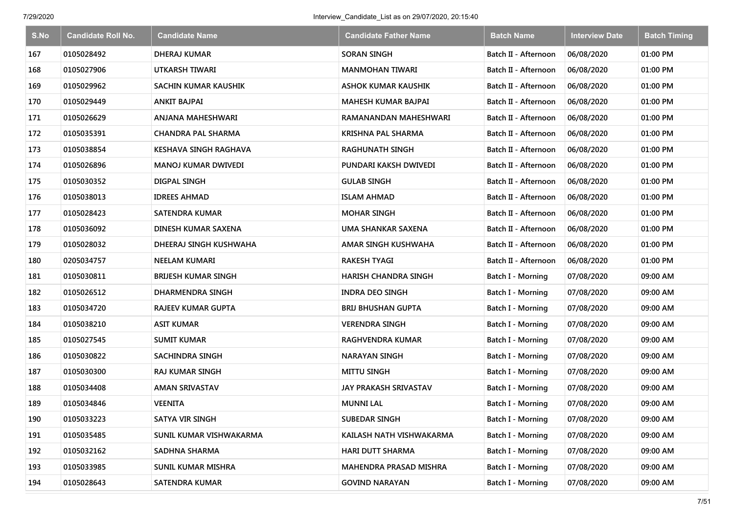| S.No | <b>Candidate Roll No.</b> | <b>Candidate Name</b>        | <b>Candidate Father Name</b> | <b>Batch Name</b>        | <b>Interview Date</b> | <b>Batch Timing</b> |
|------|---------------------------|------------------------------|------------------------------|--------------------------|-----------------------|---------------------|
| 167  | 0105028492                | <b>DHERAJ KUMAR</b>          | <b>SORAN SINGH</b>           | Batch II - Afternoon     | 06/08/2020            | 01:00 PM            |
| 168  | 0105027906                | UTKARSH TIWARI               | <b>MANMOHAN TIWARI</b>       | Batch II - Afternoon     | 06/08/2020            | 01:00 PM            |
| 169  | 0105029962                | SACHIN KUMAR KAUSHIK         | <b>ASHOK KUMAR KAUSHIK</b>   | Batch II - Afternoon     | 06/08/2020            | 01:00 PM            |
| 170  | 0105029449                | <b>ANKIT BAJPAI</b>          | <b>MAHESH KUMAR BAJPAI</b>   | Batch II - Afternoon     | 06/08/2020            | 01:00 PM            |
| 171  | 0105026629                | ANJANA MAHESHWARI            | RAMANANDAN MAHESHWARI        | Batch II - Afternoon     | 06/08/2020            | 01:00 PM            |
| 172  | 0105035391                | <b>CHANDRA PAL SHARMA</b>    | <b>KRISHNA PAL SHARMA</b>    | Batch II - Afternoon     | 06/08/2020            | 01:00 PM            |
| 173  | 0105038854                | <b>KESHAVA SINGH RAGHAVA</b> | <b>RAGHUNATH SINGH</b>       | Batch II - Afternoon     | 06/08/2020            | 01:00 PM            |
| 174  | 0105026896                | <b>MANOJ KUMAR DWIVEDI</b>   | PUNDARI KAKSH DWIVEDI        | Batch II - Afternoon     | 06/08/2020            | 01:00 PM            |
| 175  | 0105030352                | DIGPAL SINGH                 | <b>GULAB SINGH</b>           | Batch II - Afternoon     | 06/08/2020            | 01:00 PM            |
| 176  | 0105038013                | <b>IDREES AHMAD</b>          | <b>ISLAM AHMAD</b>           | Batch II - Afternoon     | 06/08/2020            | 01:00 PM            |
| 177  | 0105028423                | <b>SATENDRA KUMAR</b>        | <b>MOHAR SINGH</b>           | Batch II - Afternoon     | 06/08/2020            | 01:00 PM            |
| 178  | 0105036092                | DINESH KUMAR SAXENA          | UMA SHANKAR SAXENA           | Batch II - Afternoon     | 06/08/2020            | 01:00 PM            |
| 179  | 0105028032                | DHEERAJ SINGH KUSHWAHA       | AMAR SINGH KUSHWAHA          | Batch II - Afternoon     | 06/08/2020            | 01:00 PM            |
| 180  | 0205034757                | <b>NEELAM KUMARI</b>         | <b>RAKESH TYAGI</b>          | Batch II - Afternoon     | 06/08/2020            | 01:00 PM            |
| 181  | 0105030811                | <b>BRIJESH KUMAR SINGH</b>   | <b>HARISH CHANDRA SINGH</b>  | Batch I - Morning        | 07/08/2020            | 09:00 AM            |
| 182  | 0105026512                | DHARMENDRA SINGH             | <b>INDRA DEO SINGH</b>       | Batch I - Morning        | 07/08/2020            | 09:00 AM            |
| 183  | 0105034720                | <b>RAJEEV KUMAR GUPTA</b>    | <b>BRIJ BHUSHAN GUPTA</b>    | Batch I - Morning        | 07/08/2020            | 09:00 AM            |
| 184  | 0105038210                | <b>ASIT KUMAR</b>            | <b>VERENDRA SINGH</b>        | Batch I - Morning        | 07/08/2020            | 09:00 AM            |
| 185  | 0105027545                | <b>SUMIT KUMAR</b>           | <b>RAGHVENDRA KUMAR</b>      | Batch I - Morning        | 07/08/2020            | 09:00 AM            |
| 186  | 0105030822                | <b>SACHINDRA SINGH</b>       | <b>NARAYAN SINGH</b>         | Batch I - Morning        | 07/08/2020            | 09:00 AM            |
| 187  | 0105030300                | <b>RAJ KUMAR SINGH</b>       | <b>MITTU SINGH</b>           | Batch I - Morning        | 07/08/2020            | 09:00 AM            |
| 188  | 0105034408                | <b>AMAN SRIVASTAV</b>        | <b>JAY PRAKASH SRIVASTAV</b> | <b>Batch I - Morning</b> | 07/08/2020            | 09:00 AM            |
| 189  | 0105034846                | <b>VEENITA</b>               | <b>MUNNI LAL</b>             | Batch I - Morning        | 07/08/2020            | 09:00 AM            |
| 190  | 0105033223                | SATYA VIR SINGH              | <b>SUBEDAR SINGH</b>         | Batch I - Morning        | 07/08/2020            | 09:00 AM            |
| 191  | 0105035485                | SUNIL KUMAR VISHWAKARMA      | KAILASH NATH VISHWAKARMA     | Batch I - Morning        | 07/08/2020            | 09:00 AM            |
| 192  | 0105032162                | SADHNA SHARMA                | <b>HARI DUTT SHARMA</b>      | Batch I - Morning        | 07/08/2020            | 09:00 AM            |
| 193  | 0105033985                | <b>SUNIL KUMAR MISHRA</b>    | MAHENDRA PRASAD MISHRA       | Batch I - Morning        | 07/08/2020            | 09:00 AM            |
| 194  | 0105028643                | SATENDRA KUMAR               | <b>GOVIND NARAYAN</b>        | Batch I - Morning        | 07/08/2020            | 09:00 AM            |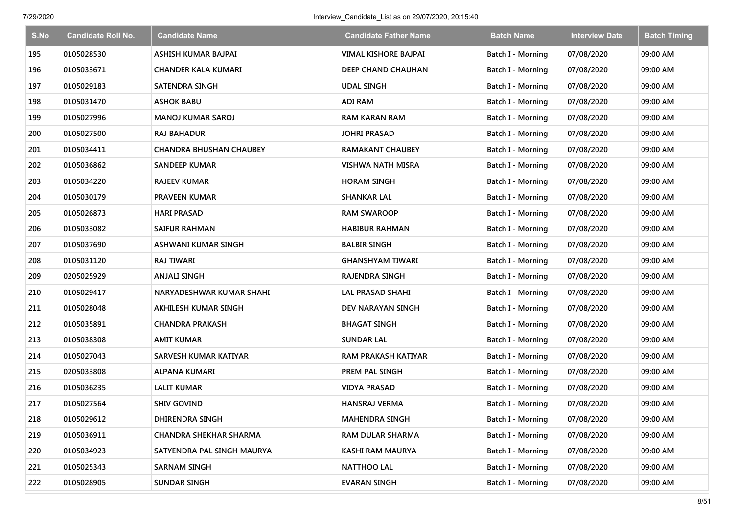| S.No | <b>Candidate Roll No.</b> | <b>Candidate Name</b>          | <b>Candidate Father Name</b> | <b>Batch Name</b>        | <b>Interview Date</b> | <b>Batch Timing</b> |
|------|---------------------------|--------------------------------|------------------------------|--------------------------|-----------------------|---------------------|
| 195  | 0105028530                | ASHISH KUMAR BAJPAI            | VIMAL KISHORE BAJPAI         | Batch I - Morning        | 07/08/2020            | 09:00 AM            |
| 196  | 0105033671                | <b>CHANDER KALA KUMARI</b>     | DEEP CHAND CHAUHAN           | Batch I - Morning        | 07/08/2020            | 09:00 AM            |
| 197  | 0105029183                | <b>SATENDRA SINGH</b>          | <b>UDAL SINGH</b>            | Batch I - Morning        | 07/08/2020            | 09:00 AM            |
| 198  | 0105031470                | <b>ASHOK BABU</b>              | <b>ADI RAM</b>               | Batch I - Morning        | 07/08/2020            | 09:00 AM            |
| 199  | 0105027996                | <b>MANOJ KUMAR SAROJ</b>       | <b>RAM KARAN RAM</b>         | Batch I - Morning        | 07/08/2020            | 09:00 AM            |
| 200  | 0105027500                | RAJ BAHADUR                    | <b>JOHRI PRASAD</b>          | <b>Batch I - Morning</b> | 07/08/2020            | 09:00 AM            |
| 201  | 0105034411                | <b>CHANDRA BHUSHAN CHAUBEY</b> | <b>RAMAKANT CHAUBEY</b>      | Batch I - Morning        | 07/08/2020            | 09:00 AM            |
| 202  | 0105036862                | <b>SANDEEP KUMAR</b>           | <b>VISHWA NATH MISRA</b>     | <b>Batch I - Morning</b> | 07/08/2020            | 09:00 AM            |
| 203  | 0105034220                | <b>RAJEEV KUMAR</b>            | <b>HORAM SINGH</b>           | Batch I - Morning        | 07/08/2020            | 09:00 AM            |
| 204  | 0105030179                | <b>PRAVEEN KUMAR</b>           | SHANKAR LAL                  | Batch I - Morning        | 07/08/2020            | 09:00 AM            |
| 205  | 0105026873                | <b>HARI PRASAD</b>             | <b>RAM SWAROOP</b>           | Batch I - Morning        | 07/08/2020            | 09:00 AM            |
| 206  | 0105033082                | <b>SAIFUR RAHMAN</b>           | <b>HABIBUR RAHMAN</b>        | <b>Batch I - Morning</b> | 07/08/2020            | 09:00 AM            |
| 207  | 0105037690                | ASHWANI KUMAR SINGH            | <b>BALBIR SINGH</b>          | Batch I - Morning        | 07/08/2020            | 09:00 AM            |
| 208  | 0105031120                | RAJ TIWARI                     | <b>GHANSHYAM TIWARI</b>      | Batch I - Morning        | 07/08/2020            | 09:00 AM            |
| 209  | 0205025929                | <b>ANJALI SINGH</b>            | RAJENDRA SINGH               | Batch I - Morning        | 07/08/2020            | 09:00 AM            |
| 210  | 0105029417                | NARYADESHWAR KUMAR SHAHI       | LAL PRASAD SHAHI             | Batch I - Morning        | 07/08/2020            | 09:00 AM            |
| 211  | 0105028048                | AKHILESH KUMAR SINGH           | DEV NARAYAN SINGH            | Batch I - Morning        | 07/08/2020            | 09:00 AM            |
| 212  | 0105035891                | <b>CHANDRA PRAKASH</b>         | <b>BHAGAT SINGH</b>          | Batch I - Morning        | 07/08/2020            | 09:00 AM            |
| 213  | 0105038308                | <b>AMIT KUMAR</b>              | <b>SUNDAR LAL</b>            | <b>Batch I - Morning</b> | 07/08/2020            | 09:00 AM            |
| 214  | 0105027043                | SARVESH KUMAR KATIYAR          | <b>RAM PRAKASH KATIYAR</b>   | Batch I - Morning        | 07/08/2020            | 09:00 AM            |
| 215  | 0205033808                | <b>ALPANA KUMARI</b>           | PREM PAL SINGH               | Batch I - Morning        | 07/08/2020            | 09:00 AM            |
| 216  | 0105036235                | <b>LALIT KUMAR</b>             | <b>VIDYA PRASAD</b>          | Batch I - Morning        | 07/08/2020            | 09:00 AM            |
| 217  | 0105027564                | <b>SHIV GOVIND</b>             | <b>HANSRAJ VERMA</b>         | Batch I - Morning        | 07/08/2020            | 09:00 AM            |
| 218  | 0105029612                | DHIRENDRA SINGH                | <b>MAHENDRA SINGH</b>        | Batch I - Morning        | 07/08/2020            | 09:00 AM            |
| 219  | 0105036911                | <b>CHANDRA SHEKHAR SHARMA</b>  | RAM DULAR SHARMA             | Batch I - Morning        | 07/08/2020            | 09:00 AM            |
| 220  | 0105034923                | SATYENDRA PAL SINGH MAURYA     | KASHI RAM MAURYA             | Batch I - Morning        | 07/08/2020            | 09:00 AM            |
| 221  | 0105025343                | <b>SARNAM SINGH</b>            | <b>NATTHOO LAL</b>           | Batch I - Morning        | 07/08/2020            | 09:00 AM            |
| 222  | 0105028905                | <b>SUNDAR SINGH</b>            | <b>EVARAN SINGH</b>          | <b>Batch I - Morning</b> | 07/08/2020            | 09:00 AM            |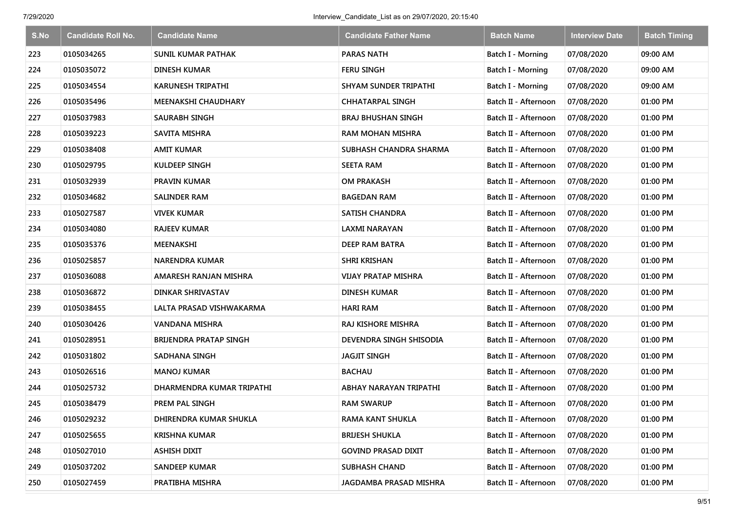| S.No | <b>Candidate Roll No.</b> | <b>Candidate Name</b>        | <b>Candidate Father Name</b> | <b>Batch Name</b>    | <b>Interview Date</b> | <b>Batch Timing</b> |
|------|---------------------------|------------------------------|------------------------------|----------------------|-----------------------|---------------------|
| 223  | 0105034265                | <b>SUNIL KUMAR PATHAK</b>    | <b>PARAS NATH</b>            | Batch I - Morning    | 07/08/2020            | 09:00 AM            |
| 224  | 0105035072                | <b>DINESH KUMAR</b>          | <b>FERU SINGH</b>            | Batch I - Morning    | 07/08/2020            | 09:00 AM            |
| 225  | 0105034554                | <b>KARUNESH TRIPATHI</b>     | <b>SHYAM SUNDER TRIPATHI</b> | Batch I - Morning    | 07/08/2020            | 09:00 AM            |
| 226  | 0105035496                | <b>MEENAKSHI CHAUDHARY</b>   | <b>CHHATARPAL SINGH</b>      | Batch II - Afternoon | 07/08/2020            | 01:00 PM            |
| 227  | 0105037983                | SAURABH SINGH                | <b>BRAJ BHUSHAN SINGH</b>    | Batch II - Afternoon | 07/08/2020            | 01:00 PM            |
| 228  | 0105039223                | <b>SAVITA MISHRA</b>         | <b>RAM MOHAN MISHRA</b>      | Batch II - Afternoon | 07/08/2020            | 01:00 PM            |
| 229  | 0105038408                | <b>AMIT KUMAR</b>            | SUBHASH CHANDRA SHARMA       | Batch II - Afternoon | 07/08/2020            | 01:00 PM            |
| 230  | 0105029795                | <b>KULDEEP SINGH</b>         | <b>SEETA RAM</b>             | Batch II - Afternoon | 07/08/2020            | 01:00 PM            |
| 231  | 0105032939                | <b>PRAVIN KUMAR</b>          | <b>OM PRAKASH</b>            | Batch II - Afternoon | 07/08/2020            | 01:00 PM            |
| 232  | 0105034682                | <b>SALINDER RAM</b>          | <b>BAGEDAN RAM</b>           | Batch II - Afternoon | 07/08/2020            | 01:00 PM            |
| 233  | 0105027587                | <b>VIVEK KUMAR</b>           | <b>SATISH CHANDRA</b>        | Batch II - Afternoon | 07/08/2020            | 01:00 PM            |
| 234  | 0105034080                | RAJEEV KUMAR                 | <b>LAXMI NARAYAN</b>         | Batch II - Afternoon | 07/08/2020            | 01:00 PM            |
| 235  | 0105035376                | MEENAKSHI                    | <b>DEEP RAM BATRA</b>        | Batch II - Afternoon | 07/08/2020            | 01:00 PM            |
| 236  | 0105025857                | <b>NARENDRA KUMAR</b>        | <b>SHRI KRISHAN</b>          | Batch II - Afternoon | 07/08/2020            | 01:00 PM            |
| 237  | 0105036088                | AMARESH RANJAN MISHRA        | <b>VIJAY PRATAP MISHRA</b>   | Batch II - Afternoon | 07/08/2020            | 01:00 PM            |
| 238  | 0105036872                | DINKAR SHRIVASTAV            | <b>DINESH KUMAR</b>          | Batch II - Afternoon | 07/08/2020            | 01:00 PM            |
| 239  | 0105038455                | LALTA PRASAD VISHWAKARMA     | <b>HARI RAM</b>              | Batch II - Afternoon | 07/08/2020            | 01:00 PM            |
| 240  | 0105030426                | <b>VANDANA MISHRA</b>        | RAJ KISHORE MISHRA           | Batch II - Afternoon | 07/08/2020            | 01:00 PM            |
| 241  | 0105028951                | <b>BRUENDRA PRATAP SINGH</b> | DEVENDRA SINGH SHISODIA      | Batch II - Afternoon | 07/08/2020            | 01:00 PM            |
| 242  | 0105031802                | <b>SADHANA SINGH</b>         | <b>JAGJIT SINGH</b>          | Batch II - Afternoon | 07/08/2020            | 01:00 PM            |
| 243  | 0105026516                | <b>MANOJ KUMAR</b>           | <b>BACHAU</b>                | Batch II - Afternoon | 07/08/2020            | 01:00 PM            |
| 244  | 0105025732                | DHARMENDRA KUMAR TRIPATHI    | ABHAY NARAYAN TRIPATHI       | Batch II - Afternoon | 07/08/2020            | 01:00 PM            |
| 245  | 0105038479                | PREM PAL SINGH               | <b>RAM SWARUP</b>            | Batch II - Afternoon | 07/08/2020            | 01:00 PM            |
| 246  | 0105029232                | DHIRENDRA KUMAR SHUKLA       | <b>RAMA KANT SHUKLA</b>      | Batch II - Afternoon | 07/08/2020            | 01:00 PM            |
| 247  | 0105025655                | <b>KRISHNA KUMAR</b>         | <b>BRIJESH SHUKLA</b>        | Batch II - Afternoon | 07/08/2020            | 01:00 PM            |
| 248  | 0105027010                | <b>ASHISH DIXIT</b>          | <b>GOVIND PRASAD DIXIT</b>   | Batch II - Afternoon | 07/08/2020            | 01:00 PM            |
| 249  | 0105037202                | <b>SANDEEP KUMAR</b>         | <b>SUBHASH CHAND</b>         | Batch II - Afternoon | 07/08/2020            | 01:00 PM            |
| 250  | 0105027459                | PRATIBHA MISHRA              | JAGDAMBA PRASAD MISHRA       | Batch II - Afternoon | 07/08/2020            | 01:00 PM            |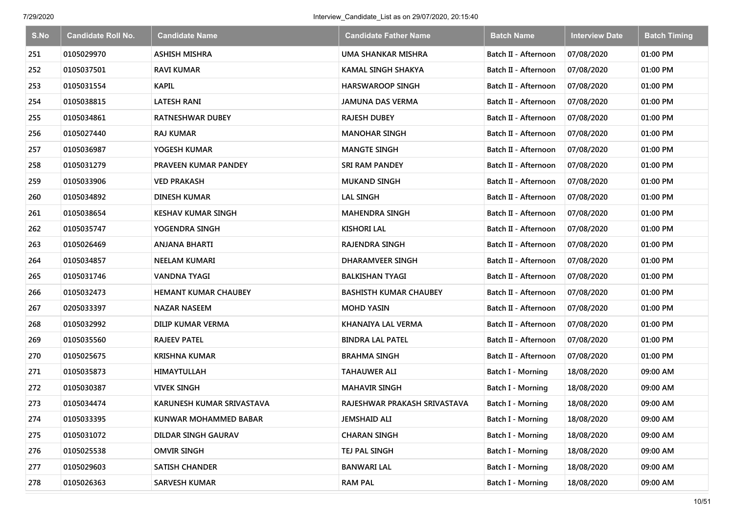| S.No | <b>Candidate Roll No.</b> | <b>Candidate Name</b>       | <b>Candidate Father Name</b>  | <b>Batch Name</b>        | <b>Interview Date</b> | <b>Batch Timing</b> |
|------|---------------------------|-----------------------------|-------------------------------|--------------------------|-----------------------|---------------------|
| 251  | 0105029970                | <b>ASHISH MISHRA</b>        | <b>UMA SHANKAR MISHRA</b>     | Batch II - Afternoon     | 07/08/2020            | 01:00 PM            |
| 252  | 0105037501                | <b>RAVI KUMAR</b>           | <b>KAMAL SINGH SHAKYA</b>     | Batch II - Afternoon     | 07/08/2020            | 01:00 PM            |
| 253  | 0105031554                | <b>KAPIL</b>                | <b>HARSWAROOP SINGH</b>       | Batch II - Afternoon     | 07/08/2020            | 01:00 PM            |
| 254  | 0105038815                | LATESH RANI                 | <b>JAMUNA DAS VERMA</b>       | Batch II - Afternoon     | 07/08/2020            | 01:00 PM            |
| 255  | 0105034861                | <b>RATNESHWAR DUBEY</b>     | RAJESH DUBEY                  | Batch II - Afternoon     | 07/08/2020            | 01:00 PM            |
| 256  | 0105027440                | <b>RAJ KUMAR</b>            | <b>MANOHAR SINGH</b>          | Batch II - Afternoon     | 07/08/2020            | 01:00 PM            |
| 257  | 0105036987                | YOGESH KUMAR                | <b>MANGTE SINGH</b>           | Batch II - Afternoon     | 07/08/2020            | 01:00 PM            |
| 258  | 0105031279                | PRAVEEN KUMAR PANDEY        | <b>SRI RAM PANDEY</b>         | Batch II - Afternoon     | 07/08/2020            | 01:00 PM            |
| 259  | 0105033906                | VED PRAKASH                 | <b>MUKAND SINGH</b>           | Batch II - Afternoon     | 07/08/2020            | 01:00 PM            |
| 260  | 0105034892                | DINESH KUMAR                | <b>LAL SINGH</b>              | Batch II - Afternoon     | 07/08/2020            | 01:00 PM            |
| 261  | 0105038654                | KESHAV KUMAR SINGH          | <b>MAHENDRA SINGH</b>         | Batch II - Afternoon     | 07/08/2020            | 01:00 PM            |
| 262  | 0105035747                | YOGENDRA SINGH              | <b>KISHORI LAL</b>            | Batch II - Afternoon     | 07/08/2020            | 01:00 PM            |
| 263  | 0105026469                | <b>ANJANA BHARTI</b>        | <b>RAJENDRA SINGH</b>         | Batch II - Afternoon     | 07/08/2020            | 01:00 PM            |
| 264  | 0105034857                | <b>NEELAM KUMARI</b>        | DHARAMVEER SINGH              | Batch II - Afternoon     | 07/08/2020            | 01:00 PM            |
| 265  | 0105031746                | <b>VANDNA TYAGI</b>         | <b>BALKISHAN TYAGI</b>        | Batch II - Afternoon     | 07/08/2020            | 01:00 PM            |
| 266  | 0105032473                | <b>HEMANT KUMAR CHAUBEY</b> | <b>BASHISTH KUMAR CHAUBEY</b> | Batch II - Afternoon     | 07/08/2020            | 01:00 PM            |
| 267  | 0205033397                | NAZAR NASEEM                | <b>MOHD YASIN</b>             | Batch II - Afternoon     | 07/08/2020            | 01:00 PM            |
| 268  | 0105032992                | DILIP KUMAR VERMA           | KHANAIYA LAL VERMA            | Batch II - Afternoon     | 07/08/2020            | 01:00 PM            |
| 269  | 0105035560                | <b>RAJEEV PATEL</b>         | <b>BINDRA LAL PATEL</b>       | Batch II - Afternoon     | 07/08/2020            | 01:00 PM            |
| 270  | 0105025675                | <b>KRISHNA KUMAR</b>        | <b>BRAHMA SINGH</b>           | Batch II - Afternoon     | 07/08/2020            | 01:00 PM            |
| 271  | 0105035873                | HIMAYTULLAH                 | <b>TAHAUWER ALI</b>           | Batch I - Morning        | 18/08/2020            | 09:00 AM            |
| 272  | 0105030387                | <b>VIVEK SINGH</b>          | <b>MAHAVIR SINGH</b>          | Batch I - Morning        | 18/08/2020            | 09:00 AM            |
| 273  | 0105034474                | KARUNESH KUMAR SRIVASTAVA   | RAJESHWAR PRAKASH SRIVASTAVA  | Batch I - Morning        | 18/08/2020            | 09:00 AM            |
| 274  | 0105033395                | KUNWAR MOHAMMED BABAR       | <b>JEMSHAID ALI</b>           | Batch I - Morning        | 18/08/2020            | 09:00 AM            |
| 275  | 0105031072                | DILDAR SINGH GAURAV         | <b>CHARAN SINGH</b>           | Batch I - Morning        | 18/08/2020            | 09:00 AM            |
| 276  | 0105025538                | <b>OMVIR SINGH</b>          | TEJ PAL SINGH                 | Batch I - Morning        | 18/08/2020            | 09:00 AM            |
| 277  | 0105029603                | <b>SATISH CHANDER</b>       | <b>BANWARI LAL</b>            | Batch I - Morning        | 18/08/2020            | 09:00 AM            |
| 278  | 0105026363                | <b>SARVESH KUMAR</b>        | <b>RAM PAL</b>                | <b>Batch I - Morning</b> | 18/08/2020            | 09:00 AM            |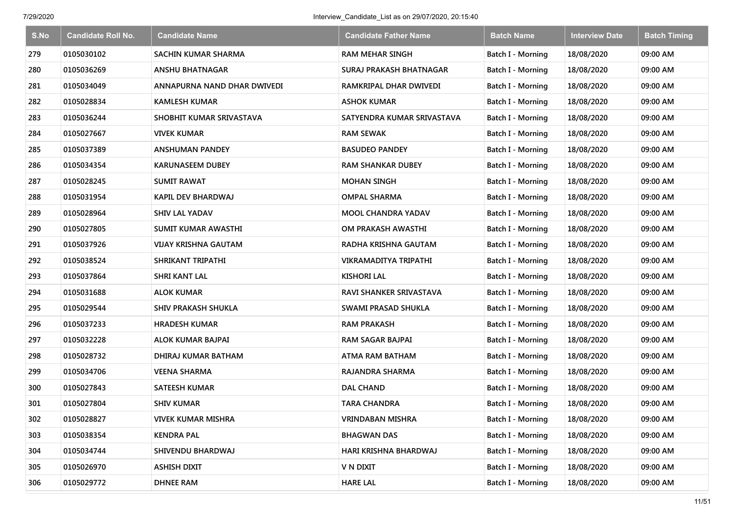| S.No | <b>Candidate Roll No.</b> | <b>Candidate Name</b>       | <b>Candidate Father Name</b>   | <b>Batch Name</b>        | <b>Interview Date</b> | <b>Batch Timing</b> |
|------|---------------------------|-----------------------------|--------------------------------|--------------------------|-----------------------|---------------------|
| 279  | 0105030102                | <b>SACHIN KUMAR SHARMA</b>  | <b>RAM MEHAR SINGH</b>         | <b>Batch I - Morning</b> | 18/08/2020            | 09:00 AM            |
| 280  | 0105036269                | <b>ANSHU BHATNAGAR</b>      | <b>SURAJ PRAKASH BHATNAGAR</b> | <b>Batch I - Morning</b> | 18/08/2020            | 09:00 AM            |
| 281  | 0105034049                | ANNAPURNA NAND DHAR DWIVEDI | RAMKRIPAL DHAR DWIVEDI         | Batch I - Morning        | 18/08/2020            | 09:00 AM            |
| 282  | 0105028834                | <b>KAMLESH KUMAR</b>        | <b>ASHOK KUMAR</b>             | Batch I - Morning        | 18/08/2020            | 09:00 AM            |
| 283  | 0105036244                | SHOBHIT KUMAR SRIVASTAVA    | SATYENDRA KUMAR SRIVASTAVA     | Batch I - Morning        | 18/08/2020            | 09:00 AM            |
| 284  | 0105027667                | <b>VIVEK KUMAR</b>          | <b>RAM SEWAK</b>               | <b>Batch I - Morning</b> | 18/08/2020            | 09:00 AM            |
| 285  | 0105037389                | <b>ANSHUMAN PANDEY</b>      | <b>BASUDEO PANDEY</b>          | Batch I - Morning        | 18/08/2020            | 09:00 AM            |
| 286  | 0105034354                | <b>KARUNASEEM DUBEY</b>     | <b>RAM SHANKAR DUBEY</b>       | <b>Batch I - Morning</b> | 18/08/2020            | 09:00 AM            |
| 287  | 0105028245                | <b>SUMIT RAWAT</b>          | <b>MOHAN SINGH</b>             | Batch I - Morning        | 18/08/2020            | 09:00 AM            |
| 288  | 0105031954                | <b>KAPIL DEV BHARDWAJ</b>   | <b>OMPAL SHARMA</b>            | Batch I - Morning        | 18/08/2020            | 09:00 AM            |
| 289  | 0105028964                | <b>SHIV LAL YADAV</b>       | <b>MOOL CHANDRA YADAV</b>      | Batch I - Morning        | 18/08/2020            | 09:00 AM            |
| 290  | 0105027805                | SUMIT KUMAR AWASTHI         | OM PRAKASH AWASTHI             | <b>Batch I - Morning</b> | 18/08/2020            | 09:00 AM            |
| 291  | 0105037926                | VIJAY KRISHNA GAUTAM        | RADHA KRISHNA GAUTAM           | Batch I - Morning        | 18/08/2020            | 09:00 AM            |
| 292  | 0105038524                | SHRIKANT TRIPATHI           | VIKRAMADITYA TRIPATHI          | <b>Batch I - Morning</b> | 18/08/2020            | 09:00 AM            |
| 293  | 0105037864                | <b>SHRI KANT LAL</b>        | <b>KISHORI LAL</b>             | Batch I - Morning        | 18/08/2020            | 09:00 AM            |
| 294  | 0105031688                | ALOK KUMAR                  | RAVI SHANKER SRIVASTAVA        | Batch I - Morning        | 18/08/2020            | 09:00 AM            |
| 295  | 0105029544                | <b>SHIV PRAKASH SHUKLA</b>  | SWAMI PRASAD SHUKLA            | Batch I - Morning        | 18/08/2020            | 09:00 AM            |
| 296  | 0105037233                | <b>HRADESH KUMAR</b>        | <b>RAM PRAKASH</b>             | Batch I - Morning        | 18/08/2020            | 09:00 AM            |
| 297  | 0105032228                | <b>ALOK KUMAR BAJPAI</b>    | <b>RAM SAGAR BAJPAI</b>        | Batch I - Morning        | 18/08/2020            | 09:00 AM            |
| 298  | 0105028732                | DHIRAJ KUMAR BATHAM         | ATMA RAM BATHAM                | Batch I - Morning        | 18/08/2020            | 09:00 AM            |
| 299  | 0105034706                | <b>VEENA SHARMA</b>         | RAJANDRA SHARMA                | Batch I - Morning        | 18/08/2020            | 09:00 AM            |
| 300  | 0105027843                | SATEESH KUMAR               | <b>DAL CHAND</b>               | Batch I - Morning        | 18/08/2020            | 09:00 AM            |
| 301  | 0105027804                | <b>SHIV KUMAR</b>           | <b>TARA CHANDRA</b>            | Batch I - Morning        | 18/08/2020            | 09:00 AM            |
| 302  | 0105028827                | <b>VIVEK KUMAR MISHRA</b>   | <b>VRINDABAN MISHRA</b>        | Batch I - Morning        | 18/08/2020            | 09:00 AM            |
| 303  | 0105038354                | <b>KENDRA PAL</b>           | <b>BHAGWAN DAS</b>             | Batch I - Morning        | 18/08/2020            | 09:00 AM            |
| 304  | 0105034744                | SHIVENDU BHARDWAJ           | HARI KRISHNA BHARDWAJ          | Batch I - Morning        | 18/08/2020            | 09:00 AM            |
| 305  | 0105026970                | <b>ASHISH DIXIT</b>         | V N DIXIT                      | Batch I - Morning        | 18/08/2020            | 09:00 AM            |
| 306  | 0105029772                | <b>DHNEE RAM</b>            | <b>HARE LAL</b>                | Batch I - Morning        | 18/08/2020            | 09:00 AM            |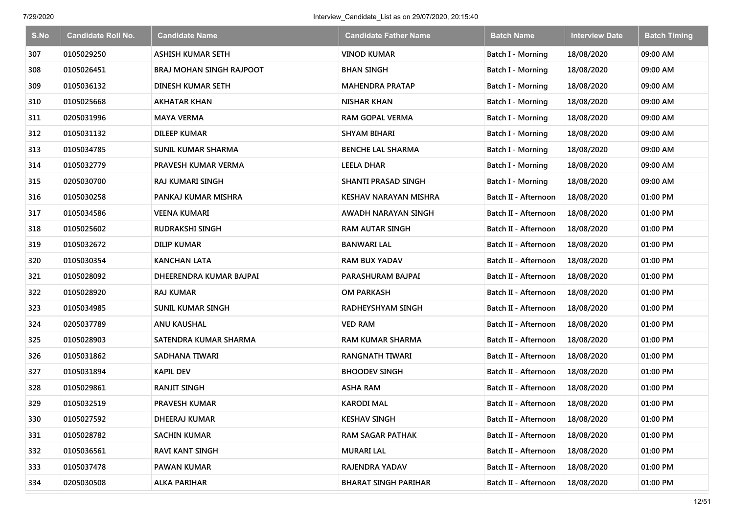| S.No | <b>Candidate Roll No.</b> | <b>Candidate Name</b>     | <b>Candidate Father Name</b> | <b>Batch Name</b>        | <b>Interview Date</b> | <b>Batch Timing</b> |
|------|---------------------------|---------------------------|------------------------------|--------------------------|-----------------------|---------------------|
| 307  | 0105029250                | <b>ASHISH KUMAR SETH</b>  | <b>VINOD KUMAR</b>           | Batch I - Morning        | 18/08/2020            | 09:00 AM            |
| 308  | 0105026451                | BRAJ MOHAN SINGH RAJPOOT  | <b>BHAN SINGH</b>            | Batch I - Morning        | 18/08/2020            | 09:00 AM            |
| 309  | 0105036132                | <b>DINESH KUMAR SETH</b>  | <b>MAHENDRA PRATAP</b>       | Batch I - Morning        | 18/08/2020            | 09:00 AM            |
| 310  | 0105025668                | <b>AKHATAR KHAN</b>       | <b>NISHAR KHAN</b>           | Batch I - Morning        | 18/08/2020            | 09:00 AM            |
| 311  | 0205031996                | <b>MAYA VERMA</b>         | <b>RAM GOPAL VERMA</b>       | Batch I - Morning        | 18/08/2020            | 09:00 AM            |
| 312  | 0105031132                | <b>DILEEP KUMAR</b>       | <b>SHYAM BIHARI</b>          | Batch I - Morning        | 18/08/2020            | 09:00 AM            |
| 313  | 0105034785                | <b>SUNIL KUMAR SHARMA</b> | <b>BENCHE LAL SHARMA</b>     | Batch I - Morning        | 18/08/2020            | 09:00 AM            |
| 314  | 0105032779                | PRAVESH KUMAR VERMA       | <b>LEELA DHAR</b>            | <b>Batch I - Morning</b> | 18/08/2020            | 09:00 AM            |
| 315  | 0205030700                | <b>RAJ KUMARI SINGH</b>   | SHANTI PRASAD SINGH          | Batch I - Morning        | 18/08/2020            | 09:00 AM            |
| 316  | 0105030258                | PANKAJ KUMAR MISHRA       | KESHAV NARAYAN MISHRA        | Batch II - Afternoon     | 18/08/2020            | 01:00 PM            |
| 317  | 0105034586                | VEENA KUMARI              | AWADH NARAYAN SINGH          | Batch II - Afternoon     | 18/08/2020            | 01:00 PM            |
| 318  | 0105025602                | <b>RUDRAKSHI SINGH</b>    | <b>RAM AUTAR SINGH</b>       | Batch II - Afternoon     | 18/08/2020            | 01:00 PM            |
| 319  | 0105032672                | <b>DILIP KUMAR</b>        | <b>BANWARI LAL</b>           | Batch II - Afternoon     | 18/08/2020            | 01:00 PM            |
| 320  | 0105030354                | KANCHAN LATA              | RAM BUX YADAV                | Batch II - Afternoon     | 18/08/2020            | 01:00 PM            |
| 321  | 0105028092                | DHEERENDRA KUMAR BAJPAI   | PARASHURAM BAJPAI            | Batch II - Afternoon     | 18/08/2020            | 01:00 PM            |
| 322  | 0105028920                | <b>RAJ KUMAR</b>          | <b>OM PARKASH</b>            | Batch II - Afternoon     | 18/08/2020            | 01:00 PM            |
| 323  | 0105034985                | <b>SUNIL KUMAR SINGH</b>  | RADHEYSHYAM SINGH            | Batch II - Afternoon     | 18/08/2020            | 01:00 PM            |
| 324  | 0205037789                | <b>ANU KAUSHAL</b>        | <b>VED RAM</b>               | Batch II - Afternoon     | 18/08/2020            | 01:00 PM            |
| 325  | 0105028903                | SATENDRA KUMAR SHARMA     | <b>RAM KUMAR SHARMA</b>      | Batch II - Afternoon     | 18/08/2020            | 01:00 PM            |
| 326  | 0105031862                | SADHANA TIWARI            | <b>RANGNATH TIWARI</b>       | Batch II - Afternoon     | 18/08/2020            | 01:00 PM            |
| 327  | 0105031894                | <b>KAPIL DEV</b>          | <b>BHOODEV SINGH</b>         | Batch II - Afternoon     | 18/08/2020            | 01:00 PM            |
| 328  | 0105029861                | <b>RANJIT SINGH</b>       | <b>ASHA RAM</b>              | Batch II - Afternoon     | 18/08/2020            | 01:00 PM            |
| 329  | 0105032519                | <b>PRAVESH KUMAR</b>      | <b>KARODI MAL</b>            | Batch II - Afternoon     | 18/08/2020            | 01:00 PM            |
| 330  | 0105027592                | DHEERAJ KUMAR             | <b>KESHAV SINGH</b>          | Batch II - Afternoon     | 18/08/2020            | 01:00 PM            |
| 331  | 0105028782                | <b>SACHIN KUMAR</b>       | <b>RAM SAGAR PATHAK</b>      | Batch II - Afternoon     | 18/08/2020            | 01:00 PM            |
| 332  | 0105036561                | <b>RAVI KANT SINGH</b>    | <b>MURARI LAL</b>            | Batch II - Afternoon     | 18/08/2020            | 01:00 PM            |
| 333  | 0105037478                | <b>PAWAN KUMAR</b>        | RAJENDRA YADAV               | Batch II - Afternoon     | 18/08/2020            | 01:00 PM            |
| 334  | 0205030508                | <b>ALKA PARIHAR</b>       | <b>BHARAT SINGH PARIHAR</b>  | Batch II - Afternoon     | 18/08/2020            | 01:00 PM            |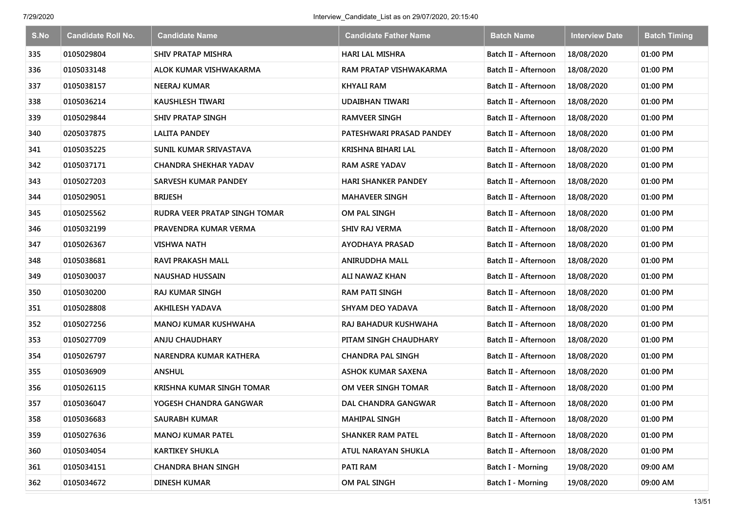| S.No | <b>Candidate Roll No.</b> | <b>Candidate Name</b>         | <b>Candidate Father Name</b> | <b>Batch Name</b>        | <b>Interview Date</b> | <b>Batch Timing</b> |
|------|---------------------------|-------------------------------|------------------------------|--------------------------|-----------------------|---------------------|
| 335  | 0105029804                | <b>SHIV PRATAP MISHRA</b>     | <b>HARI LAL MISHRA</b>       | Batch II - Afternoon     | 18/08/2020            | 01:00 PM            |
| 336  | 0105033148                | ALOK KUMAR VISHWAKARMA        | RAM PRATAP VISHWAKARMA       | Batch II - Afternoon     | 18/08/2020            | 01:00 PM            |
| 337  | 0105038157                | <b>NEERAJ KUMAR</b>           | <b>KHYALI RAM</b>            | Batch II - Afternoon     | 18/08/2020            | 01:00 PM            |
| 338  | 0105036214                | <b>KAUSHLESH TIWARI</b>       | UDAIBHAN TIWARI              | Batch II - Afternoon     | 18/08/2020            | 01:00 PM            |
| 339  | 0105029844                | <b>SHIV PRATAP SINGH</b>      | <b>RAMVEER SINGH</b>         | Batch II - Afternoon     | 18/08/2020            | 01:00 PM            |
| 340  | 0205037875                | <b>LALITA PANDEY</b>          | PATESHWARI PRASAD PANDEY     | Batch II - Afternoon     | 18/08/2020            | 01:00 PM            |
| 341  | 0105035225                | SUNIL KUMAR SRIVASTAVA        | KRISHNA BIHARI LAL           | Batch II - Afternoon     | 18/08/2020            | 01:00 PM            |
| 342  | 0105037171                | <b>CHANDRA SHEKHAR YADAV</b>  | <b>RAM ASRE YADAV</b>        | Batch II - Afternoon     | 18/08/2020            | 01:00 PM            |
| 343  | 0105027203                | <b>SARVESH KUMAR PANDEY</b>   | <b>HARI SHANKER PANDEY</b>   | Batch II - Afternoon     | 18/08/2020            | 01:00 PM            |
| 344  | 0105029051                | <b>BRIJESH</b>                | <b>MAHAVEER SINGH</b>        | Batch II - Afternoon     | 18/08/2020            | 01:00 PM            |
| 345  | 0105025562                | RUDRA VEER PRATAP SINGH TOMAR | OM PAL SINGH                 | Batch II - Afternoon     | 18/08/2020            | 01:00 PM            |
| 346  | 0105032199                | PRAVENDRA KUMAR VERMA         | <b>SHIV RAJ VERMA</b>        | Batch II - Afternoon     | 18/08/2020            | 01:00 PM            |
| 347  | 0105026367                | <b>VISHWA NATH</b>            | <b>AYODHAYA PRASAD</b>       | Batch II - Afternoon     | 18/08/2020            | 01:00 PM            |
| 348  | 0105038681                | <b>RAVI PRAKASH MALL</b>      | ANIRUDDHA MALL               | Batch II - Afternoon     | 18/08/2020            | 01:00 PM            |
| 349  | 0105030037                | <b>NAUSHAD HUSSAIN</b>        | ALI NAWAZ KHAN               | Batch II - Afternoon     | 18/08/2020            | 01:00 PM            |
| 350  | 0105030200                | <b>RAJ KUMAR SINGH</b>        | <b>RAM PATI SINGH</b>        | Batch II - Afternoon     | 18/08/2020            | 01:00 PM            |
| 351  | 0105028808                | <b>AKHILESH YADAVA</b>        | <b>SHYAM DEO YADAVA</b>      | Batch II - Afternoon     | 18/08/2020            | 01:00 PM            |
| 352  | 0105027256                | <b>MANOJ KUMAR KUSHWAHA</b>   | RAJ BAHADUR KUSHWAHA         | Batch II - Afternoon     | 18/08/2020            | 01:00 PM            |
| 353  | 0105027709                | <b>ANJU CHAUDHARY</b>         | PITAM SINGH CHAUDHARY        | Batch II - Afternoon     | 18/08/2020            | 01:00 PM            |
| 354  | 0105026797                | NARENDRA KUMAR KATHERA        | <b>CHANDRA PAL SINGH</b>     | Batch II - Afternoon     | 18/08/2020            | 01:00 PM            |
| 355  | 0105036909                | <b>ANSHUL</b>                 | <b>ASHOK KUMAR SAXENA</b>    | Batch II - Afternoon     | 18/08/2020            | 01:00 PM            |
| 356  | 0105026115                | KRISHNA KUMAR SINGH TOMAR     | OM VEER SINGH TOMAR          | Batch II - Afternoon     | 18/08/2020            | 01:00 PM            |
| 357  | 0105036047                | YOGESH CHANDRA GANGWAR        | <b>DAL CHANDRA GANGWAR</b>   | Batch II - Afternoon     | 18/08/2020            | 01:00 PM            |
| 358  | 0105036683                | <b>SAURABH KUMAR</b>          | <b>MAHIPAL SINGH</b>         | Batch II - Afternoon     | 18/08/2020            | 01:00 PM            |
| 359  | 0105027636                | <b>MANOJ KUMAR PATEL</b>      | <b>SHANKER RAM PATEL</b>     | Batch II - Afternoon     | 18/08/2020            | 01:00 PM            |
| 360  | 0105034054                | <b>KARTIKEY SHUKLA</b>        | ATUL NARAYAN SHUKLA          | Batch II - Afternoon     | 18/08/2020            | 01:00 PM            |
| 361  | 0105034151                | <b>CHANDRA BHAN SINGH</b>     | <b>PATI RAM</b>              | Batch I - Morning        | 19/08/2020            | 09:00 AM            |
| 362  | 0105034672                | <b>DINESH KUMAR</b>           | OM PAL SINGH                 | <b>Batch I - Morning</b> | 19/08/2020            | 09:00 AM            |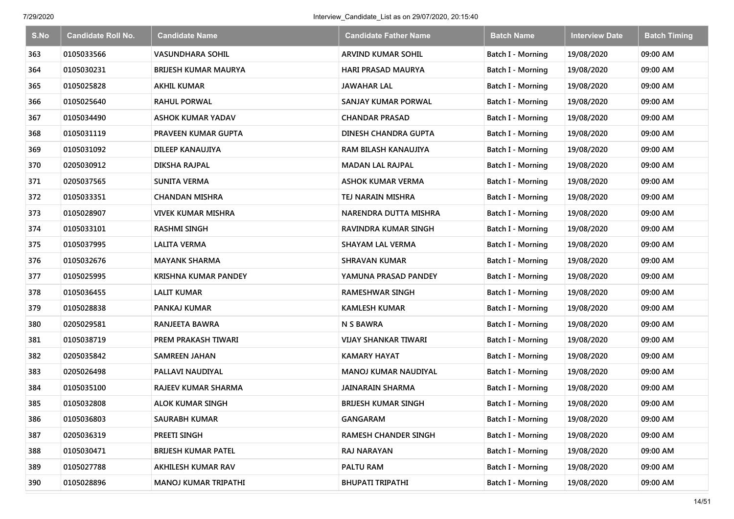| S.No | <b>Candidate Roll No.</b> | <b>Candidate Name</b>       | <b>Candidate Father Name</b> | <b>Batch Name</b>        | <b>Interview Date</b> | <b>Batch Timing</b> |
|------|---------------------------|-----------------------------|------------------------------|--------------------------|-----------------------|---------------------|
| 363  | 0105033566                | <b>VASUNDHARA SOHIL</b>     | ARVIND KUMAR SOHIL           | Batch I - Morning        | 19/08/2020            | 09:00 AM            |
| 364  | 0105030231                | BRIJESH KUMAR MAURYA        | HARI PRASAD MAURYA           | Batch I - Morning        | 19/08/2020            | 09:00 AM            |
| 365  | 0105025828                | <b>AKHIL KUMAR</b>          | <b>JAWAHAR LAL</b>           | Batch I - Morning        | 19/08/2020            | 09:00 AM            |
| 366  | 0105025640                | <b>RAHUL PORWAL</b>         | SANJAY KUMAR PORWAL          | Batch I - Morning        | 19/08/2020            | 09:00 AM            |
| 367  | 0105034490                | <b>ASHOK KUMAR YADAV</b>    | <b>CHANDAR PRASAD</b>        | Batch I - Morning        | 19/08/2020            | 09:00 AM            |
| 368  | 0105031119                | <b>PRAVEEN KUMAR GUPTA</b>  | <b>DINESH CHANDRA GUPTA</b>  | Batch I - Morning        | 19/08/2020            | 09:00 AM            |
| 369  | 0105031092                | DILEEP KANAUJIYA            | RAM BILASH KANAUJIYA         | Batch I - Morning        | 19/08/2020            | 09:00 AM            |
| 370  | 0205030912                | DIKSHA RAJPAL               | <b>MADAN LAL RAJPAL</b>      | <b>Batch I - Morning</b> | 19/08/2020            | 09:00 AM            |
| 371  | 0205037565                | <b>SUNITA VERMA</b>         | <b>ASHOK KUMAR VERMA</b>     | Batch I - Morning        | 19/08/2020            | 09:00 AM            |
| 372  | 0105033351                | <b>CHANDAN MISHRA</b>       | TEJ NARAIN MISHRA            | Batch I - Morning        | 19/08/2020            | 09:00 AM            |
| 373  | 0105028907                | <b>VIVEK KUMAR MISHRA</b>   | NARENDRA DUTTA MISHRA        | Batch I - Morning        | 19/08/2020            | 09:00 AM            |
| 374  | 0105033101                | <b>RASHMI SINGH</b>         | RAVINDRA KUMAR SINGH         | <b>Batch I - Morning</b> | 19/08/2020            | 09:00 AM            |
| 375  | 0105037995                | <b>LALITA VERMA</b>         | SHAYAM LAL VERMA             | Batch I - Morning        | 19/08/2020            | 09:00 AM            |
| 376  | 0105032676                | <b>MAYANK SHARMA</b>        | SHRAVAN KUMAR                | <b>Batch I - Morning</b> | 19/08/2020            | 09:00 AM            |
| 377  | 0105025995                | <b>KRISHNA KUMAR PANDEY</b> | YAMUNA PRASAD PANDEY         | Batch I - Morning        | 19/08/2020            | 09:00 AM            |
| 378  | 0105036455                | <b>LALIT KUMAR</b>          | <b>RAMESHWAR SINGH</b>       | Batch I - Morning        | 19/08/2020            | 09:00 AM            |
| 379  | 0105028838                | PANKAJ KUMAR                | <b>KAMLESH KUMAR</b>         | Batch I - Morning        | 19/08/2020            | 09:00 AM            |
| 380  | 0205029581                | RANJEETA BAWRA              | <b>N S BAWRA</b>             | Batch I - Morning        | 19/08/2020            | 09:00 AM            |
| 381  | 0105038719                | PREM PRAKASH TIWARI         | <b>VIJAY SHANKAR TIWARI</b>  | Batch I - Morning        | 19/08/2020            | 09:00 AM            |
| 382  | 0205035842                | <b>SAMREEN JAHAN</b>        | <b>KAMARY HAYAT</b>          | Batch I - Morning        | 19/08/2020            | 09:00 AM            |
| 383  | 0205026498                | PALLAVI NAUDIYAL            | <b>MANOJ KUMAR NAUDIYAL</b>  | Batch I - Morning        | 19/08/2020            | 09:00 AM            |
| 384  | 0105035100                | RAJEEV KUMAR SHARMA         | <b>JAINARAIN SHARMA</b>      | Batch I - Morning        | 19/08/2020            | 09:00 AM            |
| 385  | 0105032808                | <b>ALOK KUMAR SINGH</b>     | <b>BRIJESH KUMAR SINGH</b>   | Batch I - Morning        | 19/08/2020            | 09:00 AM            |
| 386  | 0105036803                | SAURABH KUMAR               | <b>GANGARAM</b>              | Batch I - Morning        | 19/08/2020            | 09:00 AM            |
| 387  | 0205036319                | <b>PREETI SINGH</b>         | <b>RAMESH CHANDER SINGH</b>  | Batch I - Morning        | 19/08/2020            | 09:00 AM            |
| 388  | 0105030471                | <b>BRIJESH KUMAR PATEL</b>  | <b>RAJ NARAYAN</b>           | Batch I - Morning        | 19/08/2020            | 09:00 AM            |
| 389  | 0105027788                | AKHILESH KUMAR RAV          | PALTU RAM                    | Batch I - Morning        | 19/08/2020            | 09:00 AM            |
| 390  | 0105028896                | <b>MANOJ KUMAR TRIPATHI</b> | <b>BHUPATI TRIPATHI</b>      | Batch I - Morning        | 19/08/2020            | 09:00 AM            |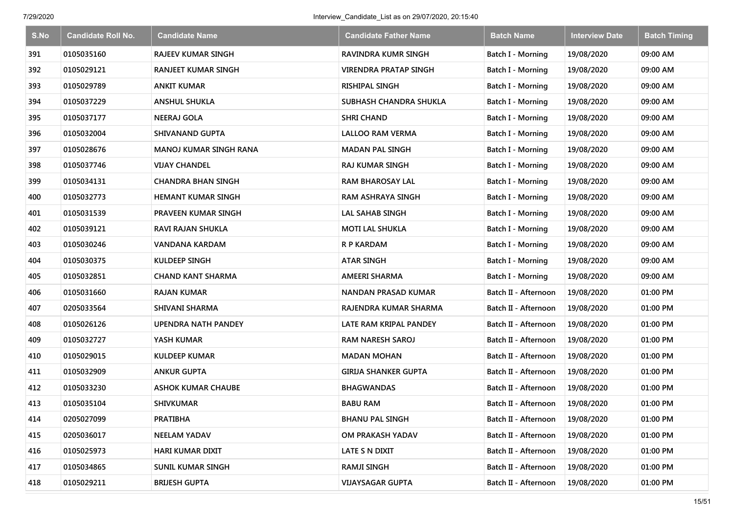| S.No | <b>Candidate Roll No.</b> | <b>Candidate Name</b>         | <b>Candidate Father Name</b> | <b>Batch Name</b>        | <b>Interview Date</b> | <b>Batch Timing</b> |
|------|---------------------------|-------------------------------|------------------------------|--------------------------|-----------------------|---------------------|
| 391  | 0105035160                | <b>RAJEEV KUMAR SINGH</b>     | <b>RAVINDRA KUMR SINGH</b>   | Batch I - Morning        | 19/08/2020            | 09:00 AM            |
| 392  | 0105029121                | <b>RANJEET KUMAR SINGH</b>    | VIRENDRA PRATAP SINGH        | Batch I - Morning        | 19/08/2020            | 09:00 AM            |
| 393  | 0105029789                | <b>ANKIT KUMAR</b>            | <b>RISHIPAL SINGH</b>        | Batch I - Morning        | 19/08/2020            | 09:00 AM            |
| 394  | 0105037229                | <b>ANSHUL SHUKLA</b>          | SUBHASH CHANDRA SHUKLA       | Batch I - Morning        | 19/08/2020            | 09:00 AM            |
| 395  | 0105037177                | <b>NEERAJ GOLA</b>            | <b>SHRI CHAND</b>            | <b>Batch I - Morning</b> | 19/08/2020            | 09:00 AM            |
| 396  | 0105032004                | SHIVANAND GUPTA               | LALLOO RAM VERMA             | Batch I - Morning        | 19/08/2020            | 09:00 AM            |
| 397  | 0105028676                | <b>MANOJ KUMAR SINGH RANA</b> | <b>MADAN PAL SINGH</b>       | Batch I - Morning        | 19/08/2020            | 09:00 AM            |
| 398  | 0105037746                | <b>VIJAY CHANDEL</b>          | <b>RAJ KUMAR SINGH</b>       | <b>Batch I - Morning</b> | 19/08/2020            | 09:00 AM            |
| 399  | 0105034131                | <b>CHANDRA BHAN SINGH</b>     | <b>RAM BHAROSAY LAL</b>      | Batch I - Morning        | 19/08/2020            | 09:00 AM            |
| 400  | 0105032773                | <b>HEMANT KUMAR SINGH</b>     | <b>RAM ASHRAYA SINGH</b>     | Batch I - Morning        | 19/08/2020            | 09:00 AM            |
| 401  | 0105031539                | PRAVEEN KUMAR SINGH           | LAL SAHAB SINGH              | Batch I - Morning        | 19/08/2020            | 09:00 AM            |
| 402  | 0105039121                | <b>RAVI RAJAN SHUKLA</b>      | <b>MOTI LAL SHUKLA</b>       | Batch I - Morning        | 19/08/2020            | 09:00 AM            |
| 403  | 0105030246                | VANDANA KARDAM                | <b>R P KARDAM</b>            | Batch I - Morning        | 19/08/2020            | 09:00 AM            |
| 404  | 0105030375                | KULDEEP SINGH                 | <b>ATAR SINGH</b>            | <b>Batch I - Morning</b> | 19/08/2020            | 09:00 AM            |
| 405  | 0105032851                | <b>CHAND KANT SHARMA</b>      | AMEERI SHARMA                | Batch I - Morning        | 19/08/2020            | 09:00 AM            |
| 406  | 0105031660                | <b>RAJAN KUMAR</b>            | <b>NANDAN PRASAD KUMAR</b>   | Batch II - Afternoon     | 19/08/2020            | 01:00 PM            |
| 407  | 0205033564                | SHIVANI SHARMA                | RAJENDRA KUMAR SHARMA        | Batch II - Afternoon     | 19/08/2020            | 01:00 PM            |
| 408  | 0105026126                | <b>UPENDRA NATH PANDEY</b>    | LATE RAM KRIPAL PANDEY       | Batch II - Afternoon     | 19/08/2020            | 01:00 PM            |
| 409  | 0105032727                | YASH KUMAR                    | <b>RAM NARESH SAROJ</b>      | Batch II - Afternoon     | 19/08/2020            | 01:00 PM            |
| 410  | 0105029015                | <b>KULDEEP KUMAR</b>          | <b>MADAN MOHAN</b>           | Batch II - Afternoon     | 19/08/2020            | 01:00 PM            |
| 411  | 0105032909                | <b>ANKUR GUPTA</b>            | <b>GIRIJA SHANKER GUPTA</b>  | Batch II - Afternoon     | 19/08/2020            | 01:00 PM            |
| 412  | 0105033230                | <b>ASHOK KUMAR CHAUBE</b>     | <b>BHAGWANDAS</b>            | Batch II - Afternoon     | 19/08/2020            | 01:00 PM            |
| 413  | 0105035104                | <b>SHIVKUMAR</b>              | <b>BABU RAM</b>              | Batch II - Afternoon     | 19/08/2020            | 01:00 PM            |
| 414  | 0205027099                | <b>PRATIBHA</b>               | <b>BHANU PAL SINGH</b>       | Batch II - Afternoon     | 19/08/2020            | 01:00 PM            |
| 415  | 0205036017                | <b>NEELAM YADAV</b>           | OM PRAKASH YADAV             | Batch II - Afternoon     | 19/08/2020            | 01:00 PM            |
| 416  | 0105025973                | <b>HARI KUMAR DIXIT</b>       | LATE S N DIXIT               | Batch II - Afternoon     | 19/08/2020            | 01:00 PM            |
| 417  | 0105034865                | <b>SUNIL KUMAR SINGH</b>      | RAMJI SINGH                  | Batch II - Afternoon     | 19/08/2020            | 01:00 PM            |
| 418  | 0105029211                | <b>BRIJESH GUPTA</b>          | <b>VIJAYSAGAR GUPTA</b>      | Batch II - Afternoon     | 19/08/2020            | 01:00 PM            |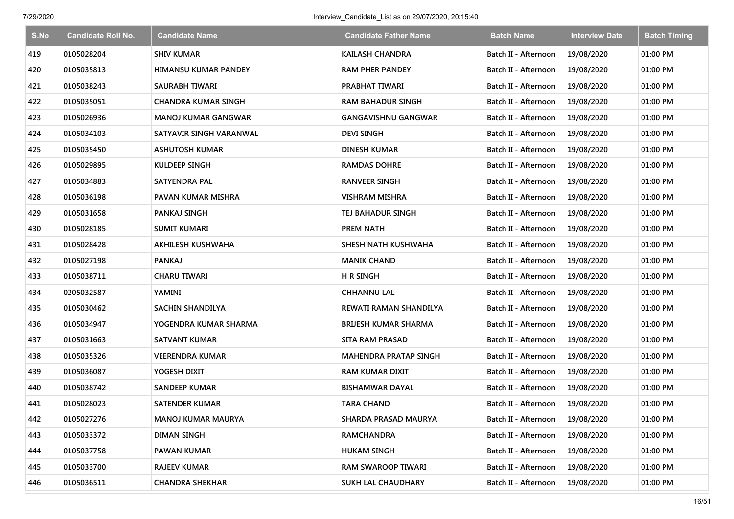| S.No | <b>Candidate Roll No.</b> | <b>Candidate Name</b>       | <b>Candidate Father Name</b> | <b>Batch Name</b>    | <b>Interview Date</b> | <b>Batch Timing</b> |
|------|---------------------------|-----------------------------|------------------------------|----------------------|-----------------------|---------------------|
| 419  | 0105028204                | <b>SHIV KUMAR</b>           | <b>KAILASH CHANDRA</b>       | Batch II - Afternoon | 19/08/2020            | 01:00 PM            |
| 420  | 0105035813                | <b>HIMANSU KUMAR PANDEY</b> | RAM PHER PANDEY              | Batch II - Afternoon | 19/08/2020            | 01:00 PM            |
| 421  | 0105038243                | SAURABH TIWARI              | PRABHAT TIWARI               | Batch II - Afternoon | 19/08/2020            | 01:00 PM            |
| 422  | 0105035051                | <b>CHANDRA KUMAR SINGH</b>  | RAM BAHADUR SINGH            | Batch II - Afternoon | 19/08/2020            | 01:00 PM            |
| 423  | 0105026936                | <b>MANOJ KUMAR GANGWAR</b>  | <b>GANGAVISHNU GANGWAR</b>   | Batch II - Afternoon | 19/08/2020            | 01:00 PM            |
| 424  | 0105034103                | SATYAVIR SINGH VARANWAL     | <b>DEVI SINGH</b>            | Batch II - Afternoon | 19/08/2020            | 01:00 PM            |
| 425  | 0105035450                | <b>ASHUTOSH KUMAR</b>       | <b>DINESH KUMAR</b>          | Batch II - Afternoon | 19/08/2020            | 01:00 PM            |
| 426  | 0105029895                | <b>KULDEEP SINGH</b>        | <b>RAMDAS DOHRE</b>          | Batch II - Afternoon | 19/08/2020            | 01:00 PM            |
| 427  | 0105034883                | <b>SATYENDRA PAL</b>        | <b>RANVEER SINGH</b>         | Batch II - Afternoon | 19/08/2020            | 01:00 PM            |
| 428  | 0105036198                | PAVAN KUMAR MISHRA          | VISHRAM MISHRA               | Batch II - Afternoon | 19/08/2020            | 01:00 PM            |
| 429  | 0105031658                | PANKAJ SINGH                | TEJ BAHADUR SINGH            | Batch II - Afternoon | 19/08/2020            | 01:00 PM            |
| 430  | 0105028185                | SUMIT KUMARI                | <b>PREM NATH</b>             | Batch II - Afternoon | 19/08/2020            | 01:00 PM            |
| 431  | 0105028428                | AKHILESH KUSHWAHA           | SHESH NATH KUSHWAHA          | Batch II - Afternoon | 19/08/2020            | 01:00 PM            |
| 432  | 0105027198                | <b>PANKAJ</b>               | <b>MANIK CHAND</b>           | Batch II - Afternoon | 19/08/2020            | 01:00 PM            |
| 433  | 0105038711                | <b>CHARU TIWARI</b>         | <b>H R SINGH</b>             | Batch II - Afternoon | 19/08/2020            | 01:00 PM            |
| 434  | 0205032587                | YAMINI                      | <b>CHHANNU LAL</b>           | Batch II - Afternoon | 19/08/2020            | 01:00 PM            |
| 435  | 0105030462                | <b>SACHIN SHANDILYA</b>     | REWATI RAMAN SHANDILYA       | Batch II - Afternoon | 19/08/2020            | 01:00 PM            |
| 436  | 0105034947                | YOGENDRA KUMAR SHARMA       | BRIJESH KUMAR SHARMA         | Batch II - Afternoon | 19/08/2020            | 01:00 PM            |
| 437  | 0105031663                | <b>SATVANT KUMAR</b>        | <b>SITA RAM PRASAD</b>       | Batch II - Afternoon | 19/08/2020            | 01:00 PM            |
| 438  | 0105035326                | VEERENDRA KUMAR             | <b>MAHENDRA PRATAP SINGH</b> | Batch II - Afternoon | 19/08/2020            | 01:00 PM            |
| 439  | 0105036087                | YOGESH DIXIT                | <b>RAM KUMAR DIXIT</b>       | Batch II - Afternoon | 19/08/2020            | 01:00 PM            |
| 440  | 0105038742                | <b>SANDEEP KUMAR</b>        | BISHAMWAR DAYAL              | Batch II - Afternoon | 19/08/2020            | 01:00 PM            |
| 441  | 0105028023                | <b>SATENDER KUMAR</b>       | <b>TARA CHAND</b>            | Batch II - Afternoon | 19/08/2020            | 01:00 PM            |
| 442  | 0105027276                | <b>MANOJ KUMAR MAURYA</b>   | SHARDA PRASAD MAURYA         | Batch II - Afternoon | 19/08/2020            | 01:00 PM            |
| 443  | 0105033372                | <b>DIMAN SINGH</b>          | <b>RAMCHANDRA</b>            | Batch II - Afternoon | 19/08/2020            | 01:00 PM            |
| 444  | 0105037758                | <b>PAWAN KUMAR</b>          | <b>HUKAM SINGH</b>           | Batch II - Afternoon | 19/08/2020            | 01:00 PM            |
| 445  | 0105033700                | <b>RAJEEV KUMAR</b>         | RAM SWAROOP TIWARI           | Batch II - Afternoon | 19/08/2020            | 01:00 PM            |
| 446  | 0105036511                | <b>CHANDRA SHEKHAR</b>      | SUKH LAL CHAUDHARY           | Batch II - Afternoon | 19/08/2020            | 01:00 PM            |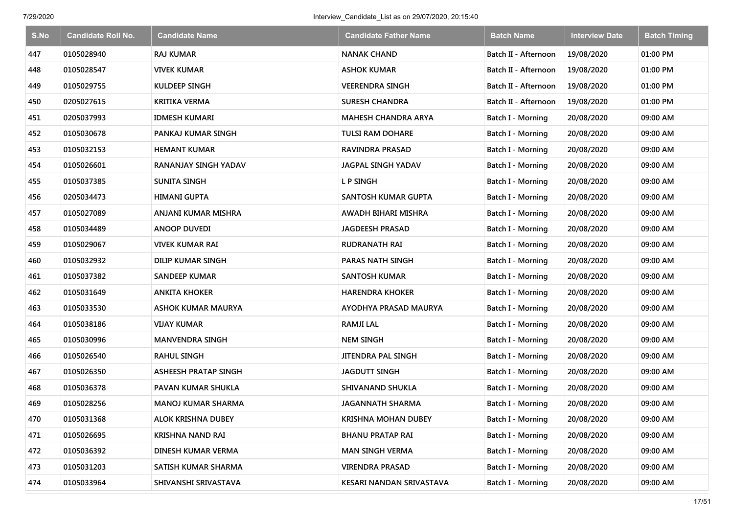| S.No | <b>Candidate Roll No.</b> | <b>Candidate Name</b>       | Candidate Father Name      | <b>Batch Name</b>        | <b>Interview Date</b> | <b>Batch Timing</b> |
|------|---------------------------|-----------------------------|----------------------------|--------------------------|-----------------------|---------------------|
| 447  | 0105028940                | <b>RAJ KUMAR</b>            | <b>NANAK CHAND</b>         | Batch II - Afternoon     | 19/08/2020            | 01:00 PM            |
| 448  | 0105028547                | <b>VIVEK KUMAR</b>          | <b>ASHOK KUMAR</b>         | Batch II - Afternoon     | 19/08/2020            | 01:00 PM            |
| 449  | 0105029755                | <b>KULDEEP SINGH</b>        | <b>VEERENDRA SINGH</b>     | Batch II - Afternoon     | 19/08/2020            | 01:00 PM            |
| 450  | 0205027615                | <b>KRITIKA VERMA</b>        | <b>SURESH CHANDRA</b>      | Batch II - Afternoon     | 19/08/2020            | 01:00 PM            |
| 451  | 0205037993                | <b>IDMESH KUMARI</b>        | <b>MAHESH CHANDRA ARYA</b> | <b>Batch I - Morning</b> | 20/08/2020            | 09:00 AM            |
| 452  | 0105030678                | PANKAJ KUMAR SINGH          | <b>TULSI RAM DOHARE</b>    | <b>Batch I - Morning</b> | 20/08/2020            | 09:00 AM            |
| 453  | 0105032153                | <b>HEMANT KUMAR</b>         | RAVINDRA PRASAD            | Batch I - Morning        | 20/08/2020            | 09:00 AM            |
| 454  | 0105026601                | RANANJAY SINGH YADAV        | JAGPAL SINGH YADAV         | <b>Batch I - Morning</b> | 20/08/2020            | 09:00 AM            |
| 455  | 0105037385                | <b>SUNITA SINGH</b>         | L P SINGH                  | Batch I - Morning        | 20/08/2020            | 09:00 AM            |
| 456  | 0205034473                | HIMANI GUPTA                | SANTOSH KUMAR GUPTA        | Batch I - Morning        | 20/08/2020            | 09:00 AM            |
| 457  | 0105027089                | ANJANI KUMAR MISHRA         | AWADH BIHARI MISHRA        | Batch I - Morning        | 20/08/2020            | 09:00 AM            |
| 458  | 0105034489                | <b>ANOOP DUVEDI</b>         | <b>JAGDEESH PRASAD</b>     | Batch I - Morning        | 20/08/2020            | 09:00 AM            |
| 459  | 0105029067                | <b>VIVEK KUMAR RAI</b>      | RUDRANATH RAI              | Batch I - Morning        | 20/08/2020            | 09:00 AM            |
| 460  | 0105032932                | <b>DILIP KUMAR SINGH</b>    | PARAS NATH SINGH           | <b>Batch I - Morning</b> | 20/08/2020            | 09:00 AM            |
| 461  | 0105037382                | <b>SANDEEP KUMAR</b>        | <b>SANTOSH KUMAR</b>       | Batch I - Morning        | 20/08/2020            | 09:00 AM            |
| 462  | 0105031649                | <b>ANKITA KHOKER</b>        | <b>HARENDRA KHOKER</b>     | Batch I - Morning        | 20/08/2020            | 09:00 AM            |
| 463  | 0105033530                | <b>ASHOK KUMAR MAURYA</b>   | AYODHYA PRASAD MAURYA      | Batch I - Morning        | 20/08/2020            | 09:00 AM            |
| 464  | 0105038186                | VIJAY KUMAR                 | <b>RAMJI LAL</b>           | <b>Batch I - Morning</b> | 20/08/2020            | 09:00 AM            |
| 465  | 0105030996                | <b>MANVENDRA SINGH</b>      | <b>NEM SINGH</b>           | <b>Batch I - Morning</b> | 20/08/2020            | 09:00 AM            |
| 466  | 0105026540                | <b>RAHUL SINGH</b>          | <b>JITENDRA PAL SINGH</b>  | Batch I - Morning        | 20/08/2020            | 09:00 AM            |
| 467  | 0105026350                | <b>ASHEESH PRATAP SINGH</b> | <b>JAGDUTT SINGH</b>       | Batch I - Morning        | 20/08/2020            | 09:00 AM            |
| 468  | 0105036378                | <b>PAVAN KUMAR SHUKLA</b>   | <b>SHIVANAND SHUKLA</b>    | Batch I - Morning        | 20/08/2020            | 09:00 AM            |
| 469  | 0105028256                | <b>MANOJ KUMAR SHARMA</b>   | <b>JAGANNATH SHARMA</b>    | Batch I - Morning        | 20/08/2020            | 09:00 AM            |
| 470  | 0105031368                | ALOK KRISHNA DUBEY          | <b>KRISHNA MOHAN DUBEY</b> | <b>Batch I - Morning</b> | 20/08/2020            | 09:00 AM            |
| 471  | 0105026695                | KRISHNA NAND RAI            | <b>BHANU PRATAP RAI</b>    | Batch I - Morning        | 20/08/2020            | 09:00 AM            |
| 472  | 0105036392                | DINESH KUMAR VERMA          | <b>MAN SINGH VERMA</b>     | Batch I - Morning        | 20/08/2020            | 09:00 AM            |
| 473  | 0105031203                | SATISH KUMAR SHARMA         | <b>VIRENDRA PRASAD</b>     | Batch I - Morning        | 20/08/2020            | 09:00 AM            |
| 474  | 0105033964                | SHIVANSHI SRIVASTAVA        | KESARI NANDAN SRIVASTAVA   | <b>Batch I - Morning</b> | 20/08/2020            | 09:00 AM            |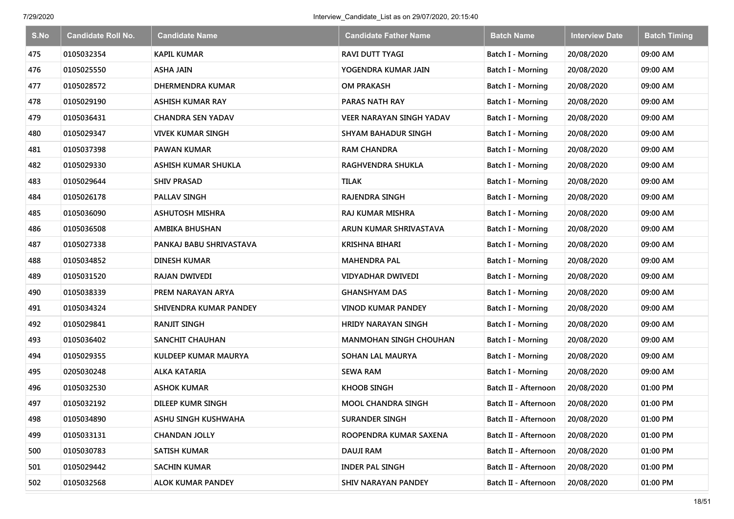| S.No | <b>Candidate Roll No.</b> | <b>Candidate Name</b>    | <b>Candidate Father Name</b>    | <b>Batch Name</b>        | <b>Interview Date</b> | <b>Batch Timing</b> |
|------|---------------------------|--------------------------|---------------------------------|--------------------------|-----------------------|---------------------|
| 475  | 0105032354                | <b>KAPIL KUMAR</b>       | RAVI DUTT TYAGI                 | Batch I - Morning        | 20/08/2020            | 09:00 AM            |
| 476  | 0105025550                | <b>ASHA JAIN</b>         | YOGENDRA KUMAR JAIN             | Batch I - Morning        | 20/08/2020            | 09:00 AM            |
| 477  | 0105028572                | <b>DHERMENDRA KUMAR</b>  | <b>OM PRAKASH</b>               | Batch I - Morning        | 20/08/2020            | 09:00 AM            |
| 478  | 0105029190                | <b>ASHISH KUMAR RAY</b>  | <b>PARAS NATH RAY</b>           | Batch I - Morning        | 20/08/2020            | 09:00 AM            |
| 479  | 0105036431                | <b>CHANDRA SEN YADAV</b> | <b>VEER NARAYAN SINGH YADAV</b> | Batch I - Morning        | 20/08/2020            | 09:00 AM            |
| 480  | 0105029347                | <b>VIVEK KUMAR SINGH</b> | <b>SHYAM BAHADUR SINGH</b>      | Batch I - Morning        | 20/08/2020            | 09:00 AM            |
| 481  | 0105037398                | <b>PAWAN KUMAR</b>       | <b>RAM CHANDRA</b>              | Batch I - Morning        | 20/08/2020            | 09:00 AM            |
| 482  | 0105029330                | ASHISH KUMAR SHUKLA      | RAGHVENDRA SHUKLA               | <b>Batch I - Morning</b> | 20/08/2020            | 09:00 AM            |
| 483  | 0105029644                | <b>SHIV PRASAD</b>       | <b>TILAK</b>                    | Batch I - Morning        | 20/08/2020            | 09:00 AM            |
| 484  | 0105026178                | <b>PALLAV SINGH</b>      | <b>RAJENDRA SINGH</b>           | Batch I - Morning        | 20/08/2020            | 09:00 AM            |
| 485  | 0105036090                | <b>ASHUTOSH MISHRA</b>   | RAJ KUMAR MISHRA                | Batch I - Morning        | 20/08/2020            | 09:00 AM            |
| 486  | 0105036508                | AMBIKA BHUSHAN           | ARUN KUMAR SHRIVASTAVA          | <b>Batch I - Morning</b> | 20/08/2020            | 09:00 AM            |
| 487  | 0105027338                | PANKAJ BABU SHRIVASTAVA  | KRISHNA BIHARI                  | Batch I - Morning        | 20/08/2020            | 09:00 AM            |
| 488  | 0105034852                | DINESH KUMAR             | <b>MAHENDRA PAL</b>             | <b>Batch I - Morning</b> | 20/08/2020            | 09:00 AM            |
| 489  | 0105031520                | <b>RAJAN DWIVEDI</b>     | <b>VIDYADHAR DWIVEDI</b>        | Batch I - Morning        | 20/08/2020            | 09:00 AM            |
| 490  | 0105038339                | PREM NARAYAN ARYA        | GHANSHYAM DAS                   | Batch I - Morning        | 20/08/2020            | 09:00 AM            |
| 491  | 0105034324                | SHIVENDRA KUMAR PANDEY   | VINOD KUMAR PANDEY              | Batch I - Morning        | 20/08/2020            | 09:00 AM            |
| 492  | 0105029841                | <b>RANJIT SINGH</b>      | <b>HRIDY NARAYAN SINGH</b>      | Batch I - Morning        | 20/08/2020            | 09:00 AM            |
| 493  | 0105036402                | SANCHIT CHAUHAN          | <b>MANMOHAN SINGH CHOUHAN</b>   | Batch I - Morning        | 20/08/2020            | 09:00 AM            |
| 494  | 0105029355                | KULDEEP KUMAR MAURYA     | <b>SOHAN LAL MAURYA</b>         | Batch I - Morning        | 20/08/2020            | 09:00 AM            |
| 495  | 0205030248                | <b>ALKA KATARIA</b>      | <b>SEWA RAM</b>                 | Batch I - Morning        | 20/08/2020            | 09:00 AM            |
| 496  | 0105032530                | <b>ASHOK KUMAR</b>       | <b>KHOOB SINGH</b>              | Batch II - Afternoon     | 20/08/2020            | 01:00 PM            |
| 497  | 0105032192                | DILEEP KUMR SINGH        | <b>MOOL CHANDRA SINGH</b>       | Batch II - Afternoon     | 20/08/2020            | 01:00 PM            |
| 498  | 0105034890                | ASHU SINGH KUSHWAHA      | <b>SURANDER SINGH</b>           | Batch II - Afternoon     | 20/08/2020            | 01:00 PM            |
| 499  | 0105033131                | <b>CHANDAN JOLLY</b>     | ROOPENDRA KUMAR SAXENA          | Batch II - Afternoon     | 20/08/2020            | 01:00 PM            |
| 500  | 0105030783                | <b>SATISH KUMAR</b>      | <b>DAUJI RAM</b>                | Batch II - Afternoon     | 20/08/2020            | 01:00 PM            |
| 501  | 0105029442                | <b>SACHIN KUMAR</b>      | <b>INDER PAL SINGH</b>          | Batch II - Afternoon     | 20/08/2020            | 01:00 PM            |
| 502  | 0105032568                | <b>ALOK KUMAR PANDEY</b> | SHIV NARAYAN PANDEY             | Batch II - Afternoon     | 20/08/2020            | 01:00 PM            |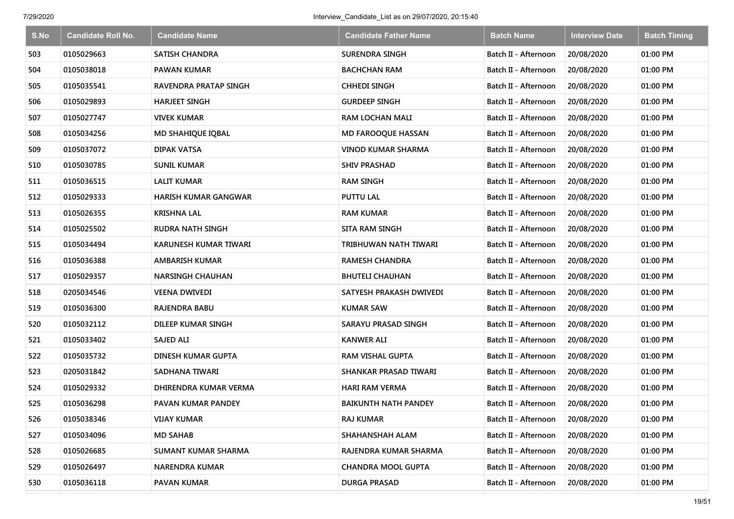| S.No | <b>Candidate Roll No.</b> | <b>Candidate Name</b>        | <b>Candidate Father Name</b> | <b>Batch Name</b>    | <b>Interview Date</b> | <b>Batch Timing</b> |
|------|---------------------------|------------------------------|------------------------------|----------------------|-----------------------|---------------------|
| 503  | 0105029663                | <b>SATISH CHANDRA</b>        | <b>SURENDRA SINGH</b>        | Batch II - Afternoon | 20/08/2020            | 01:00 PM            |
| 504  | 0105038018                | <b>PAWAN KUMAR</b>           | <b>BACHCHAN RAM</b>          | Batch II - Afternoon | 20/08/2020            | 01:00 PM            |
| 505  | 0105035541                | <b>RAVENDRA PRATAP SINGH</b> | <b>CHHEDI SINGH</b>          | Batch II - Afternoon | 20/08/2020            | 01:00 PM            |
| 506  | 0105029893                | <b>HARJEET SINGH</b>         | <b>GURDEEP SINGH</b>         | Batch II - Afternoon | 20/08/2020            | 01:00 PM            |
| 507  | 0105027747                | <b>VIVEK KUMAR</b>           | <b>RAM LOCHAN MALI</b>       | Batch II - Afternoon | 20/08/2020            | 01:00 PM            |
| 508  | 0105034256                | MD SHAHIQUE IQBAL            | MD FAROOQUE HASSAN           | Batch II - Afternoon | 20/08/2020            | 01:00 PM            |
| 509  | 0105037072                | <b>DIPAK VATSA</b>           | <b>VINOD KUMAR SHARMA</b>    | Batch II - Afternoon | 20/08/2020            | 01:00 PM            |
| 510  | 0105030785                | <b>SUNIL KUMAR</b>           | <b>SHIV PRASHAD</b>          | Batch II - Afternoon | 20/08/2020            | 01:00 PM            |
| 511  | 0105036515                | <b>LALIT KUMAR</b>           | <b>RAM SINGH</b>             | Batch II - Afternoon | 20/08/2020            | 01:00 PM            |
| 512  | 0105029333                | <b>HARISH KUMAR GANGWAR</b>  | <b>PUTTU LAL</b>             | Batch II - Afternoon | 20/08/2020            | 01:00 PM            |
| 513  | 0105026355                | <b>KRISHNA LAL</b>           | <b>RAM KUMAR</b>             | Batch II - Afternoon | 20/08/2020            | 01:00 PM            |
| 514  | 0105025502                | <b>RUDRA NATH SINGH</b>      | SITA RAM SINGH               | Batch II - Afternoon | 20/08/2020            | 01:00 PM            |
| 515  | 0105034494                | KARUNESH KUMAR TIWARI        | TRIBHUWAN NATH TIWARI        | Batch II - Afternoon | 20/08/2020            | 01:00 PM            |
| 516  | 0105036388                | <b>AMBARISH KUMAR</b>        | <b>RAMESH CHANDRA</b>        | Batch II - Afternoon | 20/08/2020            | 01:00 PM            |
| 517  | 0105029357                | <b>NARSINGH CHAUHAN</b>      | <b>BHUTELI CHAUHAN</b>       | Batch II - Afternoon | 20/08/2020            | 01:00 PM            |
| 518  | 0205034546                | <b>VEENA DWIVEDI</b>         | SATYESH PRAKASH DWIVEDI      | Batch II - Afternoon | 20/08/2020            | 01:00 PM            |
| 519  | 0105036300                | <b>RAJENDRA BABU</b>         | <b>KUMAR SAW</b>             | Batch II - Afternoon | 20/08/2020            | 01:00 PM            |
| 520  | 0105032112                | DILEEP KUMAR SINGH           | SARAYU PRASAD SINGH          | Batch II - Afternoon | 20/08/2020            | 01:00 PM            |
| 521  | 0105033402                | <b>SAJED ALI</b>             | <b>KANWER ALI</b>            | Batch II - Afternoon | 20/08/2020            | 01:00 PM            |
| 522  | 0105035732                | DINESH KUMAR GUPTA           | <b>RAM VISHAL GUPTA</b>      | Batch II - Afternoon | 20/08/2020            | 01:00 PM            |
| 523  | 0205031842                | SADHANA TIWARI               | SHANKAR PRASAD TIWARI        | Batch II - Afternoon | 20/08/2020            | 01:00 PM            |
| 524  | 0105029332                | DHIRENDRA KUMAR VERMA        | <b>HARI RAM VERMA</b>        | Batch II - Afternoon | 20/08/2020            | 01:00 PM            |
| 525  | 0105036298                | PAVAN KUMAR PANDEY           | <b>BAIKUNTH NATH PANDEY</b>  | Batch II - Afternoon | 20/08/2020            | 01:00 PM            |
| 526  | 0105038346                | <b>VIJAY KUMAR</b>           | <b>RAJ KUMAR</b>             | Batch II - Afternoon | 20/08/2020            | 01:00 PM            |
| 527  | 0105034096                | <b>MD SAHAB</b>              | SHAHANSHAH ALAM              | Batch II - Afternoon | 20/08/2020            | 01:00 PM            |
| 528  | 0105026685                | <b>SUMANT KUMAR SHARMA</b>   | RAJENDRA KUMAR SHARMA        | Batch II - Afternoon | 20/08/2020            | 01:00 PM            |
| 529  | 0105026497                | <b>NARENDRA KUMAR</b>        | <b>CHANDRA MOOL GUPTA</b>    | Batch II - Afternoon | 20/08/2020            | 01:00 PM            |
| 530  | 0105036118                | <b>PAVAN KUMAR</b>           | <b>DURGA PRASAD</b>          | Batch II - Afternoon | 20/08/2020            | 01:00 PM            |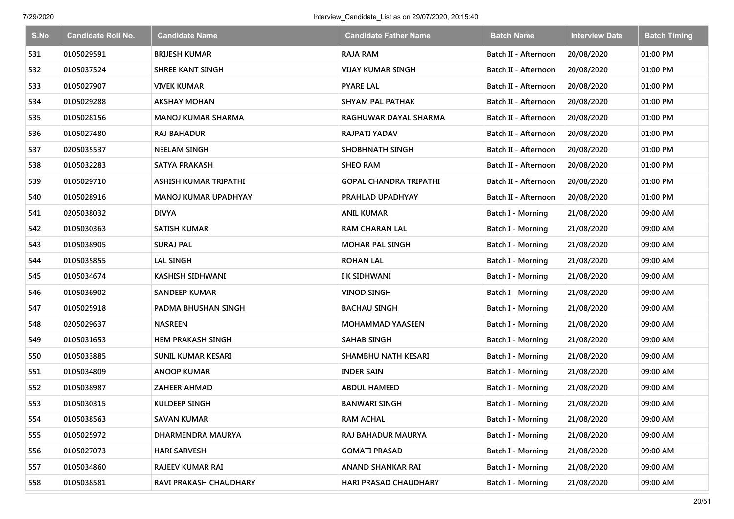| S.No | <b>Candidate Roll No.</b> | <b>Candidate Name</b>       | <b>Candidate Father Name</b>  | <b>Batch Name</b>        | <b>Interview Date</b> | <b>Batch Timing</b> |
|------|---------------------------|-----------------------------|-------------------------------|--------------------------|-----------------------|---------------------|
| 531  | 0105029591                | <b>BRIJESH KUMAR</b>        | <b>RAJA RAM</b>               | Batch II - Afternoon     | 20/08/2020            | 01:00 PM            |
| 532  | 0105037524                | <b>SHREE KANT SINGH</b>     | <b>VIJAY KUMAR SINGH</b>      | Batch II - Afternoon     | 20/08/2020            | 01:00 PM            |
| 533  | 0105027907                | <b>VIVEK KUMAR</b>          | <b>PYARE LAL</b>              | Batch II - Afternoon     | 20/08/2020            | 01:00 PM            |
| 534  | 0105029288                | <b>AKSHAY MOHAN</b>         | <b>SHYAM PAL PATHAK</b>       | Batch II - Afternoon     | 20/08/2020            | 01:00 PM            |
| 535  | 0105028156                | <b>MANOJ KUMAR SHARMA</b>   | RAGHUWAR DAYAL SHARMA         | Batch II - Afternoon     | 20/08/2020            | 01:00 PM            |
| 536  | 0105027480                | <b>RAJ BAHADUR</b>          | RAJPATI YADAV                 | Batch II - Afternoon     | 20/08/2020            | 01:00 PM            |
| 537  | 0205035537                | <b>NEELAM SINGH</b>         | <b>SHOBHNATH SINGH</b>        | Batch II - Afternoon     | 20/08/2020            | 01:00 PM            |
| 538  | 0105032283                | <b>SATYA PRAKASH</b>        | <b>SHEO RAM</b>               | Batch II - Afternoon     | 20/08/2020            | 01:00 PM            |
| 539  | 0105029710                | ASHISH KUMAR TRIPATHI       | <b>GOPAL CHANDRA TRIPATHI</b> | Batch II - Afternoon     | 20/08/2020            | 01:00 PM            |
| 540  | 0105028916                | <b>MANOJ KUMAR UPADHYAY</b> | PRAHLAD UPADHYAY              | Batch II - Afternoon     | 20/08/2020            | 01:00 PM            |
| 541  | 0205038032                | <b>DIVYA</b>                | <b>ANIL KUMAR</b>             | Batch I - Morning        | 21/08/2020            | 09:00 AM            |
| 542  | 0105030363                | <b>SATISH KUMAR</b>         | <b>RAM CHARAN LAL</b>         | Batch I - Morning        | 21/08/2020            | 09:00 AM            |
| 543  | 0105038905                | <b>SURAJ PAL</b>            | <b>MOHAR PAL SINGH</b>        | Batch I - Morning        | 21/08/2020            | 09:00 AM            |
| 544  | 0105035855                | <b>LAL SINGH</b>            | <b>ROHAN LAL</b>              | <b>Batch I - Morning</b> | 21/08/2020            | 09:00 AM            |
| 545  | 0105034674                | <b>KASHISH SIDHWANI</b>     | I K SIDHWANI                  | Batch I - Morning        | 21/08/2020            | 09:00 AM            |
| 546  | 0105036902                | <b>SANDEEP KUMAR</b>        | <b>VINOD SINGH</b>            | Batch I - Morning        | 21/08/2020            | 09:00 AM            |
| 547  | 0105025918                | PADMA BHUSHAN SINGH         | <b>BACHAU SINGH</b>           | Batch I - Morning        | 21/08/2020            | 09:00 AM            |
| 548  | 0205029637                | <b>NASREEN</b>              | <b>MOHAMMAD YAASEEN</b>       | Batch I - Morning        | 21/08/2020            | 09:00 AM            |
| 549  | 0105031653                | <b>HEM PRAKASH SINGH</b>    | <b>SAHAB SINGH</b>            | Batch I - Morning        | 21/08/2020            | 09:00 AM            |
| 550  | 0105033885                | SUNIL KUMAR KESARI          | SHAMBHU NATH KESARI           | Batch I - Morning        | 21/08/2020            | 09:00 AM            |
| 551  | 0105034809                | <b>ANOOP KUMAR</b>          | <b>INDER SAIN</b>             | Batch I - Morning        | 21/08/2020            | 09:00 AM            |
| 552  | 0105038987                | <b>ZAHEER AHMAD</b>         | <b>ABDUL HAMEED</b>           | <b>Batch I - Morning</b> | 21/08/2020            | 09:00 AM            |
| 553  | 0105030315                | KULDEEP SINGH               | <b>BANWARI SINGH</b>          | Batch I - Morning        | 21/08/2020            | 09:00 AM            |
| 554  | 0105038563                | <b>SAVAN KUMAR</b>          | <b>RAM ACHAL</b>              | Batch I - Morning        | 21/08/2020            | 09:00 AM            |
| 555  | 0105025972                | DHARMENDRA MAURYA           | RAJ BAHADUR MAURYA            | Batch I - Morning        | 21/08/2020            | 09:00 AM            |
| 556  | 0105027073                | <b>HARI SARVESH</b>         | <b>GOMATI PRASAD</b>          | Batch I - Morning        | 21/08/2020            | 09:00 AM            |
| 557  | 0105034860                | RAJEEV KUMAR RAI            | ANAND SHANKAR RAI             | Batch I - Morning        | 21/08/2020            | 09:00 AM            |
| 558  | 0105038581                | RAVI PRAKASH CHAUDHARY      | HARI PRASAD CHAUDHARY         | <b>Batch I - Morning</b> | 21/08/2020            | 09:00 AM            |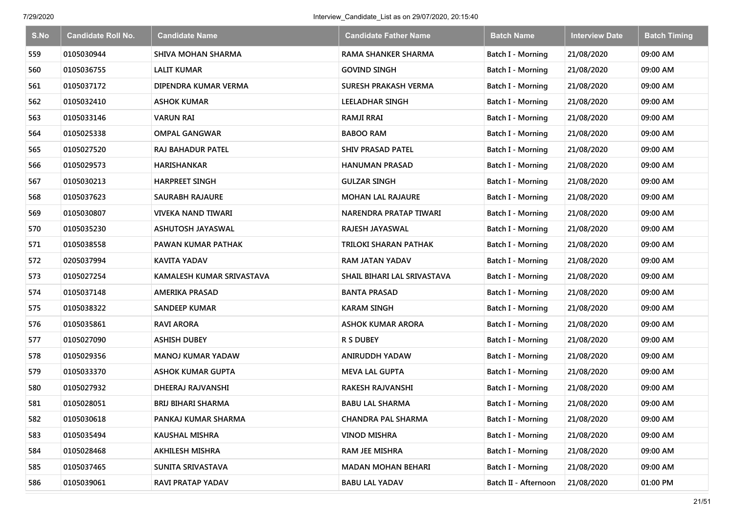| S.No | <b>Candidate Roll No.</b> | <b>Candidate Name</b>     | <b>Candidate Father Name</b> | <b>Batch Name</b>        | <b>Interview Date</b> | <b>Batch Timing</b> |
|------|---------------------------|---------------------------|------------------------------|--------------------------|-----------------------|---------------------|
| 559  | 0105030944                | SHIVA MOHAN SHARMA        | <b>RAMA SHANKER SHARMA</b>   | Batch I - Morning        | 21/08/2020            | 09:00 AM            |
| 560  | 0105036755                | <b>LALIT KUMAR</b>        | <b>GOVIND SINGH</b>          | Batch I - Morning        | 21/08/2020            | 09:00 AM            |
| 561  | 0105037172                | DIPENDRA KUMAR VERMA      | <b>SURESH PRAKASH VERMA</b>  | Batch I - Morning        | 21/08/2020            | 09:00 AM            |
| 562  | 0105032410                | <b>ASHOK KUMAR</b>        | LEELADHAR SINGH              | Batch I - Morning        | 21/08/2020            | 09:00 AM            |
| 563  | 0105033146                | <b>VARUN RAI</b>          | <b>RAMJI RRAI</b>            | Batch I - Morning        | 21/08/2020            | 09:00 AM            |
| 564  | 0105025338                | <b>OMPAL GANGWAR</b>      | <b>BABOO RAM</b>             | Batch I - Morning        | 21/08/2020            | 09:00 AM            |
| 565  | 0105027520                | <b>RAJ BAHADUR PATEL</b>  | <b>SHIV PRASAD PATEL</b>     | Batch I - Morning        | 21/08/2020            | 09:00 AM            |
| 566  | 0105029573                | <b>HARISHANKAR</b>        | HANUMAN PRASAD               | Batch I - Morning        | 21/08/2020            | 09:00 AM            |
| 567  | 0105030213                | <b>HARPREET SINGH</b>     | <b>GULZAR SINGH</b>          | Batch I - Morning        | 21/08/2020            | 09:00 AM            |
| 568  | 0105037623                | SAURABH RAJAURE           | <b>MOHAN LAL RAJAURE</b>     | Batch I - Morning        | 21/08/2020            | 09:00 AM            |
| 569  | 0105030807                | VIVEKA NAND TIWARI        | NARENDRA PRATAP TIWARI       | Batch I - Morning        | 21/08/2020            | 09:00 AM            |
| 570  | 0105035230                | ASHUTOSH JAYASWAL         | RAJESH JAYASWAL              | <b>Batch I - Morning</b> | 21/08/2020            | 09:00 AM            |
| 571  | 0105038558                | PAWAN KUMAR PATHAK        | TRILOKI SHARAN PATHAK        | Batch I - Morning        | 21/08/2020            | 09:00 AM            |
| 572  | 0205037994                | KAVITA YADAV              | RAM JATAN YADAV              | <b>Batch I - Morning</b> | 21/08/2020            | 09:00 AM            |
| 573  | 0105027254                | KAMALESH KUMAR SRIVASTAVA | SHAIL BIHARI LAL SRIVASTAVA  | Batch I - Morning        | 21/08/2020            | 09:00 AM            |
| 574  | 0105037148                | <b>AMERIKA PRASAD</b>     | <b>BANTA PRASAD</b>          | Batch I - Morning        | 21/08/2020            | 09:00 AM            |
| 575  | 0105038322                | <b>SANDEEP KUMAR</b>      | <b>KARAM SINGH</b>           | Batch I - Morning        | 21/08/2020            | 09:00 AM            |
| 576  | 0105035861                | <b>RAVI ARORA</b>         | <b>ASHOK KUMAR ARORA</b>     | Batch I - Morning        | 21/08/2020            | 09:00 AM            |
| 577  | 0105027090                | <b>ASHISH DUBEY</b>       | <b>R S DUBEY</b>             | Batch I - Morning        | 21/08/2020            | 09:00 AM            |
| 578  | 0105029356                | <b>MANOJ KUMAR YADAW</b>  | ANIRUDDH YADAW               | Batch I - Morning        | 21/08/2020            | 09:00 AM            |
| 579  | 0105033370                | <b>ASHOK KUMAR GUPTA</b>  | <b>MEVA LAL GUPTA</b>        | Batch I - Morning        | 21/08/2020            | 09:00 AM            |
| 580  | 0105027932                | DHEERAJ RAJVANSHI         | <b>RAKESH RAJVANSHI</b>      | Batch I - Morning        | 21/08/2020            | 09:00 AM            |
| 581  | 0105028051                | <b>BRIJ BIHARI SHARMA</b> | <b>BABU LAL SHARMA</b>       | Batch I - Morning        | 21/08/2020            | 09:00 AM            |
| 582  | 0105030618                | PANKAJ KUMAR SHARMA       | <b>CHANDRA PAL SHARMA</b>    | Batch I - Morning        | 21/08/2020            | 09:00 AM            |
| 583  | 0105035494                | <b>KAUSHAL MISHRA</b>     | <b>VINOD MISHRA</b>          | Batch I - Morning        | 21/08/2020            | 09:00 AM            |
| 584  | 0105028468                | <b>AKHILESH MISHRA</b>    | RAM JEE MISHRA               | Batch I - Morning        | 21/08/2020            | 09:00 AM            |
| 585  | 0105037465                | SUNITA SRIVASTAVA         | <b>MADAN MOHAN BEHARI</b>    | Batch I - Morning        | 21/08/2020            | 09:00 AM            |
| 586  | 0105039061                | RAVI PRATAP YADAV         | <b>BABU LAL YADAV</b>        | Batch II - Afternoon     | 21/08/2020            | 01:00 PM            |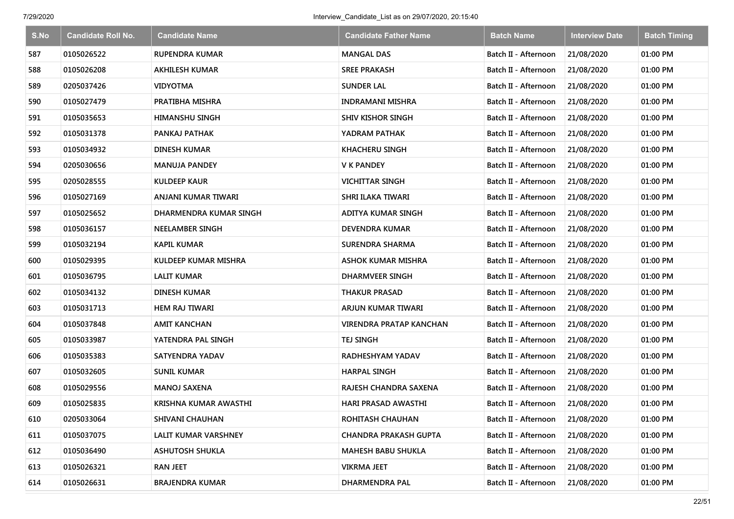| S.No | <b>Candidate Roll No.</b> | <b>Candidate Name</b>       | <b>Candidate Father Name</b> | <b>Batch Name</b>    | <b>Interview Date</b> | <b>Batch Timing</b> |
|------|---------------------------|-----------------------------|------------------------------|----------------------|-----------------------|---------------------|
| 587  | 0105026522                | <b>RUPENDRA KUMAR</b>       | <b>MANGAL DAS</b>            | Batch II - Afternoon | 21/08/2020            | 01:00 PM            |
| 588  | 0105026208                | <b>AKHILESH KUMAR</b>       | <b>SREE PRAKASH</b>          | Batch II - Afternoon | 21/08/2020            | 01:00 PM            |
| 589  | 0205037426                | <b>VIDYOTMA</b>             | <b>SUNDER LAL</b>            | Batch II - Afternoon | 21/08/2020            | 01:00 PM            |
| 590  | 0105027479                | PRATIBHA MISHRA             | <b>INDRAMANI MISHRA</b>      | Batch II - Afternoon | 21/08/2020            | 01:00 PM            |
| 591  | 0105035653                | <b>HIMANSHU SINGH</b>       | <b>SHIV KISHOR SINGH</b>     | Batch II - Afternoon | 21/08/2020            | 01:00 PM            |
| 592  | 0105031378                | PANKAJ PATHAK               | YADRAM PATHAK                | Batch II - Afternoon | 21/08/2020            | 01:00 PM            |
| 593  | 0105034932                | <b>DINESH KUMAR</b>         | <b>KHACHERU SINGH</b>        | Batch II - Afternoon | 21/08/2020            | 01:00 PM            |
| 594  | 0205030656                | <b>MANUJA PANDEY</b>        | <b>V K PANDEY</b>            | Batch II - Afternoon | 21/08/2020            | 01:00 PM            |
| 595  | 0205028555                | <b>KULDEEP KAUR</b>         | <b>VICHITTAR SINGH</b>       | Batch II - Afternoon | 21/08/2020            | 01:00 PM            |
| 596  | 0105027169                | ANJANI KUMAR TIWARI         | SHRI ILAKA TIWARI            | Batch II - Afternoon | 21/08/2020            | 01:00 PM            |
| 597  | 0105025652                | DHARMENDRA KUMAR SINGH      | ADITYA KUMAR SINGH           | Batch II - Afternoon | 21/08/2020            | 01:00 PM            |
| 598  | 0105036157                | <b>NEELAMBER SINGH</b>      | DEVENDRA KUMAR               | Batch II - Afternoon | 21/08/2020            | 01:00 PM            |
| 599  | 0105032194                | <b>KAPIL KUMAR</b>          | <b>SURENDRA SHARMA</b>       | Batch II - Afternoon | 21/08/2020            | 01:00 PM            |
| 600  | 0105029395                | <b>KULDEEP KUMAR MISHRA</b> | ASHOK KUMAR MISHRA           | Batch II - Afternoon | 21/08/2020            | 01:00 PM            |
| 601  | 0105036795                | <b>LALIT KUMAR</b>          | <b>DHARMVEER SINGH</b>       | Batch II - Afternoon | 21/08/2020            | 01:00 PM            |
| 602  | 0105034132                | DINESH KUMAR                | <b>THAKUR PRASAD</b>         | Batch II - Afternoon | 21/08/2020            | 01:00 PM            |
| 603  | 0105031713                | <b>HEM RAJ TIWARI</b>       | ARJUN KUMAR TIWARI           | Batch II - Afternoon | 21/08/2020            | 01:00 PM            |
| 604  | 0105037848                | AMIT KANCHAN                | VIRENDRA PRATAP KANCHAN      | Batch II - Afternoon | 21/08/2020            | 01:00 PM            |
| 605  | 0105033987                | YATENDRA PAL SINGH          | TEJ SINGH                    | Batch II - Afternoon | 21/08/2020            | 01:00 PM            |
| 606  | 0105035383                | SATYENDRA YADAV             | RADHESHYAM YADAV             | Batch II - Afternoon | 21/08/2020            | 01:00 PM            |
| 607  | 0105032605                | SUNIL KUMAR                 | <b>HARPAL SINGH</b>          | Batch II - Afternoon | 21/08/2020            | 01:00 PM            |
| 608  | 0105029556                | MANOJ SAXENA                | RAJESH CHANDRA SAXENA        | Batch II - Afternoon | 21/08/2020            | 01:00 PM            |
| 609  | 0105025835                | KRISHNA KUMAR AWASTHI       | <b>HARI PRASAD AWASTHI</b>   | Batch II - Afternoon | 21/08/2020            | 01:00 PM            |
| 610  | 0205033064                | SHIVANI CHAUHAN             | ROHITASH CHAUHAN             | Batch II - Afternoon | 21/08/2020            | 01:00 PM            |
| 611  | 0105037075                | LALIT KUMAR VARSHNEY        | <b>CHANDRA PRAKASH GUPTA</b> | Batch II - Afternoon | 21/08/2020            | 01:00 PM            |
| 612  | 0105036490                | <b>ASHUTOSH SHUKLA</b>      | <b>MAHESH BABU SHUKLA</b>    | Batch II - Afternoon | 21/08/2020            | 01:00 PM            |
| 613  | 0105026321                | <b>RAN JEET</b>             | <b>VIKRMA JEET</b>           | Batch II - Afternoon | 21/08/2020            | 01:00 PM            |
| 614  | 0105026631                | <b>BRAJENDRA KUMAR</b>      | <b>DHARMENDRA PAL</b>        | Batch II - Afternoon | 21/08/2020            | 01:00 PM            |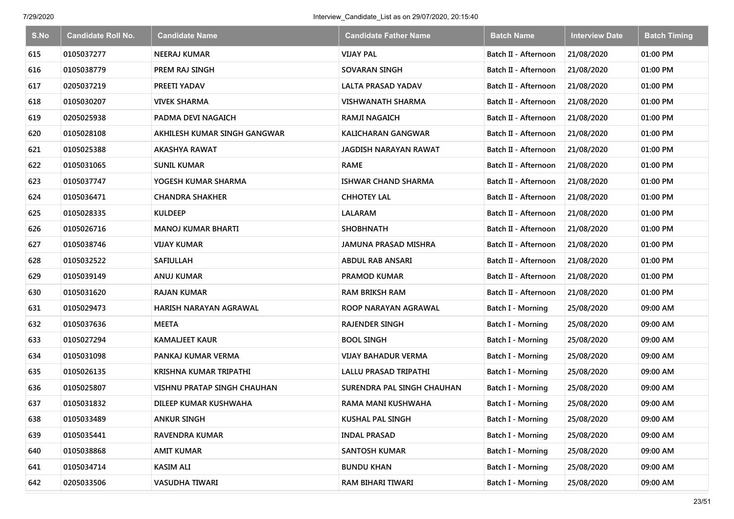| S.No | <b>Candidate Roll No.</b> | <b>Candidate Name</b>        | <b>Candidate Father Name</b> | <b>Batch Name</b>        | <b>Interview Date</b> | <b>Batch Timing</b> |
|------|---------------------------|------------------------------|------------------------------|--------------------------|-----------------------|---------------------|
| 615  | 0105037277                | <b>NEERAJ KUMAR</b>          | <b>VIJAY PAL</b>             | Batch II - Afternoon     | 21/08/2020            | 01:00 PM            |
| 616  | 0105038779                | PREM RAJ SINGH               | SOVARAN SINGH                | Batch II - Afternoon     | 21/08/2020            | 01:00 PM            |
| 617  | 0205037219                | PREETI YADAV                 | <b>LALTA PRASAD YADAV</b>    | Batch II - Afternoon     | 21/08/2020            | 01:00 PM            |
| 618  | 0105030207                | <b>VIVEK SHARMA</b>          | <b>VISHWANATH SHARMA</b>     | Batch II - Afternoon     | 21/08/2020            | 01:00 PM            |
| 619  | 0205025938                | PADMA DEVI NAGAICH           | <b>RAMJI NAGAICH</b>         | Batch II - Afternoon     | 21/08/2020            | 01:00 PM            |
| 620  | 0105028108                | AKHILESH KUMAR SINGH GANGWAR | <b>KALICHARAN GANGWAR</b>    | Batch II - Afternoon     | 21/08/2020            | 01:00 PM            |
| 621  | 0105025388                | <b>AKASHYA RAWAT</b>         | JAGDISH NARAYAN RAWAT        | Batch II - Afternoon     | 21/08/2020            | 01:00 PM            |
| 622  | 0105031065                | <b>SUNIL KUMAR</b>           | <b>RAME</b>                  | Batch II - Afternoon     | 21/08/2020            | 01:00 PM            |
| 623  | 0105037747                | YOGESH KUMAR SHARMA          | ISHWAR CHAND SHARMA          | Batch II - Afternoon     | 21/08/2020            | 01:00 PM            |
| 624  | 0105036471                | <b>CHANDRA SHAKHER</b>       | <b>CHHOTEY LAL</b>           | Batch II - Afternoon     | 21/08/2020            | 01:00 PM            |
| 625  | 0105028335                | <b>KULDEEP</b>               | <b>LALARAM</b>               | Batch II - Afternoon     | 21/08/2020            | 01:00 PM            |
| 626  | 0105026716                | <b>MANOJ KUMAR BHARTI</b>    | <b>SHOBHNATH</b>             | Batch II - Afternoon     | 21/08/2020            | 01:00 PM            |
| 627  | 0105038746                | <b>VIJAY KUMAR</b>           | <b>JAMUNA PRASAD MISHRA</b>  | Batch II - Afternoon     | 21/08/2020            | 01:00 PM            |
| 628  | 0105032522                | SAFIULLAH                    | ABDUL RAB ANSARI             | Batch II - Afternoon     | 21/08/2020            | 01:00 PM            |
| 629  | 0105039149                | <b>ANUJ KUMAR</b>            | PRAMOD KUMAR                 | Batch II - Afternoon     | 21/08/2020            | 01:00 PM            |
| 630  | 0105031620                | RAJAN KUMAR                  | <b>RAM BRIKSH RAM</b>        | Batch II - Afternoon     | 21/08/2020            | 01:00 PM            |
| 631  | 0105029473                | HARISH NARAYAN AGRAWAL       | ROOP NARAYAN AGRAWAL         | Batch I - Morning        | 25/08/2020            | 09:00 AM            |
| 632  | 0105037636                | <b>MEETA</b>                 | <b>RAJENDER SINGH</b>        | Batch I - Morning        | 25/08/2020            | 09:00 AM            |
| 633  | 0105027294                | <b>KAMALJEET KAUR</b>        | <b>BOOL SINGH</b>            | Batch I - Morning        | 25/08/2020            | 09:00 AM            |
| 634  | 0105031098                | PANKAJ KUMAR VERMA           | <b>VIJAY BAHADUR VERMA</b>   | Batch I - Morning        | 25/08/2020            | 09:00 AM            |
| 635  | 0105026135                | KRISHNA KUMAR TRIPATHI       | LALLU PRASAD TRIPATHI        | Batch I - Morning        | 25/08/2020            | 09:00 AM            |
| 636  | 0105025807                | VISHNU PRATAP SINGH CHAUHAN  | SURENDRA PAL SINGH CHAUHAN   | Batch I - Morning        | 25/08/2020            | 09:00 AM            |
| 637  | 0105031832                | DILEEP KUMAR KUSHWAHA        | <b>RAMA MANI KUSHWAHA</b>    | Batch I - Morning        | 25/08/2020            | 09:00 AM            |
| 638  | 0105033489                | <b>ANKUR SINGH</b>           | KUSHAL PAL SINGH             | Batch I - Morning        | 25/08/2020            | 09:00 AM            |
| 639  | 0105035441                | RAVENDRA KUMAR               | <b>INDAL PRASAD</b>          | Batch I - Morning        | 25/08/2020            | 09:00 AM            |
| 640  | 0105038868                | <b>AMIT KUMAR</b>            | <b>SANTOSH KUMAR</b>         | Batch I - Morning        | 25/08/2020            | 09:00 AM            |
| 641  | 0105034714                | <b>KASIM ALI</b>             | <b>BUNDU KHAN</b>            | Batch I - Morning        | 25/08/2020            | 09:00 AM            |
| 642  | 0205033506                | <b>VASUDHA TIWARI</b>        | RAM BIHARI TIWARI            | <b>Batch I - Morning</b> | 25/08/2020            | 09:00 AM            |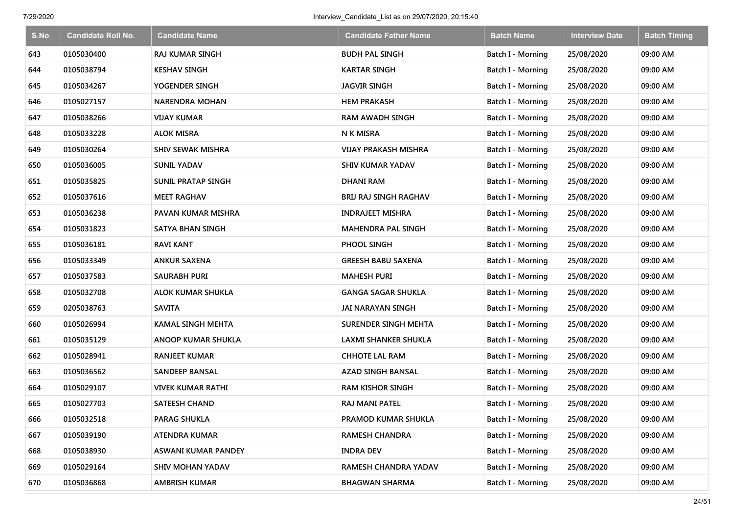| S.No | <b>Candidate Roll No.</b> | <b>Candidate Name</b>     | <b>Candidate Father Name</b> | <b>Batch Name</b>        | <b>Interview Date</b> | <b>Batch Timing</b> |
|------|---------------------------|---------------------------|------------------------------|--------------------------|-----------------------|---------------------|
| 643  | 0105030400                | <b>RAJ KUMAR SINGH</b>    | <b>BUDH PAL SINGH</b>        | Batch I - Morning        | 25/08/2020            | 09:00 AM            |
| 644  | 0105038794                | <b>KESHAV SINGH</b>       | <b>KARTAR SINGH</b>          | Batch I - Morning        | 25/08/2020            | 09:00 AM            |
| 645  | 0105034267                | YOGENDER SINGH            | <b>JAGVIR SINGH</b>          | Batch I - Morning        | 25/08/2020            | 09:00 AM            |
| 646  | 0105027157                | <b>NARENDRA MOHAN</b>     | <b>HEM PRAKASH</b>           | Batch I - Morning        | 25/08/2020            | 09:00 AM            |
| 647  | 0105038266                | <b>VIJAY KUMAR</b>        | <b>RAM AWADH SINGH</b>       | Batch I - Morning        | 25/08/2020            | 09:00 AM            |
| 648  | 0105033228                | <b>ALOK MISRA</b>         | N K MISRA                    | Batch I - Morning        | 25/08/2020            | 09:00 AM            |
| 649  | 0105030264                | <b>SHIV SEWAK MISHRA</b>  | <b>VIJAY PRAKASH MISHRA</b>  | Batch I - Morning        | 25/08/2020            | 09:00 AM            |
| 650  | 0105036005                | <b>SUNIL YADAV</b>        | <b>SHIV KUMAR YADAV</b>      | Batch I - Morning        | 25/08/2020            | 09:00 AM            |
| 651  | 0105035825                | <b>SUNIL PRATAP SINGH</b> | <b>DHANI RAM</b>             | Batch I - Morning        | 25/08/2020            | 09:00 AM            |
| 652  | 0105037616                | <b>MEET RAGHAV</b>        | BRIJ RAJ SINGH RAGHAV        | Batch I - Morning        | 25/08/2020            | 09:00 AM            |
| 653  | 0105036238                | PAVAN KUMAR MISHRA        | <b>INDRAJEET MISHRA</b>      | Batch I - Morning        | 25/08/2020            | 09:00 AM            |
| 654  | 0105031823                | SATYA BHAN SINGH          | <b>MAHENDRA PAL SINGH</b>    | <b>Batch I - Morning</b> | 25/08/2020            | 09:00 AM            |
| 655  | 0105036181                | <b>RAVI KANT</b>          | PHOOL SINGH                  | Batch I - Morning        | 25/08/2020            | 09:00 AM            |
| 656  | 0105033349                | <b>ANKUR SAXENA</b>       | GREESH BABU SAXENA           | <b>Batch I - Morning</b> | 25/08/2020            | 09:00 AM            |
| 657  | 0105037583                | SAURABH PURI              | <b>MAHESH PURI</b>           | Batch I - Morning        | 25/08/2020            | 09:00 AM            |
| 658  | 0105032708                | <b>ALOK KUMAR SHUKLA</b>  | GANGA SAGAR SHUKLA           | Batch I - Morning        | 25/08/2020            | 09:00 AM            |
| 659  | 0205038763                | <b>SAVITA</b>             | <b>JAI NARAYAN SINGH</b>     | Batch I - Morning        | 25/08/2020            | 09:00 AM            |
| 660  | 0105026994                | <b>KAMAL SINGH MEHTA</b>  | <b>SURENDER SINGH MEHTA</b>  | Batch I - Morning        | 25/08/2020            | 09:00 AM            |
| 661  | 0105035129                | <b>ANOOP KUMAR SHUKLA</b> | LAXMI SHANKER SHUKLA         | Batch I - Morning        | 25/08/2020            | 09:00 AM            |
| 662  | 0105028941                | <b>RANJEET KUMAR</b>      | <b>CHHOTE LAL RAM</b>        | Batch I - Morning        | 25/08/2020            | 09:00 AM            |
| 663  | 0105036562                | <b>SANDEEP BANSAL</b>     | AZAD SINGH BANSAL            | Batch I - Morning        | 25/08/2020            | 09:00 AM            |
| 664  | 0105029107                | <b>VIVEK KUMAR RATHI</b>  | <b>RAM KISHOR SINGH</b>      | Batch I - Morning        | 25/08/2020            | 09:00 AM            |
| 665  | 0105027703                | <b>SATEESH CHAND</b>      | RAJ MANI PATEL               | Batch I - Morning        | 25/08/2020            | 09:00 AM            |
| 666  | 0105032518                | <b>PARAG SHUKLA</b>       | PRAMOD KUMAR SHUKLA          | Batch I - Morning        | 25/08/2020            | 09:00 AM            |
| 667  | 0105039190                | ATENDRA KUMAR             | <b>RAMESH CHANDRA</b>        | Batch I - Morning        | 25/08/2020            | 09:00 AM            |
| 668  | 0105038930                | ASWANI KUMAR PANDEY       | <b>INDRA DEV</b>             | Batch I - Morning        | 25/08/2020            | 09:00 AM            |
| 669  | 0105029164                | <b>SHIV MOHAN YADAV</b>   | RAMESH CHANDRA YADAV         | Batch I - Morning        | 25/08/2020            | 09:00 AM            |
| 670  | 0105036868                | <b>AMBRISH KUMAR</b>      | <b>BHAGWAN SHARMA</b>        | <b>Batch I - Morning</b> | 25/08/2020            | 09:00 AM            |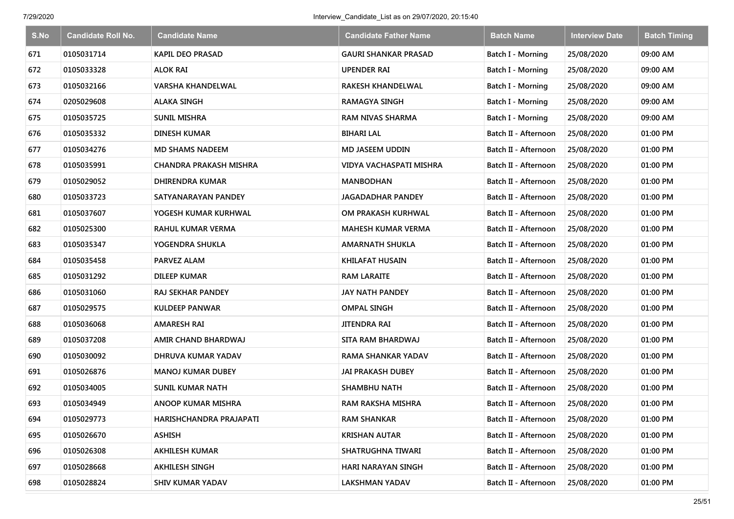| S.No | <b>Candidate Roll No.</b> | <b>Candidate Name</b>         | <b>Candidate Father Name</b> | <b>Batch Name</b>    | <b>Interview Date</b> | <b>Batch Timing</b> |
|------|---------------------------|-------------------------------|------------------------------|----------------------|-----------------------|---------------------|
| 671  | 0105031714                | <b>KAPIL DEO PRASAD</b>       | <b>GAURI SHANKAR PRASAD</b>  | Batch I - Morning    | 25/08/2020            | 09:00 AM            |
| 672  | 0105033328                | <b>ALOK RAI</b>               | UPENDER RAI                  | Batch I - Morning    | 25/08/2020            | 09:00 AM            |
| 673  | 0105032166                | <b>VARSHA KHANDELWAL</b>      | RAKESH KHANDELWAL            | Batch I - Morning    | 25/08/2020            | 09:00 AM            |
| 674  | 0205029608                | <b>ALAKA SINGH</b>            | <b>RAMAGYA SINGH</b>         | Batch I - Morning    | 25/08/2020            | 09:00 AM            |
| 675  | 0105035725                | <b>SUNIL MISHRA</b>           | <b>RAM NIVAS SHARMA</b>      | Batch I - Morning    | 25/08/2020            | 09:00 AM            |
| 676  | 0105035332                | <b>DINESH KUMAR</b>           | <b>BIHARI LAL</b>            | Batch II - Afternoon | 25/08/2020            | 01:00 PM            |
| 677  | 0105034276                | <b>MD SHAMS NADEEM</b>        | <b>MD JASEEM UDDIN</b>       | Batch II - Afternoon | 25/08/2020            | 01:00 PM            |
| 678  | 0105035991                | <b>CHANDRA PRAKASH MISHRA</b> | VIDYA VACHASPATI MISHRA      | Batch II - Afternoon | 25/08/2020            | 01:00 PM            |
| 679  | 0105029052                | <b>DHIRENDRA KUMAR</b>        | <b>MANBODHAN</b>             | Batch II - Afternoon | 25/08/2020            | 01:00 PM            |
| 680  | 0105033723                | SATYANARAYAN PANDEY           | JAGADADHAR PANDEY            | Batch II - Afternoon | 25/08/2020            | 01:00 PM            |
| 681  | 0105037607                | YOGESH KUMAR KURHWAL          | OM PRAKASH KURHWAL           | Batch II - Afternoon | 25/08/2020            | 01:00 PM            |
| 682  | 0105025300                | RAHUL KUMAR VERMA             | MAHESH KUMAR VERMA           | Batch II - Afternoon | 25/08/2020            | 01:00 PM            |
| 683  | 0105035347                | YOGENDRA SHUKLA               | <b>AMARNATH SHUKLA</b>       | Batch II - Afternoon | 25/08/2020            | 01:00 PM            |
| 684  | 0105035458                | <b>PARVEZ ALAM</b>            | KHILAFAT HUSAIN              | Batch II - Afternoon | 25/08/2020            | 01:00 PM            |
| 685  | 0105031292                | DILEEP KUMAR                  | <b>RAM LARAITE</b>           | Batch II - Afternoon | 25/08/2020            | 01:00 PM            |
| 686  | 0105031060                | <b>RAJ SEKHAR PANDEY</b>      | <b>JAY NATH PANDEY</b>       | Batch II - Afternoon | 25/08/2020            | 01:00 PM            |
| 687  | 0105029575                | <b>KULDEEP PANWAR</b>         | <b>OMPAL SINGH</b>           | Batch II - Afternoon | 25/08/2020            | 01:00 PM            |
| 688  | 0105036068                | <b>AMARESH RAI</b>            | <b>JITENDRA RAI</b>          | Batch II - Afternoon | 25/08/2020            | 01:00 PM            |
| 689  | 0105037208                | AMIR CHAND BHARDWAJ           | <b>SITA RAM BHARDWAJ</b>     | Batch II - Afternoon | 25/08/2020            | 01:00 PM            |
| 690  | 0105030092                | DHRUVA KUMAR YADAV            | <b>RAMA SHANKAR YADAV</b>    | Batch II - Afternoon | 25/08/2020            | 01:00 PM            |
| 691  | 0105026876                | <b>MANOJ KUMAR DUBEY</b>      | JAI PRAKASH DUBEY            | Batch II - Afternoon | 25/08/2020            | 01:00 PM            |
| 692  | 0105034005                | <b>SUNIL KUMAR NATH</b>       | <b>SHAMBHU NATH</b>          | Batch II - Afternoon | 25/08/2020            | 01:00 PM            |
| 693  | 0105034949                | <b>ANOOP KUMAR MISHRA</b>     | RAM RAKSHA MISHRA            | Batch II - Afternoon | 25/08/2020            | 01:00 PM            |
| 694  | 0105029773                | HARISHCHANDRA PRAJAPATI       | <b>RAM SHANKAR</b>           | Batch II - Afternoon | 25/08/2020            | 01:00 PM            |
| 695  | 0105026670                | <b>ASHISH</b>                 | <b>KRISHAN AUTAR</b>         | Batch II - Afternoon | 25/08/2020            | 01:00 PM            |
| 696  | 0105026308                | <b>AKHILESH KUMAR</b>         | SHATRUGHNA TIWARI            | Batch II - Afternoon | 25/08/2020            | 01:00 PM            |
| 697  | 0105028668                | <b>AKHILESH SINGH</b>         | HARI NARAYAN SINGH           | Batch II - Afternoon | 25/08/2020            | 01:00 PM            |
| 698  | 0105028824                | SHIV KUMAR YADAV              | <b>LAKSHMAN YADAV</b>        | Batch II - Afternoon | 25/08/2020            | 01:00 PM            |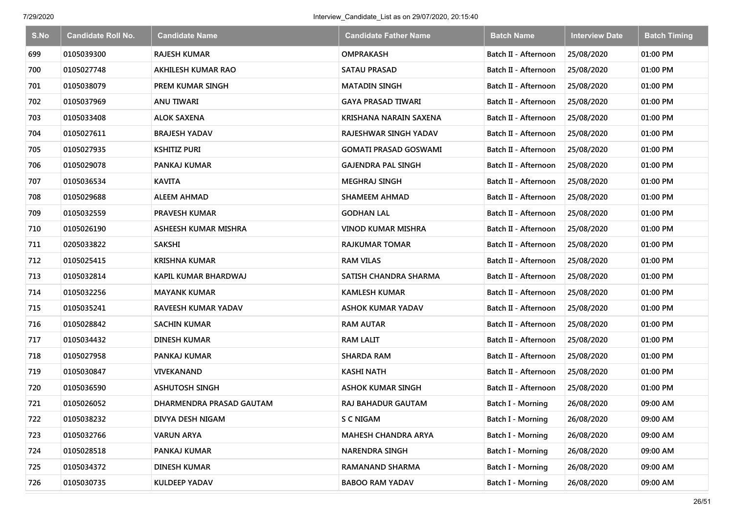| S.No | <b>Candidate Roll No.</b> | <b>Candidate Name</b>       | <b>Candidate Father Name</b> | <b>Batch Name</b>    | <b>Interview Date</b> | <b>Batch Timing</b> |
|------|---------------------------|-----------------------------|------------------------------|----------------------|-----------------------|---------------------|
| 699  | 0105039300                | <b>RAJESH KUMAR</b>         | <b>OMPRAKASH</b>             | Batch II - Afternoon | 25/08/2020            | 01:00 PM            |
| 700  | 0105027748                | AKHILESH KUMAR RAO          | <b>SATAU PRASAD</b>          | Batch II - Afternoon | 25/08/2020            | 01:00 PM            |
| 701  | 0105038079                | PREM KUMAR SINGH            | <b>MATADIN SINGH</b>         | Batch II - Afternoon | 25/08/2020            | 01:00 PM            |
| 702  | 0105037969                | <b>ANU TIWARI</b>           | <b>GAYA PRASAD TIWARI</b>    | Batch II - Afternoon | 25/08/2020            | 01:00 PM            |
| 703  | 0105033408                | <b>ALOK SAXENA</b>          | KRISHANA NARAIN SAXENA       | Batch II - Afternoon | 25/08/2020            | 01:00 PM            |
| 704  | 0105027611                | <b>BRAJESH YADAV</b>        | RAJESHWAR SINGH YADAV        | Batch II - Afternoon | 25/08/2020            | 01:00 PM            |
| 705  | 0105027935                | <b>KSHITIZ PURI</b>         | <b>GOMATI PRASAD GOSWAMI</b> | Batch II - Afternoon | 25/08/2020            | 01:00 PM            |
| 706  | 0105029078                | PANKAJ KUMAR                | <b>GAJENDRA PAL SINGH</b>    | Batch II - Afternoon | 25/08/2020            | 01:00 PM            |
| 707  | 0105036534                | <b>KAVITA</b>               | <b>MEGHRAJ SINGH</b>         | Batch II - Afternoon | 25/08/2020            | 01:00 PM            |
| 708  | 0105029688                | <b>ALEEM AHMAD</b>          | <b>SHAMEEM AHMAD</b>         | Batch II - Afternoon | 25/08/2020            | 01:00 PM            |
| 709  | 0105032559                | <b>PRAVESH KUMAR</b>        | <b>GODHAN LAL</b>            | Batch II - Afternoon | 25/08/2020            | 01:00 PM            |
| 710  | 0105026190                | ASHEESH KUMAR MISHRA        | VINOD KUMAR MISHRA           | Batch II - Afternoon | 25/08/2020            | 01:00 PM            |
| 711  | 0205033822                | <b>SAKSHI</b>               | <b>RAJKUMAR TOMAR</b>        | Batch II - Afternoon | 25/08/2020            | 01:00 PM            |
| 712  | 0105025415                | <b>KRISHNA KUMAR</b>        | <b>RAM VILAS</b>             | Batch II - Afternoon | 25/08/2020            | 01:00 PM            |
| 713  | 0105032814                | <b>KAPIL KUMAR BHARDWAJ</b> | SATISH CHANDRA SHARMA        | Batch II - Afternoon | 25/08/2020            | 01:00 PM            |
| 714  | 0105032256                | <b>MAYANK KUMAR</b>         | <b>KAMLESH KUMAR</b>         | Batch II - Afternoon | 25/08/2020            | 01:00 PM            |
| 715  | 0105035241                | RAVEESH KUMAR YADAV         | <b>ASHOK KUMAR YADAV</b>     | Batch II - Afternoon | 25/08/2020            | 01:00 PM            |
| 716  | 0105028842                | <b>SACHIN KUMAR</b>         | <b>RAM AUTAR</b>             | Batch II - Afternoon | 25/08/2020            | 01:00 PM            |
| 717  | 0105034432                | <b>DINESH KUMAR</b>         | <b>RAM LALIT</b>             | Batch II - Afternoon | 25/08/2020            | 01:00 PM            |
| 718  | 0105027958                | PANKAJ KUMAR                | <b>SHARDA RAM</b>            | Batch II - Afternoon | 25/08/2020            | 01:00 PM            |
| 719  | 0105030847                | VIVEKANAND                  | <b>KASHI NATH</b>            | Batch II - Afternoon | 25/08/2020            | 01:00 PM            |
| 720  | 0105036590                | <b>ASHUTOSH SINGH</b>       | <b>ASHOK KUMAR SINGH</b>     | Batch II - Afternoon | 25/08/2020            | 01:00 PM            |
| 721  | 0105026052                | DHARMENDRA PRASAD GAUTAM    | <b>RAJ BAHADUR GAUTAM</b>    | Batch I - Morning    | 26/08/2020            | 09:00 AM            |
| 722  | 0105038232                | DIVYA DESH NIGAM            | S C NIGAM                    | Batch I - Morning    | 26/08/2020            | 09:00 AM            |
| 723  | 0105032766                | <b>VARUN ARYA</b>           | <b>MAHESH CHANDRA ARYA</b>   | Batch I - Morning    | 26/08/2020            | 09:00 AM            |
| 724  | 0105028518                | PANKAJ KUMAR                | <b>NARENDRA SINGH</b>        | Batch I - Morning    | 26/08/2020            | 09:00 AM            |
| 725  | 0105034372                | <b>DINESH KUMAR</b>         | RAMANAND SHARMA              | Batch I - Morning    | 26/08/2020            | 09:00 AM            |
| 726  | 0105030735                | <b>KULDEEP YADAV</b>        | <b>BABOO RAM YADAV</b>       | Batch I - Morning    | 26/08/2020            | 09:00 AM            |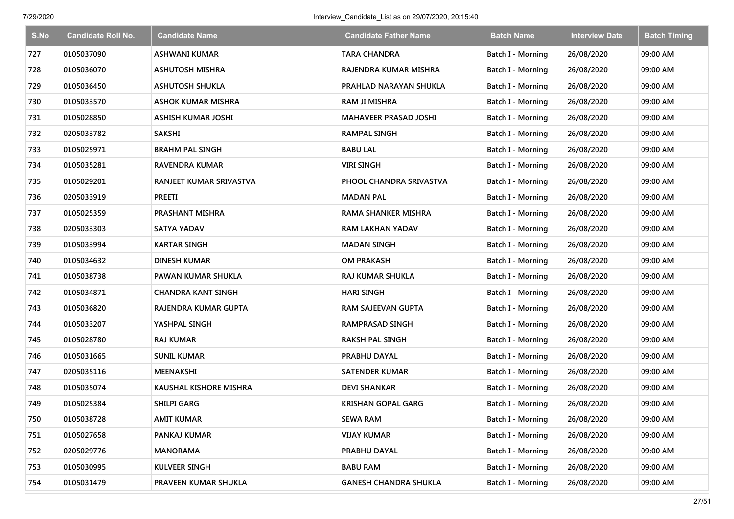| S.No | <b>Candidate Roll No.</b> | <b>Candidate Name</b>     | <b>Candidate Father Name</b> | <b>Batch Name</b>        | <b>Interview Date</b> | <b>Batch Timing</b> |
|------|---------------------------|---------------------------|------------------------------|--------------------------|-----------------------|---------------------|
| 727  | 0105037090                | <b>ASHWANI KUMAR</b>      | <b>TARA CHANDRA</b>          | Batch I - Morning        | 26/08/2020            | 09:00 AM            |
| 728  | 0105036070                | <b>ASHUTOSH MISHRA</b>    | RAJENDRA KUMAR MISHRA        | Batch I - Morning        | 26/08/2020            | 09:00 AM            |
| 729  | 0105036450                | <b>ASHUTOSH SHUKLA</b>    | PRAHLAD NARAYAN SHUKLA       | Batch I - Morning        | 26/08/2020            | 09:00 AM            |
| 730  | 0105033570                | <b>ASHOK KUMAR MISHRA</b> | <b>RAM JI MISHRA</b>         | Batch I - Morning        | 26/08/2020            | 09:00 AM            |
| 731  | 0105028850                | <b>ASHISH KUMAR JOSHI</b> | <b>MAHAVEER PRASAD JOSHI</b> | Batch I - Morning        | 26/08/2020            | 09:00 AM            |
| 732  | 0205033782                | <b>SAKSHI</b>             | <b>RAMPAL SINGH</b>          | Batch I - Morning        | 26/08/2020            | 09:00 AM            |
| 733  | 0105025971                | <b>BRAHM PAL SINGH</b>    | <b>BABU LAL</b>              | Batch I - Morning        | 26/08/2020            | 09:00 AM            |
| 734  | 0105035281                | <b>RAVENDRA KUMAR</b>     | <b>VIRI SINGH</b>            | <b>Batch I - Morning</b> | 26/08/2020            | 09:00 AM            |
| 735  | 0105029201                | RANJEET KUMAR SRIVASTVA   | PHOOL CHANDRA SRIVASTVA      | Batch I - Morning        | 26/08/2020            | 09:00 AM            |
| 736  | 0205033919                | <b>PREETI</b>             | <b>MADAN PAL</b>             | Batch I - Morning        | 26/08/2020            | 09:00 AM            |
| 737  | 0105025359                | PRASHANT MISHRA           | <b>RAMA SHANKER MISHRA</b>   | Batch I - Morning        | 26/08/2020            | 09:00 AM            |
| 738  | 0205033303                | SATYA YADAV               | <b>RAM LAKHAN YADAV</b>      | <b>Batch I - Morning</b> | 26/08/2020            | 09:00 AM            |
| 739  | 0105033994                | <b>KARTAR SINGH</b>       | <b>MADAN SINGH</b>           | Batch I - Morning        | 26/08/2020            | 09:00 AM            |
| 740  | 0105034632                | DINESH KUMAR              | <b>OM PRAKASH</b>            | Batch I - Morning        | 26/08/2020            | 09:00 AM            |
| 741  | 0105038738                | PAWAN KUMAR SHUKLA        | <b>RAJ KUMAR SHUKLA</b>      | Batch I - Morning        | 26/08/2020            | 09:00 AM            |
| 742  | 0105034871                | <b>CHANDRA KANT SINGH</b> | <b>HARI SINGH</b>            | Batch I - Morning        | 26/08/2020            | 09:00 AM            |
| 743  | 0105036820                | RAJENDRA KUMAR GUPTA      | RAM SAJEEVAN GUPTA           | Batch I - Morning        | 26/08/2020            | 09:00 AM            |
| 744  | 0105033207                | YASHPAL SINGH             | <b>RAMPRASAD SINGH</b>       | Batch I - Morning        | 26/08/2020            | 09:00 AM            |
| 745  | 0105028780                | <b>RAJ KUMAR</b>          | <b>RAKSH PAL SINGH</b>       | Batch I - Morning        | 26/08/2020            | 09:00 AM            |
| 746  | 0105031665                | <b>SUNIL KUMAR</b>        | PRABHU DAYAL                 | Batch I - Morning        | 26/08/2020            | 09:00 AM            |
| 747  | 0205035116                | MEENAKSHI                 | <b>SATENDER KUMAR</b>        | Batch I - Morning        | 26/08/2020            | 09:00 AM            |
| 748  | 0105035074                | KAUSHAL KISHORE MISHRA    | <b>DEVI SHANKAR</b>          | Batch I - Morning        | 26/08/2020            | 09:00 AM            |
| 749  | 0105025384                | <b>SHILPI GARG</b>        | <b>KRISHAN GOPAL GARG</b>    | Batch I - Morning        | 26/08/2020            | 09:00 AM            |
| 750  | 0105038728                | <b>AMIT KUMAR</b>         | <b>SEWA RAM</b>              | Batch I - Morning        | 26/08/2020            | 09:00 AM            |
| 751  | 0105027658                | PANKAJ KUMAR              | <b>VIJAY KUMAR</b>           | Batch I - Morning        | 26/08/2020            | 09:00 AM            |
| 752  | 0205029776                | <b>MANORAMA</b>           | PRABHU DAYAL                 | Batch I - Morning        | 26/08/2020            | 09:00 AM            |
| 753  | 0105030995                | KULVEER SINGH             | <b>BABU RAM</b>              | Batch I - Morning        | 26/08/2020            | 09:00 AM            |
| 754  | 0105031479                | PRAVEEN KUMAR SHUKLA      | <b>GANESH CHANDRA SHUKLA</b> | <b>Batch I - Morning</b> | 26/08/2020            | 09:00 AM            |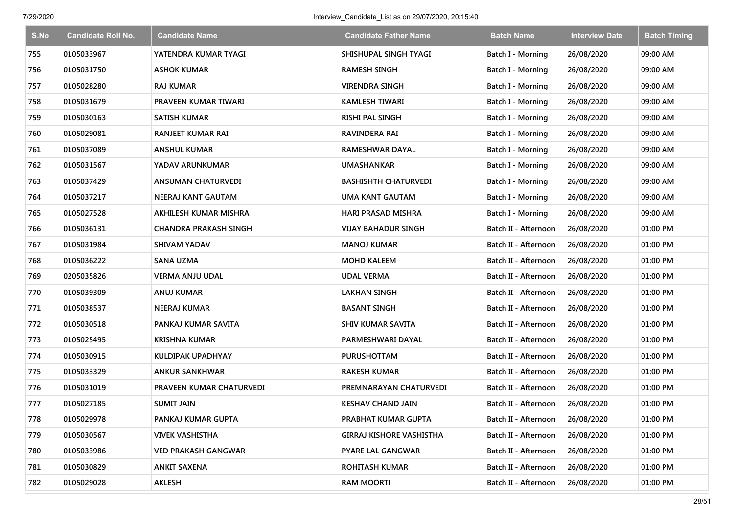| S.No | <b>Candidate Roll No.</b> | <b>Candidate Name</b>      | <b>Candidate Father Name</b>    | <b>Batch Name</b>        | <b>Interview Date</b> | <b>Batch Timing</b> |
|------|---------------------------|----------------------------|---------------------------------|--------------------------|-----------------------|---------------------|
| 755  | 0105033967                | YATENDRA KUMAR TYAGI       | SHISHUPAL SINGH TYAGI           | Batch I - Morning        | 26/08/2020            | 09:00 AM            |
| 756  | 0105031750                | <b>ASHOK KUMAR</b>         | <b>RAMESH SINGH</b>             | Batch I - Morning        | 26/08/2020            | 09:00 AM            |
| 757  | 0105028280                | <b>RAJ KUMAR</b>           | <b>VIRENDRA SINGH</b>           | Batch I - Morning        | 26/08/2020            | 09:00 AM            |
| 758  | 0105031679                | PRAVEEN KUMAR TIWARI       | <b>KAMLESH TIWARI</b>           | Batch I - Morning        | 26/08/2020            | 09:00 AM            |
| 759  | 0105030163                | <b>SATISH KUMAR</b>        | <b>RISHI PAL SINGH</b>          | Batch I - Morning        | 26/08/2020            | 09:00 AM            |
| 760  | 0105029081                | <b>RANJEET KUMAR RAI</b>   | <b>RAVINDERA RAI</b>            | Batch I - Morning        | 26/08/2020            | 09:00 AM            |
| 761  | 0105037089                | <b>ANSHUL KUMAR</b>        | <b>RAMESHWAR DAYAL</b>          | Batch I - Morning        | 26/08/2020            | 09:00 AM            |
| 762  | 0105031567                | YADAV ARUNKUMAR            | <b>UMASHANKAR</b>               | <b>Batch I - Morning</b> | 26/08/2020            | 09:00 AM            |
| 763  | 0105037429                | <b>ANSUMAN CHATURVEDI</b>  | <b>BASHISHTH CHATURVEDI</b>     | Batch I - Morning        | 26/08/2020            | 09:00 AM            |
| 764  | 0105037217                | <b>NEERAJ KANT GAUTAM</b>  | <b>UMA KANT GAUTAM</b>          | Batch I - Morning        | 26/08/2020            | 09:00 AM            |
| 765  | 0105027528                | AKHILESH KUMAR MISHRA      | <b>HARI PRASAD MISHRA</b>       | Batch I - Morning        | 26/08/2020            | 09:00 AM            |
| 766  | 0105036131                | CHANDRA PRAKASH SINGH      | VIJAY BAHADUR SINGH             | Batch II - Afternoon     | 26/08/2020            | 01:00 PM            |
| 767  | 0105031984                | <b>SHIVAM YADAV</b>        | <b>MANOJ KUMAR</b>              | Batch II - Afternoon     | 26/08/2020            | 01:00 PM            |
| 768  | 0105036222                | <b>SANA UZMA</b>           | <b>MOHD KALEEM</b>              | Batch II - Afternoon     | 26/08/2020            | 01:00 PM            |
| 769  | 0205035826                | <b>VERMA ANJU UDAL</b>     | <b>UDAL VERMA</b>               | Batch II - Afternoon     | 26/08/2020            | 01:00 PM            |
| 770  | 0105039309                | <b>ANUJ KUMAR</b>          | <b>LAKHAN SINGH</b>             | Batch II - Afternoon     | 26/08/2020            | 01:00 PM            |
| 771  | 0105038537                | <b>NEERAJ KUMAR</b>        | <b>BASANT SINGH</b>             | Batch II - Afternoon     | 26/08/2020            | 01:00 PM            |
| 772  | 0105030518                | PANKAJ KUMAR SAVITA        | <b>SHIV KUMAR SAVITA</b>        | Batch II - Afternoon     | 26/08/2020            | 01:00 PM            |
| 773  | 0105025495                | <b>KRISHNA KUMAR</b>       | PARMESHWARI DAYAL               | Batch II - Afternoon     | 26/08/2020            | 01:00 PM            |
| 774  | 0105030915                | KULDIPAK UPADHYAY          | <b>PURUSHOTTAM</b>              | Batch II - Afternoon     | 26/08/2020            | 01:00 PM            |
| 775  | 0105033329                | <b>ANKUR SANKHWAR</b>      | <b>RAKESH KUMAR</b>             | Batch II - Afternoon     | 26/08/2020            | 01:00 PM            |
| 776  | 0105031019                | PRAVEEN KUMAR CHATURVEDI   | PREMNARAYAN CHATURVEDI          | Batch II - Afternoon     | 26/08/2020            | 01:00 PM            |
| 777  | 0105027185                | <b>SUMIT JAIN</b>          | <b>KESHAV CHAND JAIN</b>        | Batch II - Afternoon     | 26/08/2020            | 01:00 PM            |
| 778  | 0105029978                | PANKAJ KUMAR GUPTA         | PRABHAT KUMAR GUPTA             | Batch II - Afternoon     | 26/08/2020            | 01:00 PM            |
| 779  | 0105030567                | <b>VIVEK VASHISTHA</b>     | <b>GIRRAJ KISHORE VASHISTHA</b> | Batch II - Afternoon     | 26/08/2020            | 01:00 PM            |
| 780  | 0105033986                | <b>VED PRAKASH GANGWAR</b> | <b>PYARE LAL GANGWAR</b>        | Batch II - Afternoon     | 26/08/2020            | 01:00 PM            |
| 781  | 0105030829                | <b>ANKIT SAXENA</b>        | <b>ROHITASH KUMAR</b>           | Batch II - Afternoon     | 26/08/2020            | 01:00 PM            |
| 782  | 0105029028                | <b>AKLESH</b>              | <b>RAM MOORTI</b>               | Batch II - Afternoon     | 26/08/2020            | 01:00 PM            |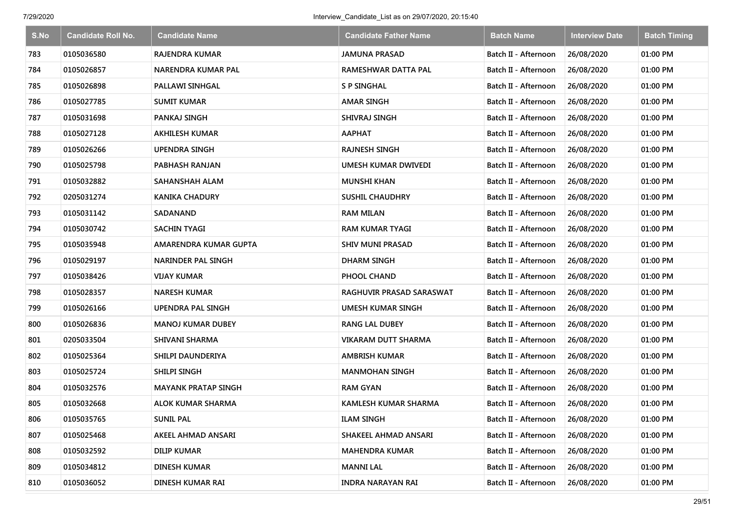| S.No | <b>Candidate Roll No.</b> | <b>Candidate Name</b>      | <b>Candidate Father Name</b> | <b>Batch Name</b>    | <b>Interview Date</b> | <b>Batch Timing</b> |
|------|---------------------------|----------------------------|------------------------------|----------------------|-----------------------|---------------------|
| 783  | 0105036580                | <b>RAJENDRA KUMAR</b>      | <b>JAMUNA PRASAD</b>         | Batch II - Afternoon | 26/08/2020            | 01:00 PM            |
| 784  | 0105026857                | <b>NARENDRA KUMAR PAL</b>  | RAMESHWAR DATTA PAL          | Batch II - Afternoon | 26/08/2020            | 01:00 PM            |
| 785  | 0105026898                | <b>PALLAWI SINHGAL</b>     | <b>S P SINGHAL</b>           | Batch II - Afternoon | 26/08/2020            | 01:00 PM            |
| 786  | 0105027785                | <b>SUMIT KUMAR</b>         | <b>AMAR SINGH</b>            | Batch II - Afternoon | 26/08/2020            | 01:00 PM            |
| 787  | 0105031698                | PANKAJ SINGH               | SHIVRAJ SINGH                | Batch II - Afternoon | 26/08/2020            | 01:00 PM            |
| 788  | 0105027128                | <b>AKHILESH KUMAR</b>      | <b>AAPHAT</b>                | Batch II - Afternoon | 26/08/2020            | 01:00 PM            |
| 789  | 0105026266                | <b>UPENDRA SINGH</b>       | <b>RAJNESH SINGH</b>         | Batch II - Afternoon | 26/08/2020            | 01:00 PM            |
| 790  | 0105025798                | PABHASH RANJAN             | UMESH KUMAR DWIVEDI          | Batch II - Afternoon | 26/08/2020            | 01:00 PM            |
| 791  | 0105032882                | SAHANSHAH ALAM             | <b>MUNSHI KHAN</b>           | Batch II - Afternoon | 26/08/2020            | 01:00 PM            |
| 792  | 0205031274                | <b>KANIKA CHADURY</b>      | <b>SUSHIL CHAUDHRY</b>       | Batch II - Afternoon | 26/08/2020            | 01:00 PM            |
| 793  | 0105031142                | SADANAND                   | <b>RAM MILAN</b>             | Batch II - Afternoon | 26/08/2020            | 01:00 PM            |
| 794  | 0105030742                | SACHIN TYAGI               | RAM KUMAR TYAGI              | Batch II - Afternoon | 26/08/2020            | 01:00 PM            |
| 795  | 0105035948                | AMARENDRA KUMAR GUPTA      | <b>SHIV MUNI PRASAD</b>      | Batch II - Afternoon | 26/08/2020            | 01:00 PM            |
| 796  | 0105029197                | <b>NARINDER PAL SINGH</b>  | DHARM SINGH                  | Batch II - Afternoon | 26/08/2020            | 01:00 PM            |
| 797  | 0105038426                | VIJAY KUMAR                | PHOOL CHAND                  | Batch II - Afternoon | 26/08/2020            | 01:00 PM            |
| 798  | 0105028357                | <b>NARESH KUMAR</b>        | RAGHUVIR PRASAD SARASWAT     | Batch II - Afternoon | 26/08/2020            | 01:00 PM            |
| 799  | 0105026166                | <b>UPENDRA PAL SINGH</b>   | UMESH KUMAR SINGH            | Batch II - Afternoon | 26/08/2020            | 01:00 PM            |
| 800  | 0105026836                | <b>MANOJ KUMAR DUBEY</b>   | <b>RANG LAL DUBEY</b>        | Batch II - Afternoon | 26/08/2020            | 01:00 PM            |
| 801  | 0205033504                | SHIVANI SHARMA             | <b>VIKARAM DUTT SHARMA</b>   | Batch II - Afternoon | 26/08/2020            | 01:00 PM            |
| 802  | 0105025364                | SHILPI DAUNDERIYA          | <b>AMBRISH KUMAR</b>         | Batch II - Afternoon | 26/08/2020            | 01:00 PM            |
| 803  | 0105025724                | SHILPI SINGH               | <b>MANMOHAN SINGH</b>        | Batch II - Afternoon | 26/08/2020            | 01:00 PM            |
| 804  | 0105032576                | <b>MAYANK PRATAP SINGH</b> | <b>RAM GYAN</b>              | Batch II - Afternoon | 26/08/2020            | 01:00 PM            |
| 805  | 0105032668                | <b>ALOK KUMAR SHARMA</b>   | <b>KAMLESH KUMAR SHARMA</b>  | Batch II - Afternoon | 26/08/2020            | 01:00 PM            |
| 806  | 0105035765                | <b>SUNIL PAL</b>           | <b>ILAM SINGH</b>            | Batch II - Afternoon | 26/08/2020            | 01:00 PM            |
| 807  | 0105025468                | AKEEL AHMAD ANSARI         | SHAKEEL AHMAD ANSARI         | Batch II - Afternoon | 26/08/2020            | 01:00 PM            |
| 808  | 0105032592                | <b>DILIP KUMAR</b>         | <b>MAHENDRA KUMAR</b>        | Batch II - Afternoon | 26/08/2020            | 01:00 PM            |
| 809  | 0105034812                | DINESH KUMAR               | MANNI LAL                    | Batch II - Afternoon | 26/08/2020            | 01:00 PM            |
| 810  | 0105036052                | DINESH KUMAR RAI           | <b>INDRA NARAYAN RAI</b>     | Batch II - Afternoon | 26/08/2020            | 01:00 PM            |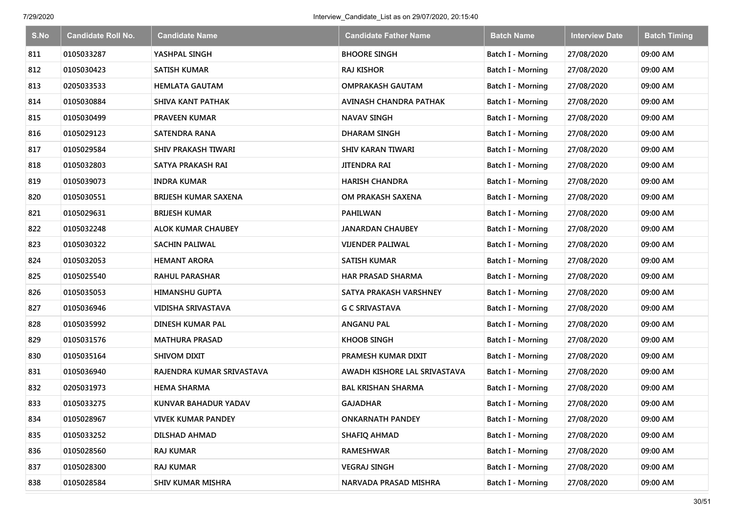| S.No | <b>Candidate Roll No.</b> | <b>Candidate Name</b>     | <b>Candidate Father Name</b> | <b>Batch Name</b>        | <b>Interview Date</b> | <b>Batch Timing</b> |
|------|---------------------------|---------------------------|------------------------------|--------------------------|-----------------------|---------------------|
| 811  | 0105033287                | YASHPAL SINGH             | <b>BHOORE SINGH</b>          | Batch I - Morning        | 27/08/2020            | 09:00 AM            |
| 812  | 0105030423                | SATISH KUMAR              | <b>RAJ KISHOR</b>            | Batch I - Morning        | 27/08/2020            | 09:00 AM            |
| 813  | 0205033533                | <b>HEMLATA GAUTAM</b>     | <b>OMPRAKASH GAUTAM</b>      | Batch I - Morning        | 27/08/2020            | 09:00 AM            |
| 814  | 0105030884                | <b>SHIVA KANT PATHAK</b>  | AVINASH CHANDRA PATHAK       | Batch I - Morning        | 27/08/2020            | 09:00 AM            |
| 815  | 0105030499                | <b>PRAVEEN KUMAR</b>      | <b>NAVAV SINGH</b>           | Batch I - Morning        | 27/08/2020            | 09:00 AM            |
| 816  | 0105029123                | <b>SATENDRA RANA</b>      | <b>DHARAM SINGH</b>          | Batch I - Morning        | 27/08/2020            | 09:00 AM            |
| 817  | 0105029584                | SHIV PRAKASH TIWARI       | <b>SHIV KARAN TIWARI</b>     | Batch I - Morning        | 27/08/2020            | 09:00 AM            |
| 818  | 0105032803                | SATYA PRAKASH RAI         | <b>JITENDRA RAI</b>          | <b>Batch I - Morning</b> | 27/08/2020            | 09:00 AM            |
| 819  | 0105039073                | <b>INDRA KUMAR</b>        | <b>HARISH CHANDRA</b>        | Batch I - Morning        | 27/08/2020            | 09:00 AM            |
| 820  | 0105030551                | BRIJESH KUMAR SAXENA      | OM PRAKASH SAXENA            | Batch I - Morning        | 27/08/2020            | 09:00 AM            |
| 821  | 0105029631                | <b>BRIJESH KUMAR</b>      | <b>PAHILWAN</b>              | Batch I - Morning        | 27/08/2020            | 09:00 AM            |
| 822  | 0105032248                | <b>ALOK KUMAR CHAUBEY</b> | JANARDAN CHAUBEY             | Batch I - Morning        | 27/08/2020            | 09:00 AM            |
| 823  | 0105030322                | <b>SACHIN PALIWAL</b>     | <b>VIJENDER PALIWAL</b>      | Batch I - Morning        | 27/08/2020            | 09:00 AM            |
| 824  | 0105032053                | <b>HEMANT ARORA</b>       | <b>SATISH KUMAR</b>          | Batch I - Morning        | 27/08/2020            | 09:00 AM            |
| 825  | 0105025540                | <b>RAHUL PARASHAR</b>     | <b>HAR PRASAD SHARMA</b>     | Batch I - Morning        | 27/08/2020            | 09:00 AM            |
| 826  | 0105035053                | <b>HIMANSHU GUPTA</b>     | SATYA PRAKASH VARSHNEY       | Batch I - Morning        | 27/08/2020            | 09:00 AM            |
| 827  | 0105036946                | <b>VIDISHA SRIVASTAVA</b> | <b>G C SRIVASTAVA</b>        | Batch I - Morning        | 27/08/2020            | 09:00 AM            |
| 828  | 0105035992                | DINESH KUMAR PAL          | <b>ANGANU PAL</b>            | Batch I - Morning        | 27/08/2020            | 09:00 AM            |
| 829  | 0105031576                | <b>MATHURA PRASAD</b>     | <b>KHOOB SINGH</b>           | Batch I - Morning        | 27/08/2020            | 09:00 AM            |
| 830  | 0105035164                | SHIVOM DIXIT              | PRAMESH KUMAR DIXIT          | Batch I - Morning        | 27/08/2020            | 09:00 AM            |
| 831  | 0105036940                | RAJENDRA KUMAR SRIVASTAVA | AWADH KISHORE LAL SRIVASTAVA | Batch I - Morning        | 27/08/2020            | 09:00 AM            |
| 832  | 0205031973                | <b>HEMA SHARMA</b>        | <b>BAL KRISHAN SHARMA</b>    | Batch I - Morning        | 27/08/2020            | 09:00 AM            |
| 833  | 0105033275                | KUNVAR BAHADUR YADAV      | <b>GAJADHAR</b>              | Batch I - Morning        | 27/08/2020            | 09:00 AM            |
| 834  | 0105028967                | <b>VIVEK KUMAR PANDEY</b> | <b>ONKARNATH PANDEY</b>      | Batch I - Morning        | 27/08/2020            | 09:00 AM            |
| 835  | 0105033252                | DILSHAD AHMAD             | SHAFIQ AHMAD                 | Batch I - Morning        | 27/08/2020            | 09:00 AM            |
| 836  | 0105028560                | <b>RAJ KUMAR</b>          | <b>RAMESHWAR</b>             | Batch I - Morning        | 27/08/2020            | 09:00 AM            |
| 837  | 0105028300                | <b>RAJ KUMAR</b>          | <b>VEGRAJ SINGH</b>          | Batch I - Morning        | 27/08/2020            | 09:00 AM            |
| 838  | 0105028584                | SHIV KUMAR MISHRA         | NARVADA PRASAD MISHRA        | <b>Batch I - Morning</b> | 27/08/2020            | 09:00 AM            |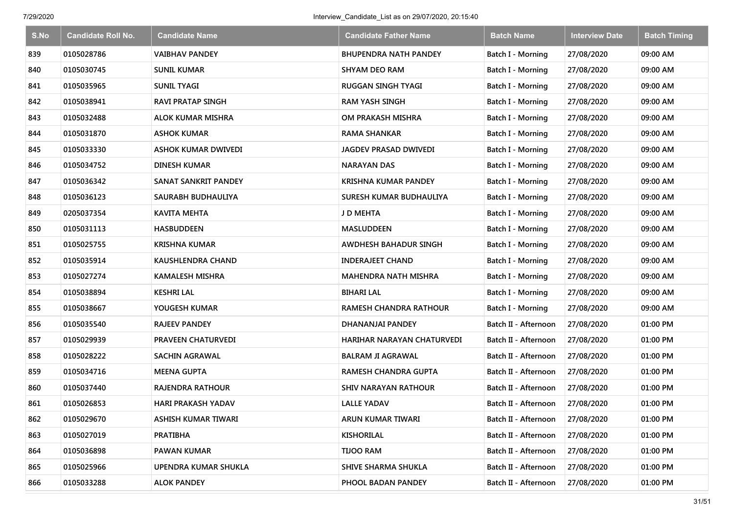| S.No | <b>Candidate Roll No.</b> | <b>Candidate Name</b>       | <b>Candidate Father Name</b>  | <b>Batch Name</b>        | <b>Interview Date</b> | <b>Batch Timing</b> |
|------|---------------------------|-----------------------------|-------------------------------|--------------------------|-----------------------|---------------------|
| 839  | 0105028786                | <b>VAIBHAV PANDEY</b>       | <b>BHUPENDRA NATH PANDEY</b>  | Batch I - Morning        | 27/08/2020            | 09:00 AM            |
| 840  | 0105030745                | SUNIL KUMAR                 | SHYAM DEO RAM                 | Batch I - Morning        | 27/08/2020            | 09:00 AM            |
| 841  | 0105035965                | <b>SUNIL TYAGI</b>          | RUGGAN SINGH TYAGI            | Batch I - Morning        | 27/08/2020            | 09:00 AM            |
| 842  | 0105038941                | <b>RAVI PRATAP SINGH</b>    | <b>RAM YASH SINGH</b>         | Batch I - Morning        | 27/08/2020            | 09:00 AM            |
| 843  | 0105032488                | <b>ALOK KUMAR MISHRA</b>    | OM PRAKASH MISHRA             | Batch I - Morning        | 27/08/2020            | 09:00 AM            |
| 844  | 0105031870                | <b>ASHOK KUMAR</b>          | <b>RAMA SHANKAR</b>           | Batch I - Morning        | 27/08/2020            | 09:00 AM            |
| 845  | 0105033330                | <b>ASHOK KUMAR DWIVEDI</b>  | <b>JAGDEV PRASAD DWIVEDI</b>  | Batch I - Morning        | 27/08/2020            | 09:00 AM            |
| 846  | 0105034752                | DINESH KUMAR                | NARAYAN DAS                   | Batch I - Morning        | 27/08/2020            | 09:00 AM            |
| 847  | 0105036342                | <b>SANAT SANKRIT PANDEY</b> | <b>KRISHNA KUMAR PANDEY</b>   | Batch I - Morning        | 27/08/2020            | 09:00 AM            |
| 848  | 0105036123                | SAURABH BUDHAULIYA          | SURESH KUMAR BUDHAULIYA       | Batch I - Morning        | 27/08/2020            | 09:00 AM            |
| 849  | 0205037354                | KAVITA MEHTA                | J D MEHTA                     | Batch I - Morning        | 27/08/2020            | 09:00 AM            |
| 850  | 0105031113                | <b>HASBUDDEEN</b>           | MASLUDDEEN                    | <b>Batch I - Morning</b> | 27/08/2020            | 09:00 AM            |
| 851  | 0105025755                | <b>KRISHNA KUMAR</b>        | AWDHESH BAHADUR SINGH         | Batch I - Morning        | 27/08/2020            | 09:00 AM            |
| 852  | 0105035914                | KAUSHLENDRA CHAND           | <b>INDERAJEET CHAND</b>       | <b>Batch I - Morning</b> | 27/08/2020            | 09:00 AM            |
| 853  | 0105027274                | <b>KAMALESH MISHRA</b>      | <b>MAHENDRA NATH MISHRA</b>   | Batch I - Morning        | 27/08/2020            | 09:00 AM            |
| 854  | 0105038894                | <b>KESHRI LAL</b>           | <b>BIHARI LAL</b>             | Batch I - Morning        | 27/08/2020            | 09:00 AM            |
| 855  | 0105038667                | YOUGESH KUMAR               | <b>RAMESH CHANDRA RATHOUR</b> | Batch I - Morning        | 27/08/2020            | 09:00 AM            |
| 856  | 0105035540                | <b>RAJEEV PANDEY</b>        | DHANANJAI PANDEY              | Batch II - Afternoon     | 27/08/2020            | 01:00 PM            |
| 857  | 0105029939                | PRAVEEN CHATURVEDI          | HARIHAR NARAYAN CHATURVEDI    | Batch II - Afternoon     | 27/08/2020            | 01:00 PM            |
| 858  | 0105028222                | <b>SACHIN AGRAWAL</b>       | <b>BALRAM JI AGRAWAL</b>      | Batch II - Afternoon     | 27/08/2020            | 01:00 PM            |
| 859  | 0105034716                | <b>MEENA GUPTA</b>          | RAMESH CHANDRA GUPTA          | Batch II - Afternoon     | 27/08/2020            | 01:00 PM            |
| 860  | 0105037440                | RAJENDRA RATHOUR            | SHIV NARAYAN RATHOUR          | Batch II - Afternoon     | 27/08/2020            | 01:00 PM            |
| 861  | 0105026853                | <b>HARI PRAKASH YADAV</b>   | LALLE YADAV                   | Batch II - Afternoon     | 27/08/2020            | 01:00 PM            |
| 862  | 0105029670                | ASHISH KUMAR TIWARI         | ARUN KUMAR TIWARI             | Batch II - Afternoon     | 27/08/2020            | 01:00 PM            |
| 863  | 0105027019                | <b>PRATIBHA</b>             | <b>KISHORILAL</b>             | Batch II - Afternoon     | 27/08/2020            | 01:00 PM            |
| 864  | 0105036898                | <b>PAWAN KUMAR</b>          | <b>TIJOO RAM</b>              | Batch II - Afternoon     | 27/08/2020            | 01:00 PM            |
| 865  | 0105025966                | UPENDRA KUMAR SHUKLA        | SHIVE SHARMA SHUKLA           | Batch II - Afternoon     | 27/08/2020            | 01:00 PM            |
| 866  | 0105033288                | <b>ALOK PANDEY</b>          | PHOOL BADAN PANDEY            | Batch II - Afternoon     | 27/08/2020            | 01:00 PM            |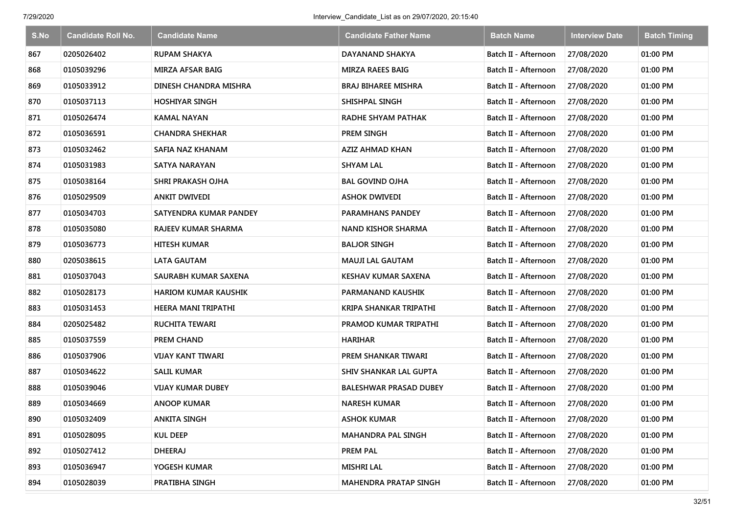| S.No | <b>Candidate Roll No.</b> | <b>Candidate Name</b>       | <b>Candidate Father Name</b>  | <b>Batch Name</b>    | <b>Interview Date</b> | <b>Batch Timing</b> |
|------|---------------------------|-----------------------------|-------------------------------|----------------------|-----------------------|---------------------|
| 867  | 0205026402                | <b>RUPAM SHAKYA</b>         | DAYANAND SHAKYA               | Batch II - Afternoon | 27/08/2020            | 01:00 PM            |
| 868  | 0105039296                | <b>MIRZA AFSAR BAIG</b>     | <b>MIRZA RAEES BAIG</b>       | Batch II - Afternoon | 27/08/2020            | 01:00 PM            |
| 869  | 0105033912                | DINESH CHANDRA MISHRA       | BRAJ BIHAREE MISHRA           | Batch II - Afternoon | 27/08/2020            | 01:00 PM            |
| 870  | 0105037113                | <b>HOSHIYAR SINGH</b>       | SHISHPAL SINGH                | Batch II - Afternoon | 27/08/2020            | 01:00 PM            |
| 871  | 0105026474                | KAMAL NAYAN                 | <b>RADHE SHYAM PATHAK</b>     | Batch II - Afternoon | 27/08/2020            | 01:00 PM            |
| 872  | 0105036591                | <b>CHANDRA SHEKHAR</b>      | PREM SINGH                    | Batch II - Afternoon | 27/08/2020            | 01:00 PM            |
| 873  | 0105032462                | SAFIA NAZ KHANAM            | <b>AZIZ AHMAD KHAN</b>        | Batch II - Afternoon | 27/08/2020            | 01:00 PM            |
| 874  | 0105031983                | <b>SATYA NARAYAN</b>        | <b>SHYAM LAL</b>              | Batch II - Afternoon | 27/08/2020            | 01:00 PM            |
| 875  | 0105038164                | <b>SHRI PRAKASH OJHA</b>    | <b>BAL GOVIND OJHA</b>        | Batch II - Afternoon | 27/08/2020            | 01:00 PM            |
| 876  | 0105029509                | <b>ANKIT DWIVEDI</b>        | <b>ASHOK DWIVEDI</b>          | Batch II - Afternoon | 27/08/2020            | 01:00 PM            |
| 877  | 0105034703                | SATYENDRA KUMAR PANDEY      | <b>PARAMHANS PANDEY</b>       | Batch II - Afternoon | 27/08/2020            | 01:00 PM            |
| 878  | 0105035080                | <b>RAJEEV KUMAR SHARMA</b>  | NAND KISHOR SHARMA            | Batch II - Afternoon | 27/08/2020            | 01:00 PM            |
| 879  | 0105036773                | <b>HITESH KUMAR</b>         | <b>BALJOR SINGH</b>           | Batch II - Afternoon | 27/08/2020            | 01:00 PM            |
| 880  | 0205038615                | LATA GAUTAM                 | MAUJI LAL GAUTAM              | Batch II - Afternoon | 27/08/2020            | 01:00 PM            |
| 881  | 0105037043                | SAURABH KUMAR SAXENA        | <b>KESHAV KUMAR SAXENA</b>    | Batch II - Afternoon | 27/08/2020            | 01:00 PM            |
| 882  | 0105028173                | <b>HARIOM KUMAR KAUSHIK</b> | PARMANAND KAUSHIK             | Batch II - Afternoon | 27/08/2020            | 01:00 PM            |
| 883  | 0105031453                | HEERA MANI TRIPATHI         | KRIPA SHANKAR TRIPATHI        | Batch II - Afternoon | 27/08/2020            | 01:00 PM            |
| 884  | 0205025482                | <b>RUCHITA TEWARI</b>       | PRAMOD KUMAR TRIPATHI         | Batch II - Afternoon | 27/08/2020            | 01:00 PM            |
| 885  | 0105037559                | PREM CHAND                  | <b>HARIHAR</b>                | Batch II - Afternoon | 27/08/2020            | 01:00 PM            |
| 886  | 0105037906                | <b>VIJAY KANT TIWARI</b>    | PREM SHANKAR TIWARI           | Batch II - Afternoon | 27/08/2020            | 01:00 PM            |
| 887  | 0105034622                | <b>SALIL KUMAR</b>          | <b>SHIV SHANKAR LAL GUPTA</b> | Batch II - Afternoon | 27/08/2020            | 01:00 PM            |
| 888  | 0105039046                | <b>VIJAY KUMAR DUBEY</b>    | <b>BALESHWAR PRASAD DUBEY</b> | Batch II - Afternoon | 27/08/2020            | 01:00 PM            |
| 889  | 0105034669                | <b>ANOOP KUMAR</b>          | <b>NARESH KUMAR</b>           | Batch II - Afternoon | 27/08/2020            | 01:00 PM            |
| 890  | 0105032409                | <b>ANKITA SINGH</b>         | <b>ASHOK KUMAR</b>            | Batch II - Afternoon | 27/08/2020            | 01:00 PM            |
| 891  | 0105028095                | <b>KUL DEEP</b>             | <b>MAHANDRA PAL SINGH</b>     | Batch II - Afternoon | 27/08/2020            | 01:00 PM            |
| 892  | 0105027412                | <b>DHEERAJ</b>              | <b>PREM PAL</b>               | Batch II - Afternoon | 27/08/2020            | 01:00 PM            |
| 893  | 0105036947                | YOGESH KUMAR                | <b>MISHRI LAL</b>             | Batch II - Afternoon | 27/08/2020            | 01:00 PM            |
| 894  | 0105028039                | PRATIBHA SINGH              | <b>MAHENDRA PRATAP SINGH</b>  | Batch II - Afternoon | 27/08/2020            | 01:00 PM            |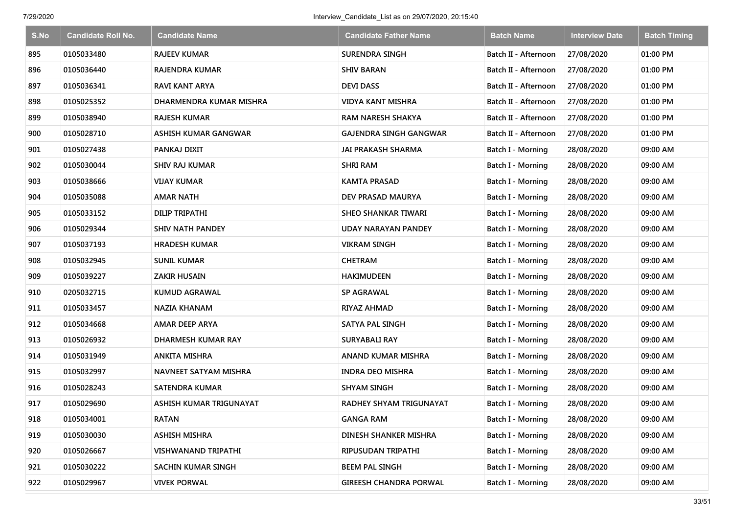| S.No | <b>Candidate Roll No.</b> | <b>Candidate Name</b>   | <b>Candidate Father Name</b>  | <b>Batch Name</b>        | <b>Interview Date</b> | <b>Batch Timing</b> |
|------|---------------------------|-------------------------|-------------------------------|--------------------------|-----------------------|---------------------|
| 895  | 0105033480                | <b>RAJEEV KUMAR</b>     | <b>SURENDRA SINGH</b>         | Batch II - Afternoon     | 27/08/2020            | 01:00 PM            |
| 896  | 0105036440                | RAJENDRA KUMAR          | <b>SHIV BARAN</b>             | Batch II - Afternoon     | 27/08/2020            | 01:00 PM            |
| 897  | 0105036341                | <b>RAVI KANT ARYA</b>   | <b>DEVI DASS</b>              | Batch II - Afternoon     | 27/08/2020            | 01:00 PM            |
| 898  | 0105025352                | DHARMENDRA KUMAR MISHRA | <b>VIDYA KANT MISHRA</b>      | Batch II - Afternoon     | 27/08/2020            | 01:00 PM            |
| 899  | 0105038940                | <b>RAJESH KUMAR</b>     | <b>RAM NARESH SHAKYA</b>      | Batch II - Afternoon     | 27/08/2020            | 01:00 PM            |
| 900  | 0105028710                | ASHISH KUMAR GANGWAR    | <b>GAJENDRA SINGH GANGWAR</b> | Batch II - Afternoon     | 27/08/2020            | 01:00 PM            |
| 901  | 0105027438                | PANKAJ DIXIT            | <b>JAI PRAKASH SHARMA</b>     | Batch I - Morning        | 28/08/2020            | 09:00 AM            |
| 902  | 0105030044                | <b>SHIV RAJ KUMAR</b>   | <b>SHRI RAM</b>               | <b>Batch I - Morning</b> | 28/08/2020            | 09:00 AM            |
| 903  | 0105038666                | <b>VIJAY KUMAR</b>      | <b>KAMTA PRASAD</b>           | Batch I - Morning        | 28/08/2020            | 09:00 AM            |
| 904  | 0105035088                | <b>AMAR NATH</b>        | DEV PRASAD MAURYA             | Batch I - Morning        | 28/08/2020            | 09:00 AM            |
| 905  | 0105033152                | DILIP TRIPATHI          | <b>SHEO SHANKAR TIWARI</b>    | Batch I - Morning        | 28/08/2020            | 09:00 AM            |
| 906  | 0105029344                | <b>SHIV NATH PANDEY</b> | UDAY NARAYAN PANDEY           | <b>Batch I - Morning</b> | 28/08/2020            | 09:00 AM            |
| 907  | 0105037193                | <b>HRADESH KUMAR</b>    | <b>VIKRAM SINGH</b>           | Batch I - Morning        | 28/08/2020            | 09:00 AM            |
| 908  | 0105032945                | <b>SUNIL KUMAR</b>      | <b>CHETRAM</b>                | Batch I - Morning        | 28/08/2020            | 09:00 AM            |
| 909  | 0105039227                | <b>ZAKIR HUSAIN</b>     | HAKIMUDEEN                    | Batch I - Morning        | 28/08/2020            | 09:00 AM            |
| 910  | 0205032715                | <b>KUMUD AGRAWAL</b>    | SP AGRAWAL                    | Batch I - Morning        | 28/08/2020            | 09:00 AM            |
| 911  | 0105033457                | NAZIA KHANAM            | RIYAZ AHMAD                   | Batch I - Morning        | 28/08/2020            | 09:00 AM            |
| 912  | 0105034668                | AMAR DEEP ARYA          | <b>SATYA PAL SINGH</b>        | Batch I - Morning        | 28/08/2020            | 09:00 AM            |
| 913  | 0105026932                | DHARMESH KUMAR RAY      | <b>SURYABALI RAY</b>          | Batch I - Morning        | 28/08/2020            | 09:00 AM            |
| 914  | 0105031949                | <b>ANKITA MISHRA</b>    | ANAND KUMAR MISHRA            | Batch I - Morning        | 28/08/2020            | 09:00 AM            |
| 915  | 0105032997                | NAVNEET SATYAM MISHRA   | <b>INDRA DEO MISHRA</b>       | Batch I - Morning        | 28/08/2020            | 09:00 AM            |
| 916  | 0105028243                | SATENDRA KUMAR          | <b>SHYAM SINGH</b>            | Batch I - Morning        | 28/08/2020            | 09:00 AM            |
| 917  | 0105029690                | ASHISH KUMAR TRIGUNAYAT | RADHEY SHYAM TRIGUNAYAT       | Batch I - Morning        | 28/08/2020            | 09:00 AM            |
| 918  | 0105034001                | <b>RATAN</b>            | <b>GANGA RAM</b>              | Batch I - Morning        | 28/08/2020            | 09:00 AM            |
| 919  | 0105030030                | <b>ASHISH MISHRA</b>    | DINESH SHANKER MISHRA         | Batch I - Morning        | 28/08/2020            | 09:00 AM            |
| 920  | 0105026667                | VISHWANAND TRIPATHI     | RIPUSUDAN TRIPATHI            | Batch I - Morning        | 28/08/2020            | 09:00 AM            |
| 921  | 0105030222                | SACHIN KUMAR SINGH      | <b>BEEM PAL SINGH</b>         | Batch I - Morning        | 28/08/2020            | 09:00 AM            |
| 922  | 0105029967                | <b>VIVEK PORWAL</b>     | <b>GIREESH CHANDRA PORWAL</b> | <b>Batch I - Morning</b> | 28/08/2020            | 09:00 AM            |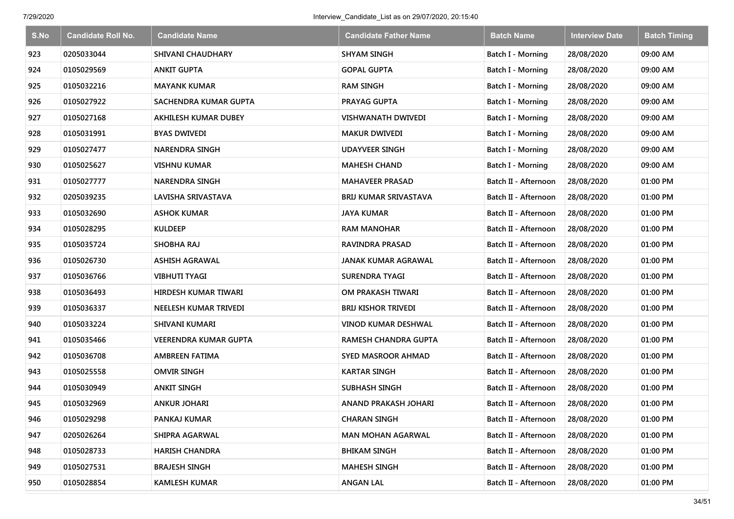| S.No | <b>Candidate Roll No.</b> | <b>Candidate Name</b>        | <b>Candidate Father Name</b> | <b>Batch Name</b>    | <b>Interview Date</b> | <b>Batch Timing</b> |
|------|---------------------------|------------------------------|------------------------------|----------------------|-----------------------|---------------------|
| 923  | 0205033044                | <b>SHIVANI CHAUDHARY</b>     | <b>SHYAM SINGH</b>           | Batch I - Morning    | 28/08/2020            | 09:00 AM            |
| 924  | 0105029569                | <b>ANKIT GUPTA</b>           | <b>GOPAL GUPTA</b>           | Batch I - Morning    | 28/08/2020            | 09:00 AM            |
| 925  | 0105032216                | <b>MAYANK KUMAR</b>          | <b>RAM SINGH</b>             | Batch I - Morning    | 28/08/2020            | 09:00 AM            |
| 926  | 0105027922                | SACHENDRA KUMAR GUPTA        | PRAYAG GUPTA                 | Batch I - Morning    | 28/08/2020            | 09:00 AM            |
| 927  | 0105027168                | <b>AKHILESH KUMAR DUBEY</b>  | <b>VISHWANATH DWIVEDI</b>    | Batch I - Morning    | 28/08/2020            | 09:00 AM            |
| 928  | 0105031991                | <b>BYAS DWIVEDI</b>          | <b>MAKUR DWIVEDI</b>         | Batch I - Morning    | 28/08/2020            | 09:00 AM            |
| 929  | 0105027477                | <b>NARENDRA SINGH</b>        | <b>UDAYVEER SINGH</b>        | Batch I - Morning    | 28/08/2020            | 09:00 AM            |
| 930  | 0105025627                | <b>VISHNU KUMAR</b>          | <b>MAHESH CHAND</b>          | Batch I - Morning    | 28/08/2020            | 09:00 AM            |
| 931  | 0105027777                | <b>NARENDRA SINGH</b>        | <b>MAHAVEER PRASAD</b>       | Batch II - Afternoon | 28/08/2020            | 01:00 PM            |
| 932  | 0205039235                | LAVISHA SRIVASTAVA           | <b>BRIJ KUMAR SRIVASTAVA</b> | Batch II - Afternoon | 28/08/2020            | 01:00 PM            |
| 933  | 0105032690                | <b>ASHOK KUMAR</b>           | <b>JAYA KUMAR</b>            | Batch II - Afternoon | 28/08/2020            | 01:00 PM            |
| 934  | 0105028295                | <b>KULDEEP</b>               | <b>RAM MANOHAR</b>           | Batch II - Afternoon | 28/08/2020            | 01:00 PM            |
| 935  | 0105035724                | <b>SHOBHA RAJ</b>            | <b>RAVINDRA PRASAD</b>       | Batch II - Afternoon | 28/08/2020            | 01:00 PM            |
| 936  | 0105026730                | <b>ASHISH AGRAWAL</b>        | JANAK KUMAR AGRAWAL          | Batch II - Afternoon | 28/08/2020            | 01:00 PM            |
| 937  | 0105036766                | <b>VIBHUTI TYAGI</b>         | <b>SURENDRA TYAGI</b>        | Batch II - Afternoon | 28/08/2020            | 01:00 PM            |
| 938  | 0105036493                | <b>HIRDESH KUMAR TIWARI</b>  | OM PRAKASH TIWARI            | Batch II - Afternoon | 28/08/2020            | 01:00 PM            |
| 939  | 0105036337                | NEELESH KUMAR TRIVEDI        | <b>BRIJ KISHOR TRIVEDI</b>   | Batch II - Afternoon | 28/08/2020            | 01:00 PM            |
| 940  | 0105033224                | <b>SHIVANI KUMARI</b>        | VINOD KUMAR DESHWAL          | Batch II - Afternoon | 28/08/2020            | 01:00 PM            |
| 941  | 0105035466                | <b>VEERENDRA KUMAR GUPTA</b> | RAMESH CHANDRA GUPTA         | Batch II - Afternoon | 28/08/2020            | 01:00 PM            |
| 942  | 0105036708                | <b>AMBREEN FATIMA</b>        | <b>SYED MASROOR AHMAD</b>    | Batch II - Afternoon | 28/08/2020            | 01:00 PM            |
| 943  | 0105025558                | <b>OMVIR SINGH</b>           | <b>KARTAR SINGH</b>          | Batch II - Afternoon | 28/08/2020            | 01:00 PM            |
| 944  | 0105030949                | <b>ANKIT SINGH</b>           | SUBHASH SINGH                | Batch II - Afternoon | 28/08/2020            | 01:00 PM            |
| 945  | 0105032969                | <b>ANKUR JOHARI</b>          | ANAND PRAKASH JOHARI         | Batch II - Afternoon | 28/08/2020            | 01:00 PM            |
| 946  | 0105029298                | PANKAJ KUMAR                 | <b>CHARAN SINGH</b>          | Batch II - Afternoon | 28/08/2020            | 01:00 PM            |
| 947  | 0205026264                | SHIPRA AGARWAL               | <b>MAN MOHAN AGARWAL</b>     | Batch II - Afternoon | 28/08/2020            | 01:00 PM            |
| 948  | 0105028733                | <b>HARISH CHANDRA</b>        | <b>BHIKAM SINGH</b>          | Batch II - Afternoon | 28/08/2020            | 01:00 PM            |
| 949  | 0105027531                | <b>BRAJESH SINGH</b>         | <b>MAHESH SINGH</b>          | Batch II - Afternoon | 28/08/2020            | 01:00 PM            |
| 950  | 0105028854                | <b>KAMLESH KUMAR</b>         | <b>ANGAN LAL</b>             | Batch II - Afternoon | 28/08/2020            | 01:00 PM            |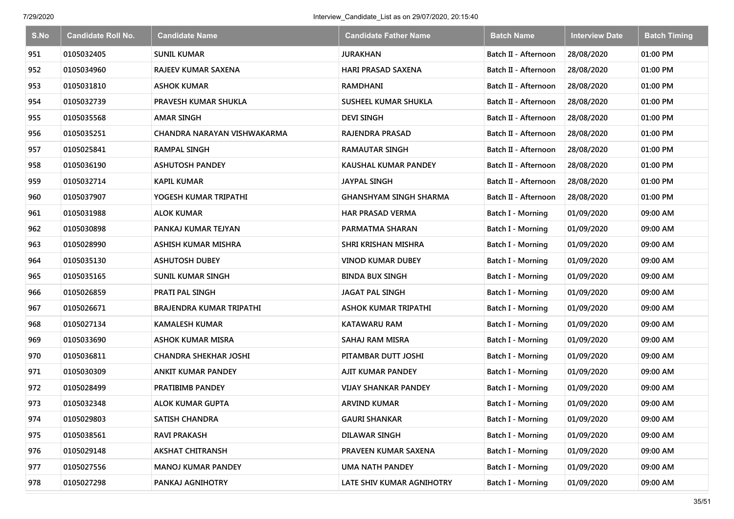| S.No | <b>Candidate Roll No.</b> | <b>Candidate Name</b>           | Candidate Father Name         | <b>Batch Name</b>        | <b>Interview Date</b> | <b>Batch Timing</b> |
|------|---------------------------|---------------------------------|-------------------------------|--------------------------|-----------------------|---------------------|
| 951  | 0105032405                | <b>SUNIL KUMAR</b>              | <b>JURAKHAN</b>               | Batch II - Afternoon     | 28/08/2020            | 01:00 PM            |
| 952  | 0105034960                | RAJEEV KUMAR SAXENA             | <b>HARI PRASAD SAXENA</b>     | Batch II - Afternoon     | 28/08/2020            | 01:00 PM            |
| 953  | 0105031810                | ASHOK KUMAR                     | RAMDHANI                      | Batch II - Afternoon     | 28/08/2020            | 01:00 PM            |
| 954  | 0105032739                | PRAVESH KUMAR SHUKLA            | SUSHEEL KUMAR SHUKLA          | Batch II - Afternoon     | 28/08/2020            | 01:00 PM            |
| 955  | 0105035568                | <b>AMAR SINGH</b>               | <b>DEVI SINGH</b>             | Batch II - Afternoon     | 28/08/2020            | 01:00 PM            |
| 956  | 0105035251                | CHANDRA NARAYAN VISHWAKARMA     | RAJENDRA PRASAD               | Batch II - Afternoon     | 28/08/2020            | 01:00 PM            |
| 957  | 0105025841                | <b>RAMPAL SINGH</b>             | <b>RAMAUTAR SINGH</b>         | Batch II - Afternoon     | 28/08/2020            | 01:00 PM            |
| 958  | 0105036190                | <b>ASHUTOSH PANDEY</b>          | KAUSHAL KUMAR PANDEY          | Batch II - Afternoon     | 28/08/2020            | 01:00 PM            |
| 959  | 0105032714                | <b>KAPIL KUMAR</b>              | <b>JAYPAL SINGH</b>           | Batch II - Afternoon     | 28/08/2020            | 01:00 PM            |
| 960  | 0105037907                | YOGESH KUMAR TRIPATHI           | <b>GHANSHYAM SINGH SHARMA</b> | Batch II - Afternoon     | 28/08/2020            | 01:00 PM            |
| 961  | 0105031988                | <b>ALOK KUMAR</b>               | HAR PRASAD VERMA              | <b>Batch I - Morning</b> | 01/09/2020            | 09:00 AM            |
| 962  | 0105030898                | PANKAJ KUMAR TEJYAN             | PARMATMA SHARAN               | Batch I - Morning        | 01/09/2020            | 09:00 AM            |
| 963  | 0105028990                | ASHISH KUMAR MISHRA             | SHRI KRISHAN MISHRA           | Batch I - Morning        | 01/09/2020            | 09:00 AM            |
| 964  | 0105035130                | <b>ASHUTOSH DUBEY</b>           | VINOD KUMAR DUBEY             | <b>Batch I - Morning</b> | 01/09/2020            | 09:00 AM            |
| 965  | 0105035165                | SUNIL KUMAR SINGH               | <b>BINDA BUX SINGH</b>        | Batch I - Morning        | 01/09/2020            | 09:00 AM            |
| 966  | 0105026859                | <b>PRATI PAL SINGH</b>          | <b>JAGAT PAL SINGH</b>        | Batch I - Morning        | 01/09/2020            | 09:00 AM            |
| 967  | 0105026671                | <b>BRAJENDRA KUMAR TRIPATHI</b> | <b>ASHOK KUMAR TRIPATHI</b>   | <b>Batch I - Morning</b> | 01/09/2020            | 09:00 AM            |
| 968  | 0105027134                | <b>KAMALESH KUMAR</b>           | <b>KATAWARU RAM</b>           | Batch I - Morning        | 01/09/2020            | 09:00 AM            |
| 969  | 0105033690                | <b>ASHOK KUMAR MISRA</b>        | SAHAJ RAM MISRA               | Batch I - Morning        | 01/09/2020            | 09:00 AM            |
| 970  | 0105036811                | <b>CHANDRA SHEKHAR JOSHI</b>    | PITAMBAR DUTT JOSHI           | Batch I - Morning        | 01/09/2020            | 09:00 AM            |
| 971  | 0105030309                | <b>ANKIT KUMAR PANDEY</b>       | AJIT KUMAR PANDEY             | Batch I - Morning        | 01/09/2020            | 09:00 AM            |
| 972  | 0105028499                | PRATIBIMB PANDEY                | <b>VIJAY SHANKAR PANDEY</b>   | Batch I - Morning        | 01/09/2020            | 09:00 AM            |
| 973  | 0105032348                | <b>ALOK KUMAR GUPTA</b>         | <b>ARVIND KUMAR</b>           | Batch I - Morning        | 01/09/2020            | 09:00 AM            |
| 974  | 0105029803                | <b>SATISH CHANDRA</b>           | <b>GAURI SHANKAR</b>          | Batch I - Morning        | 01/09/2020            | 09:00 AM            |
| 975  | 0105038561                | <b>RAVI PRAKASH</b>             | <b>DILAWAR SINGH</b>          | Batch I - Morning        | 01/09/2020            | 09:00 AM            |
| 976  | 0105029148                | <b>AKSHAT CHITRANSH</b>         | PRAVEEN KUMAR SAXENA          | Batch I - Morning        | 01/09/2020            | 09:00 AM            |
| 977  | 0105027556                | <b>MANOJ KUMAR PANDEY</b>       | <b>UMA NATH PANDEY</b>        | Batch I - Morning        | 01/09/2020            | 09:00 AM            |
| 978  | 0105027298                | PANKAJ AGNIHOTRY                | LATE SHIV KUMAR AGNIHOTRY     | <b>Batch I - Morning</b> | 01/09/2020            | 09:00 AM            |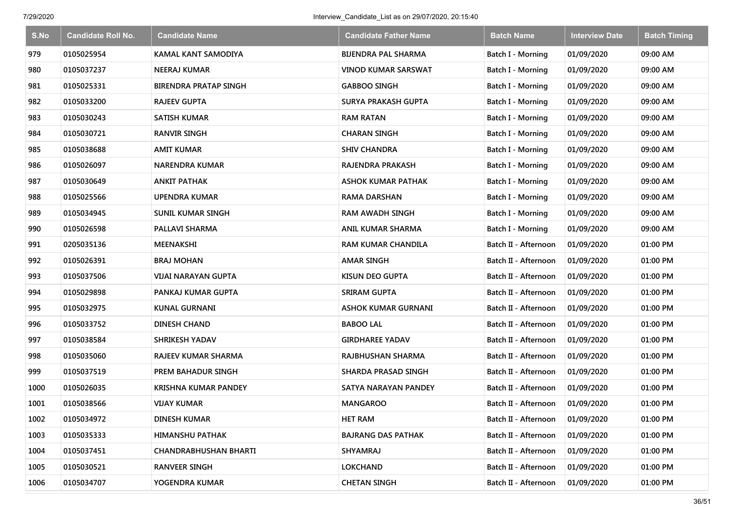| S.No | <b>Candidate Roll No.</b> | <b>Candidate Name</b>        | <b>Candidate Father Name</b> | <b>Batch Name</b>        | <b>Interview Date</b> | <b>Batch Timing</b> |
|------|---------------------------|------------------------------|------------------------------|--------------------------|-----------------------|---------------------|
| 979  | 0105025954                | <b>KAMAL KANT SAMODIYA</b>   | <b>BIJENDRA PAL SHARMA</b>   | Batch I - Morning        | 01/09/2020            | 09:00 AM            |
| 980  | 0105037237                | NEERAJ KUMAR                 | VINOD KUMAR SARSWAT          | Batch I - Morning        | 01/09/2020            | 09:00 AM            |
| 981  | 0105025331                | <b>BIRENDRA PRATAP SINGH</b> | <b>GABBOO SINGH</b>          | Batch I - Morning        | 01/09/2020            | 09:00 AM            |
| 982  | 0105033200                | <b>RAJEEV GUPTA</b>          | SURYA PRAKASH GUPTA          | Batch I - Morning        | 01/09/2020            | 09:00 AM            |
| 983  | 0105030243                | <b>SATISH KUMAR</b>          | <b>RAM RATAN</b>             | Batch I - Morning        | 01/09/2020            | 09:00 AM            |
| 984  | 0105030721                | <b>RANVIR SINGH</b>          | <b>CHARAN SINGH</b>          | Batch I - Morning        | 01/09/2020            | 09:00 AM            |
| 985  | 0105038688                | <b>AMIT KUMAR</b>            | <b>SHIV CHANDRA</b>          | Batch I - Morning        | 01/09/2020            | 09:00 AM            |
| 986  | 0105026097                | <b>NARENDRA KUMAR</b>        | RAJENDRA PRAKASH             | <b>Batch I - Morning</b> | 01/09/2020            | 09:00 AM            |
| 987  | 0105030649                | <b>ANKIT PATHAK</b>          | <b>ASHOK KUMAR PATHAK</b>    | Batch I - Morning        | 01/09/2020            | 09:00 AM            |
| 988  | 0105025566                | UPENDRA KUMAR                | <b>RAMA DARSHAN</b>          | Batch I - Morning        | 01/09/2020            | 09:00 AM            |
| 989  | 0105034945                | <b>SUNIL KUMAR SINGH</b>     | <b>RAM AWADH SINGH</b>       | Batch I - Morning        | 01/09/2020            | 09:00 AM            |
| 990  | 0105026598                | PALLAVI SHARMA               | ANIL KUMAR SHARMA            | <b>Batch I - Morning</b> | 01/09/2020            | 09:00 AM            |
| 991  | 0205035136                | <b>MEENAKSHI</b>             | <b>RAM KUMAR CHANDILA</b>    | Batch II - Afternoon     | 01/09/2020            | 01:00 PM            |
| 992  | 0105026391                | <b>BRAJ MOHAN</b>            | <b>AMAR SINGH</b>            | Batch II - Afternoon     | 01/09/2020            | 01:00 PM            |
| 993  | 0105037506                | <b>VIJAI NARAYAN GUPTA</b>   | KISUN DEO GUPTA              | Batch II - Afternoon     | 01/09/2020            | 01:00 PM            |
| 994  | 0105029898                | PANKAJ KUMAR GUPTA           | <b>SRIRAM GUPTA</b>          | Batch II - Afternoon     | 01/09/2020            | 01:00 PM            |
| 995  | 0105032975                | <b>KUNAL GURNANI</b>         | <b>ASHOK KUMAR GURNANI</b>   | Batch II - Afternoon     | 01/09/2020            | 01:00 PM            |
| 996  | 0105033752                | <b>DINESH CHAND</b>          | <b>BABOO LAL</b>             | Batch II - Afternoon     | 01/09/2020            | 01:00 PM            |
| 997  | 0105038584                | <b>SHRIKESH YADAV</b>        | <b>GIRDHAREE YADAV</b>       | Batch II - Afternoon     | 01/09/2020            | 01:00 PM            |
| 998  | 0105035060                | <b>RAJEEV KUMAR SHARMA</b>   | RAJBHUSHAN SHARMA            | Batch II - Afternoon     | 01/09/2020            | 01:00 PM            |
| 999  | 0105037519                | PREM BAHADUR SINGH           | <b>SHARDA PRASAD SINGH</b>   | Batch II - Afternoon     | 01/09/2020            | 01:00 PM            |
| 1000 | 0105026035                | <b>KRISHNA KUMAR PANDEY</b>  | SATYA NARAYAN PANDEY         | Batch II - Afternoon     | 01/09/2020            | 01:00 PM            |
| 1001 | 0105038566                | <b>VIJAY KUMAR</b>           | <b>MANGAROO</b>              | Batch II - Afternoon     | 01/09/2020            | 01:00 PM            |
| 1002 | 0105034972                | <b>DINESH KUMAR</b>          | <b>HET RAM</b>               | Batch II - Afternoon     | 01/09/2020            | 01:00 PM            |
| 1003 | 0105035333                | <b>HIMANSHU PATHAK</b>       | <b>BAJRANG DAS PATHAK</b>    | Batch II - Afternoon     | 01/09/2020            | 01:00 PM            |
| 1004 | 0105037451                | <b>CHANDRABHUSHAN BHARTI</b> | <b>SHYAMRAJ</b>              | Batch II - Afternoon     | 01/09/2020            | 01:00 PM            |
| 1005 | 0105030521                | <b>RANVEER SINGH</b>         | <b>LOKCHAND</b>              | Batch II - Afternoon     | 01/09/2020            | 01:00 PM            |
| 1006 | 0105034707                | YOGENDRA KUMAR               | <b>CHETAN SINGH</b>          | Batch II - Afternoon     | 01/09/2020            | 01:00 PM            |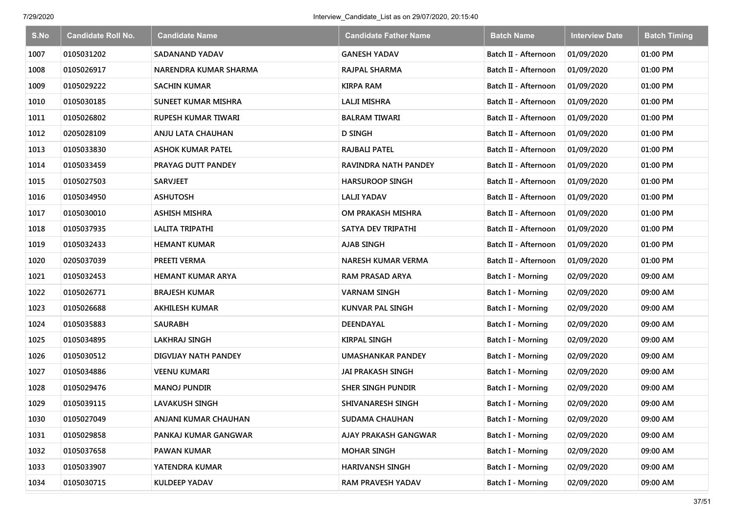| S.No | <b>Candidate Roll No.</b> | <b>Candidate Name</b>      | <b>Candidate Father Name</b> | <b>Batch Name</b>        | <b>Interview Date</b> | <b>Batch Timing</b> |
|------|---------------------------|----------------------------|------------------------------|--------------------------|-----------------------|---------------------|
| 1007 | 0105031202                | SADANAND YADAV             | <b>GANESH YADAV</b>          | Batch II - Afternoon     | 01/09/2020            | 01:00 PM            |
| 1008 | 0105026917                | NARENDRA KUMAR SHARMA      | RAJPAL SHARMA                | Batch II - Afternoon     | 01/09/2020            | 01:00 PM            |
| 1009 | 0105029222                | <b>SACHIN KUMAR</b>        | <b>KIRPA RAM</b>             | Batch II - Afternoon     | 01/09/2020            | 01:00 PM            |
| 1010 | 0105030185                | <b>SUNEET KUMAR MISHRA</b> | LALJI MISHRA                 | Batch II - Afternoon     | 01/09/2020            | 01:00 PM            |
| 1011 | 0105026802                | <b>RUPESH KUMAR TIWARI</b> | <b>BALRAM TIWARI</b>         | Batch II - Afternoon     | 01/09/2020            | 01:00 PM            |
| 1012 | 0205028109                | ANJU LATA CHAUHAN          | <b>D SINGH</b>               | Batch II - Afternoon     | 01/09/2020            | 01:00 PM            |
| 1013 | 0105033830                | <b>ASHOK KUMAR PATEL</b>   | <b>RAJBALI PATEL</b>         | Batch II - Afternoon     | 01/09/2020            | 01:00 PM            |
| 1014 | 0105033459                | PRAYAG DUTT PANDEY         | RAVINDRA NATH PANDEY         | Batch II - Afternoon     | 01/09/2020            | 01:00 PM            |
| 1015 | 0105027503                | <b>SARVJEET</b>            | <b>HARSUROOP SINGH</b>       | Batch II - Afternoon     | 01/09/2020            | 01:00 PM            |
| 1016 | 0105034950                | <b>ASHUTOSH</b>            | <b>LALJI YADAV</b>           | Batch II - Afternoon     | 01/09/2020            | 01:00 PM            |
| 1017 | 0105030010                | <b>ASHISH MISHRA</b>       | OM PRAKASH MISHRA            | Batch II - Afternoon     | 01/09/2020            | 01:00 PM            |
| 1018 | 0105037935                | LALITA TRIPATHI            | SATYA DEV TRIPATHI           | Batch II - Afternoon     | 01/09/2020            | 01:00 PM            |
| 1019 | 0105032433                | <b>HEMANT KUMAR</b>        | <b>AJAB SINGH</b>            | Batch II - Afternoon     | 01/09/2020            | 01:00 PM            |
| 1020 | 0205037039                | PREETI VERMA               | NARESH KUMAR VERMA           | Batch II - Afternoon     | 01/09/2020            | 01:00 PM            |
| 1021 | 0105032453                | <b>HEMANT KUMAR ARYA</b>   | <b>RAM PRASAD ARYA</b>       | <b>Batch I - Morning</b> | 02/09/2020            | 09:00 AM            |
| 1022 | 0105026771                | <b>BRAJESH KUMAR</b>       | <b>VARNAM SINGH</b>          | Batch I - Morning        | 02/09/2020            | 09:00 AM            |
| 1023 | 0105026688                | <b>AKHILESH KUMAR</b>      | KUNVAR PAL SINGH             | Batch I - Morning        | 02/09/2020            | 09:00 AM            |
| 1024 | 0105035883                | SAURABH                    | DEENDAYAL                    | Batch I - Morning        | 02/09/2020            | 09:00 AM            |
| 1025 | 0105034895                | <b>LAKHRAJ SINGH</b>       | <b>KIRPAL SINGH</b>          | Batch I - Morning        | 02/09/2020            | 09:00 AM            |
| 1026 | 0105030512                | DIGVIJAY NATH PANDEY       | UMASHANKAR PANDEY            | Batch I - Morning        | 02/09/2020            | 09:00 AM            |
| 1027 | 0105034886                | <b>VEENU KUMARI</b>        | JAI PRAKASH SINGH            | Batch I - Morning        | 02/09/2020            | 09:00 AM            |
| 1028 | 0105029476                | <b>MANOJ PUNDIR</b>        | SHER SINGH PUNDIR            | <b>Batch I - Morning</b> | 02/09/2020            | 09:00 AM            |
| 1029 | 0105039115                | LAVAKUSH SINGH             | SHIVANARESH SINGH            | Batch I - Morning        | 02/09/2020            | 09:00 AM            |
| 1030 | 0105027049                | ANJANI KUMAR CHAUHAN       | <b>SUDAMA CHAUHAN</b>        | Batch I - Morning        | 02/09/2020            | 09:00 AM            |
| 1031 | 0105029858                | PANKAJ KUMAR GANGWAR       | AJAY PRAKASH GANGWAR         | Batch I - Morning        | 02/09/2020            | 09:00 AM            |
| 1032 | 0105037658                | <b>PAWAN KUMAR</b>         | <b>MOHAR SINGH</b>           | Batch I - Morning        | 02/09/2020            | 09:00 AM            |
| 1033 | 0105033907                | YATENDRA KUMAR             | <b>HARIVANSH SINGH</b>       | <b>Batch I - Morning</b> | 02/09/2020            | 09:00 AM            |
| 1034 | 0105030715                | <b>KULDEEP YADAV</b>       | RAM PRAVESH YADAV            | <b>Batch I - Morning</b> | 02/09/2020            | 09:00 AM            |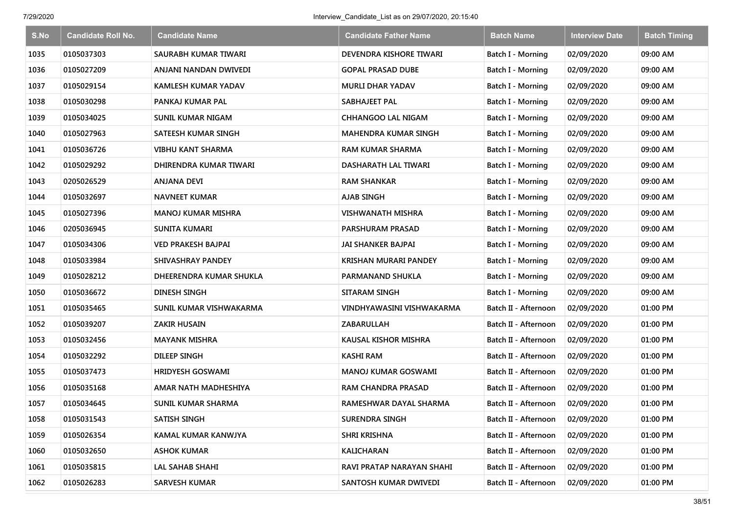| S.No | <b>Candidate Roll No.</b> | <b>Candidate Name</b>      | <b>Candidate Father Name</b> | <b>Batch Name</b>        | <b>Interview Date</b> | <b>Batch Timing</b> |
|------|---------------------------|----------------------------|------------------------------|--------------------------|-----------------------|---------------------|
| 1035 | 0105037303                | SAURABH KUMAR TIWARI       | DEVENDRA KISHORE TIWARI      | Batch I - Morning        | 02/09/2020            | 09:00 AM            |
| 1036 | 0105027209                | ANJANI NANDAN DWIVEDI      | <b>GOPAL PRASAD DUBE</b>     | Batch I - Morning        | 02/09/2020            | 09:00 AM            |
| 1037 | 0105029154                | <b>KAMLESH KUMAR YADAV</b> | <b>MURLI DHAR YADAV</b>      | Batch I - Morning        | 02/09/2020            | 09:00 AM            |
| 1038 | 0105030298                | PANKAJ KUMAR PAL           | SABHAJEET PAL                | Batch I - Morning        | 02/09/2020            | 09:00 AM            |
| 1039 | 0105034025                | <b>SUNIL KUMAR NIGAM</b>   | <b>CHHANGOO LAL NIGAM</b>    | Batch I - Morning        | 02/09/2020            | 09:00 AM            |
| 1040 | 0105027963                | SATEESH KUMAR SINGH        | <b>MAHENDRA KUMAR SINGH</b>  | Batch I - Morning        | 02/09/2020            | 09:00 AM            |
| 1041 | 0105036726                | <b>VIBHU KANT SHARMA</b>   | <b>RAM KUMAR SHARMA</b>      | Batch I - Morning        | 02/09/2020            | 09:00 AM            |
| 1042 | 0105029292                | DHIRENDRA KUMAR TIWARI     | DASHARATH LAL TIWARI         | <b>Batch I - Morning</b> | 02/09/2020            | 09:00 AM            |
| 1043 | 0205026529                | ANJANA DEVI                | <b>RAM SHANKAR</b>           | Batch I - Morning        | 02/09/2020            | 09:00 AM            |
| 1044 | 0105032697                | <b>NAVNEET KUMAR</b>       | <b>AJAB SINGH</b>            | Batch I - Morning        | 02/09/2020            | 09:00 AM            |
| 1045 | 0105027396                | MANOJ KUMAR MISHRA         | VISHWANATH MISHRA            | Batch I - Morning        | 02/09/2020            | 09:00 AM            |
| 1046 | 0205036945                | <b>SUNITA KUMARI</b>       | PARSHURAM PRASAD             | <b>Batch I - Morning</b> | 02/09/2020            | 09:00 AM            |
| 1047 | 0105034306                | <b>VED PRAKESH BAJPAI</b>  | JAI SHANKER BAJPAI           | Batch I - Morning        | 02/09/2020            | 09:00 AM            |
| 1048 | 0105033984                | SHIVASHRAY PANDEY          | KRISHAN MURARI PANDEY        | <b>Batch I - Morning</b> | 02/09/2020            | 09:00 AM            |
| 1049 | 0105028212                | DHEERENDRA KUMAR SHUKLA    | PARMANAND SHUKLA             | Batch I - Morning        | 02/09/2020            | 09:00 AM            |
| 1050 | 0105036672                | DINESH SINGH               | SITARAM SINGH                | Batch I - Morning        | 02/09/2020            | 09:00 AM            |
| 1051 | 0105035465                | SUNIL KUMAR VISHWAKARMA    | VINDHYAWASINI VISHWAKARMA    | Batch II - Afternoon     | 02/09/2020            | 01:00 PM            |
| 1052 | 0105039207                | <b>ZAKIR HUSAIN</b>        | ZABARULLAH                   | Batch II - Afternoon     | 02/09/2020            | 01:00 PM            |
| 1053 | 0105032456                | <b>MAYANK MISHRA</b>       | KAUSAL KISHOR MISHRA         | Batch II - Afternoon     | 02/09/2020            | 01:00 PM            |
| 1054 | 0105032292                | DILEEP SINGH               | <b>KASHI RAM</b>             | Batch II - Afternoon     | 02/09/2020            | 01:00 PM            |
| 1055 | 0105037473                | <b>HRIDYESH GOSWAMI</b>    | <b>MANOJ KUMAR GOSWAMI</b>   | Batch II - Afternoon     | 02/09/2020            | 01:00 PM            |
| 1056 | 0105035168                | AMAR NATH MADHESHIYA       | <b>RAM CHANDRA PRASAD</b>    | Batch II - Afternoon     | 02/09/2020            | 01:00 PM            |
| 1057 | 0105034645                | <b>SUNIL KUMAR SHARMA</b>  | RAMESHWAR DAYAL SHARMA       | Batch II - Afternoon     | 02/09/2020            | 01:00 PM            |
| 1058 | 0105031543                | <b>SATISH SINGH</b>        | <b>SURENDRA SINGH</b>        | Batch II - Afternoon     | 02/09/2020            | 01:00 PM            |
| 1059 | 0105026354                | KAMAL KUMAR KANWJYA        | <b>SHRI KRISHNA</b>          | Batch II - Afternoon     | 02/09/2020            | 01:00 PM            |
| 1060 | 0105032650                | <b>ASHOK KUMAR</b>         | KALICHARAN                   | Batch II - Afternoon     | 02/09/2020            | 01:00 PM            |
| 1061 | 0105035815                | LAL SAHAB SHAHI            | RAVI PRATAP NARAYAN SHAHI    | Batch II - Afternoon     | 02/09/2020            | 01:00 PM            |
| 1062 | 0105026283                | <b>SARVESH KUMAR</b>       | SANTOSH KUMAR DWIVEDI        | Batch II - Afternoon     | 02/09/2020            | 01:00 PM            |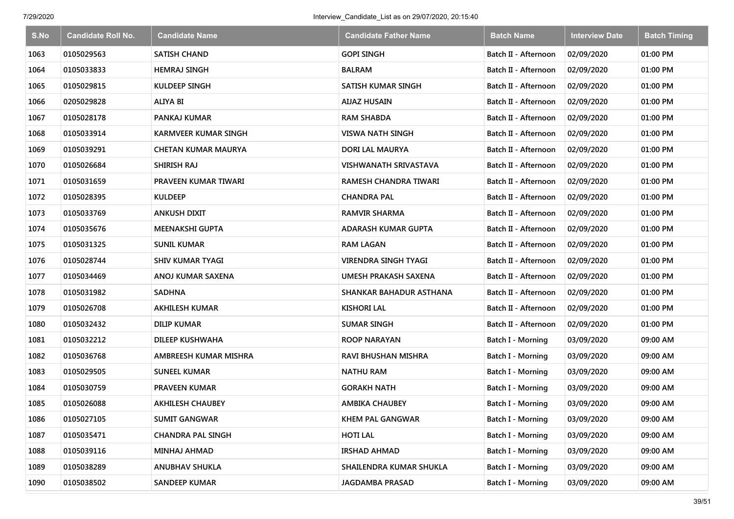| S.No | <b>Candidate Roll No.</b> | <b>Candidate Name</b>       | <b>Candidate Father Name</b> | <b>Batch Name</b>        | <b>Interview Date</b> | <b>Batch Timing</b> |
|------|---------------------------|-----------------------------|------------------------------|--------------------------|-----------------------|---------------------|
| 1063 | 0105029563                | <b>SATISH CHAND</b>         | <b>GOPI SINGH</b>            | Batch II - Afternoon     | 02/09/2020            | 01:00 PM            |
| 1064 | 0105033833                | <b>HEMRAJ SINGH</b>         | <b>BALRAM</b>                | Batch II - Afternoon     | 02/09/2020            | 01:00 PM            |
| 1065 | 0105029815                | <b>KULDEEP SINGH</b>        | SATISH KUMAR SINGH           | Batch II - Afternoon     | 02/09/2020            | 01:00 PM            |
| 1066 | 0205029828                | <b>ALIYA BI</b>             | <b>AIJAZ HUSAIN</b>          | Batch II - Afternoon     | 02/09/2020            | 01:00 PM            |
| 1067 | 0105028178                | <b>PANKAJ KUMAR</b>         | RAM SHABDA                   | Batch II - Afternoon     | 02/09/2020            | 01:00 PM            |
| 1068 | 0105033914                | <b>KARMVEER KUMAR SINGH</b> | <b>VISWA NATH SINGH</b>      | Batch II - Afternoon     | 02/09/2020            | 01:00 PM            |
| 1069 | 0105039291                | <b>CHETAN KUMAR MAURYA</b>  | DORI LAL MAURYA              | Batch II - Afternoon     | 02/09/2020            | 01:00 PM            |
| 1070 | 0105026684                | SHIRISH RAJ                 | VISHWANATH SRIVASTAVA        | Batch II - Afternoon     | 02/09/2020            | 01:00 PM            |
| 1071 | 0105031659                | PRAVEEN KUMAR TIWARI        | RAMESH CHANDRA TIWARI        | Batch II - Afternoon     | 02/09/2020            | 01:00 PM            |
| 1072 | 0105028395                | <b>KULDEEP</b>              | <b>CHANDRA PAL</b>           | Batch II - Afternoon     | 02/09/2020            | 01:00 PM            |
| 1073 | 0105033769                | <b>ANKUSH DIXIT</b>         | <b>RAMVIR SHARMA</b>         | Batch II - Afternoon     | 02/09/2020            | 01:00 PM            |
| 1074 | 0105035676                | <b>MEENAKSHI GUPTA</b>      | <b>ADARASH KUMAR GUPTA</b>   | Batch II - Afternoon     | 02/09/2020            | 01:00 PM            |
| 1075 | 0105031325                | <b>SUNIL KUMAR</b>          | <b>RAM LAGAN</b>             | Batch II - Afternoon     | 02/09/2020            | 01:00 PM            |
| 1076 | 0105028744                | <b>SHIV KUMAR TYAGI</b>     | <b>VIRENDRA SINGH TYAGI</b>  | Batch II - Afternoon     | 02/09/2020            | 01:00 PM            |
| 1077 | 0105034469                | ANOJ KUMAR SAXENA           | UMESH PRAKASH SAXENA         | Batch II - Afternoon     | 02/09/2020            | 01:00 PM            |
| 1078 | 0105031982                | <b>SADHNA</b>               | SHANKAR BAHADUR ASTHANA      | Batch II - Afternoon     | 02/09/2020            | 01:00 PM            |
| 1079 | 0105026708                | <b>AKHILESH KUMAR</b>       | <b>KISHORI LAL</b>           | Batch II - Afternoon     | 02/09/2020            | 01:00 PM            |
| 1080 | 0105032432                | <b>DILIP KUMAR</b>          | <b>SUMAR SINGH</b>           | Batch II - Afternoon     | 02/09/2020            | 01:00 PM            |
| 1081 | 0105032212                | DILEEP KUSHWAHA             | <b>ROOP NARAYAN</b>          | <b>Batch I - Morning</b> | 03/09/2020            | 09:00 AM            |
| 1082 | 0105036768                | AMBREESH KUMAR MISHRA       | RAVI BHUSHAN MISHRA          | Batch I - Morning        | 03/09/2020            | 09:00 AM            |
| 1083 | 0105029505                | <b>SUNEEL KUMAR</b>         | <b>NATHU RAM</b>             | Batch I - Morning        | 03/09/2020            | 09:00 AM            |
| 1084 | 0105030759                | PRAVEEN KUMAR               | <b>GORAKH NATH</b>           | Batch I - Morning        | 03/09/2020            | 09:00 AM            |
| 1085 | 0105026088                | <b>AKHILESH CHAUBEY</b>     | <b>AMBIKA CHAUBEY</b>        | Batch I - Morning        | 03/09/2020            | 09:00 AM            |
| 1086 | 0105027105                | <b>SUMIT GANGWAR</b>        | <b>KHEM PAL GANGWAR</b>      | <b>Batch I - Morning</b> | 03/09/2020            | 09:00 AM            |
| 1087 | 0105035471                | <b>CHANDRA PAL SINGH</b>    | <b>HOTI LAL</b>              | Batch I - Morning        | 03/09/2020            | 09:00 AM            |
| 1088 | 0105039116                | MINHAJ AHMAD                | <b>IRSHAD AHMAD</b>          | Batch I - Morning        | 03/09/2020            | 09:00 AM            |
| 1089 | 0105038289                | <b>ANUBHAV SHUKLA</b>       | SHAILENDRA KUMAR SHUKLA      | Batch I - Morning        | 03/09/2020            | 09:00 AM            |
| 1090 | 0105038502                | <b>SANDEEP KUMAR</b>        | JAGDAMBA PRASAD              | Batch I - Morning        | 03/09/2020            | 09:00 AM            |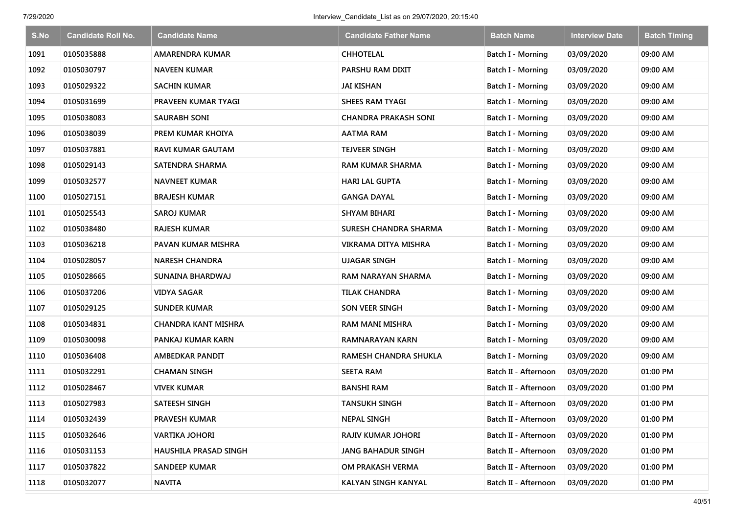| S.No | <b>Candidate Roll No.</b> | <b>Candidate Name</b>      | <b>Candidate Father Name</b> | <b>Batch Name</b>        | <b>Interview Date</b> | <b>Batch Timing</b> |
|------|---------------------------|----------------------------|------------------------------|--------------------------|-----------------------|---------------------|
| 1091 | 0105035888                | AMARENDRA KUMAR            | <b>CHHOTELAL</b>             | Batch I - Morning        | 03/09/2020            | 09:00 AM            |
| 1092 | 0105030797                | <b>NAVEEN KUMAR</b>        | PARSHU RAM DIXIT             | Batch I - Morning        | 03/09/2020            | 09:00 AM            |
| 1093 | 0105029322                | <b>SACHIN KUMAR</b>        | <b>JAI KISHAN</b>            | Batch I - Morning        | 03/09/2020            | 09:00 AM            |
| 1094 | 0105031699                | PRAVEEN KUMAR TYAGI        | SHEES RAM TYAGI              | Batch I - Morning        | 03/09/2020            | 09:00 AM            |
| 1095 | 0105038083                | <b>SAURABH SONI</b>        | <b>CHANDRA PRAKASH SONI</b>  | Batch I - Morning        | 03/09/2020            | 09:00 AM            |
| 1096 | 0105038039                | PREM KUMAR KHOIYA          | <b>AATMA RAM</b>             | <b>Batch I - Morning</b> | 03/09/2020            | 09:00 AM            |
| 1097 | 0105037881                | <b>RAVI KUMAR GAUTAM</b>   | <b>TEJVEER SINGH</b>         | Batch I - Morning        | 03/09/2020            | 09:00 AM            |
| 1098 | 0105029143                | SATENDRA SHARMA            | <b>RAM KUMAR SHARMA</b>      | <b>Batch I - Morning</b> | 03/09/2020            | 09:00 AM            |
| 1099 | 0105032577                | <b>NAVNEET KUMAR</b>       | <b>HARI LAL GUPTA</b>        | Batch I - Morning        | 03/09/2020            | 09:00 AM            |
| 1100 | 0105027151                | <b>BRAJESH KUMAR</b>       | <b>GANGA DAYAL</b>           | Batch I - Morning        | 03/09/2020            | 09:00 AM            |
| 1101 | 0105025543                | <b>SAROJ KUMAR</b>         | <b>SHYAM BIHARI</b>          | Batch I - Morning        | 03/09/2020            | 09:00 AM            |
| 1102 | 0105038480                | RAJESH KUMAR               | <b>SURESH CHANDRA SHARMA</b> | <b>Batch I - Morning</b> | 03/09/2020            | 09:00 AM            |
| 1103 | 0105036218                | PAVAN KUMAR MISHRA         | <b>VIKRAMA DITYA MISHRA</b>  | Batch I - Morning        | 03/09/2020            | 09:00 AM            |
| 1104 | 0105028057                | <b>NARESH CHANDRA</b>      | <b>UJAGAR SINGH</b>          | <b>Batch I - Morning</b> | 03/09/2020            | 09:00 AM            |
| 1105 | 0105028665                | SUNAINA BHARDWAJ           | <b>RAM NARAYAN SHARMA</b>    | Batch I - Morning        | 03/09/2020            | 09:00 AM            |
| 1106 | 0105037206                | <b>VIDYA SAGAR</b>         | <b>TILAK CHANDRA</b>         | Batch I - Morning        | 03/09/2020            | 09:00 AM            |
| 1107 | 0105029125                | <b>SUNDER KUMAR</b>        | SON VEER SINGH               | Batch I - Morning        | 03/09/2020            | 09:00 AM            |
| 1108 | 0105034831                | <b>CHANDRA KANT MISHRA</b> | <b>RAM MANI MISHRA</b>       | Batch I - Morning        | 03/09/2020            | 09:00 AM            |
| 1109 | 0105030098                | PANKAJ KUMAR KARN          | <b>RAMNARAYAN KARN</b>       | Batch I - Morning        | 03/09/2020            | 09:00 AM            |
| 1110 | 0105036408                | <b>AMBEDKAR PANDIT</b>     | RAMESH CHANDRA SHUKLA        | Batch I - Morning        | 03/09/2020            | 09:00 AM            |
| 1111 | 0105032291                | <b>CHAMAN SINGH</b>        | <b>SEETA RAM</b>             | Batch II - Afternoon     | 03/09/2020            | 01:00 PM            |
| 1112 | 0105028467                | <b>VIVEK KUMAR</b>         | <b>BANSHI RAM</b>            | Batch II - Afternoon     | 03/09/2020            | 01:00 PM            |
| 1113 | 0105027983                | SATEESH SINGH              | <b>TANSUKH SINGH</b>         | Batch II - Afternoon     | 03/09/2020            | 01:00 PM            |
| 1114 | 0105032439                | <b>PRAVESH KUMAR</b>       | <b>NEPAL SINGH</b>           | Batch II - Afternoon     | 03/09/2020            | 01:00 PM            |
| 1115 | 0105032646                | <b>VARTIKA JOHORI</b>      | RAJIV KUMAR JOHORI           | Batch II - Afternoon     | 03/09/2020            | 01:00 PM            |
| 1116 | 0105031153                | HAUSHILA PRASAD SINGH      | <b>JANG BAHADUR SINGH</b>    | Batch II - Afternoon     | 03/09/2020            | 01:00 PM            |
| 1117 | 0105037822                | <b>SANDEEP KUMAR</b>       | OM PRAKASH VERMA             | Batch II - Afternoon     | 03/09/2020            | 01:00 PM            |
| 1118 | 0105032077                | <b>NAVITA</b>              | KALYAN SINGH KANYAL          | Batch II - Afternoon     | 03/09/2020            | 01:00 PM            |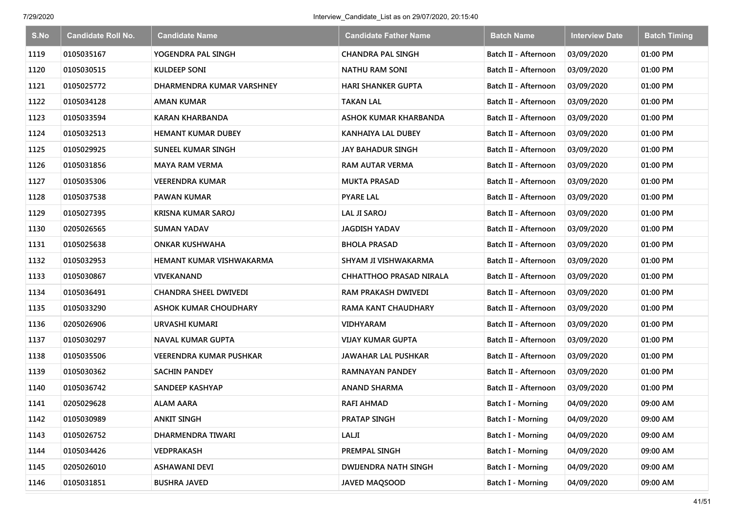| S.No | <b>Candidate Roll No.</b> | <b>Candidate Name</b>          | <b>Candidate Father Name</b>   | <b>Batch Name</b>        | <b>Interview Date</b> | <b>Batch Timing</b> |
|------|---------------------------|--------------------------------|--------------------------------|--------------------------|-----------------------|---------------------|
| 1119 | 0105035167                | YOGENDRA PAL SINGH             | <b>CHANDRA PAL SINGH</b>       | Batch II - Afternoon     | 03/09/2020            | 01:00 PM            |
| 1120 | 0105030515                | KULDEEP SONI                   | <b>NATHU RAM SONI</b>          | Batch II - Afternoon     | 03/09/2020            | 01:00 PM            |
| 1121 | 0105025772                | DHARMENDRA KUMAR VARSHNEY      | <b>HARI SHANKER GUPTA</b>      | Batch II - Afternoon     | 03/09/2020            | 01:00 PM            |
| 1122 | 0105034128                | AMAN KUMAR                     | <b>TAKAN LAL</b>               | Batch II - Afternoon     | 03/09/2020            | 01:00 PM            |
| 1123 | 0105033594                | <b>KARAN KHARBANDA</b>         | <b>ASHOK KUMAR KHARBANDA</b>   | Batch II - Afternoon     | 03/09/2020            | 01:00 PM            |
| 1124 | 0105032513                | <b>HEMANT KUMAR DUBEY</b>      | KANHAIYA LAL DUBEY             | Batch II - Afternoon     | 03/09/2020            | 01:00 PM            |
| 1125 | 0105029925                | <b>SUNEEL KUMAR SINGH</b>      | <b>JAY BAHADUR SINGH</b>       | Batch II - Afternoon     | 03/09/2020            | 01:00 PM            |
| 1126 | 0105031856                | <b>MAYA RAM VERMA</b>          | RAM AUTAR VERMA                | Batch II - Afternoon     | 03/09/2020            | 01:00 PM            |
| 1127 | 0105035306                | <b>VEERENDRA KUMAR</b>         | <b>MUKTA PRASAD</b>            | Batch II - Afternoon     | 03/09/2020            | 01:00 PM            |
| 1128 | 0105037538                | PAWAN KUMAR                    | <b>PYARE LAL</b>               | Batch II - Afternoon     | 03/09/2020            | 01:00 PM            |
| 1129 | 0105027395                | <b>KRISNA KUMAR SAROJ</b>      | <b>LAL JI SAROJ</b>            | Batch II - Afternoon     | 03/09/2020            | 01:00 PM            |
| 1130 | 0205026565                | SUMAN YADAV                    | <b>JAGDISH YADAV</b>           | Batch II - Afternoon     | 03/09/2020            | 01:00 PM            |
| 1131 | 0105025638                | <b>ONKAR KUSHWAHA</b>          | <b>BHOLA PRASAD</b>            | Batch II - Afternoon     | 03/09/2020            | 01:00 PM            |
| 1132 | 0105032953                | HEMANT KUMAR VISHWAKARMA       | SHYAM JI VISHWAKARMA           | Batch II - Afternoon     | 03/09/2020            | 01:00 PM            |
| 1133 | 0105030867                | VIVEKANAND                     | <b>CHHATTHOO PRASAD NIRALA</b> | Batch II - Afternoon     | 03/09/2020            | 01:00 PM            |
| 1134 | 0105036491                | <b>CHANDRA SHEEL DWIVEDI</b>   | RAM PRAKASH DWIVEDI            | Batch II - Afternoon     | 03/09/2020            | 01:00 PM            |
| 1135 | 0105033290                | <b>ASHOK KUMAR CHOUDHARY</b>   | <b>RAMA KANT CHAUDHARY</b>     | Batch II - Afternoon     | 03/09/2020            | 01:00 PM            |
| 1136 | 0205026906                | URVASHI KUMARI                 | <b>VIDHYARAM</b>               | Batch II - Afternoon     | 03/09/2020            | 01:00 PM            |
| 1137 | 0105030297                | <b>NAVAL KUMAR GUPTA</b>       | <b>VIJAY KUMAR GUPTA</b>       | Batch II - Afternoon     | 03/09/2020            | 01:00 PM            |
| 1138 | 0105035506                | <b>VEERENDRA KUMAR PUSHKAR</b> | <b>JAWAHAR LAL PUSHKAR</b>     | Batch II - Afternoon     | 03/09/2020            | 01:00 PM            |
| 1139 | 0105030362                | <b>SACHIN PANDEY</b>           | RAMNAYAN PANDEY                | Batch II - Afternoon     | 03/09/2020            | 01:00 PM            |
| 1140 | 0105036742                | <b>SANDEEP KASHYAP</b>         | <b>ANAND SHARMA</b>            | Batch II - Afternoon     | 03/09/2020            | 01:00 PM            |
| 1141 | 0205029628                | <b>ALAM AARA</b>               | <b>RAFI AHMAD</b>              | Batch I - Morning        | 04/09/2020            | 09:00 AM            |
| 1142 | 0105030989                | <b>ANKIT SINGH</b>             | PRATAP SINGH                   | Batch I - Morning        | 04/09/2020            | 09:00 AM            |
| 1143 | 0105026752                | DHARMENDRA TIWARI              | LALJI                          | Batch I - Morning        | 04/09/2020            | 09:00 AM            |
| 1144 | 0105034426                | VEDPRAKASH                     | PREMPAL SINGH                  | Batch I - Morning        | 04/09/2020            | 09:00 AM            |
| 1145 | 0205026010                | ASHAWANI DEVI                  | DWIJENDRA NATH SINGH           | Batch I - Morning        | 04/09/2020            | 09:00 AM            |
| 1146 | 0105031851                | <b>BUSHRA JAVED</b>            | JAVED MAQSOOD                  | <b>Batch I - Morning</b> | 04/09/2020            | 09:00 AM            |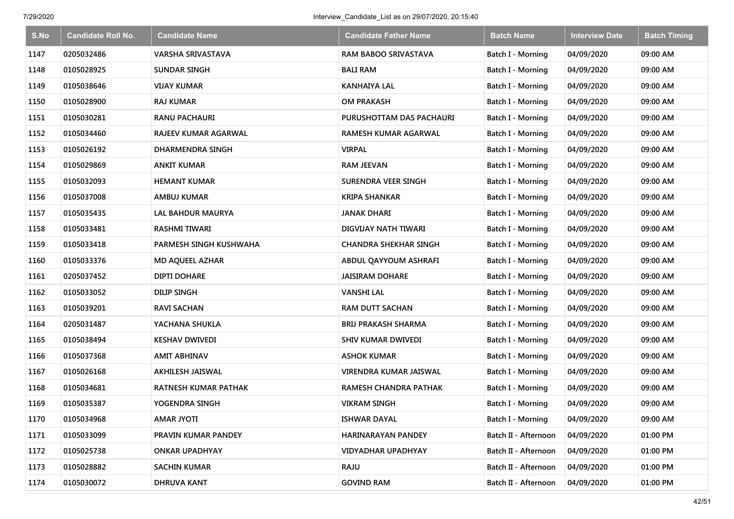| S.No | <b>Candidate Roll No.</b> | <b>Candidate Name</b>       | <b>Candidate Father Name</b> | <b>Batch Name</b>        | <b>Interview Date</b> | <b>Batch Timing</b> |
|------|---------------------------|-----------------------------|------------------------------|--------------------------|-----------------------|---------------------|
| 1147 | 0205032486                | <b>VARSHA SRIVASTAVA</b>    | RAM BABOO SRIVASTAVA         | Batch I - Morning        | 04/09/2020            | 09:00 AM            |
| 1148 | 0105028925                | <b>SUNDAR SINGH</b>         | <b>BALI RAM</b>              | <b>Batch I - Morning</b> | 04/09/2020            | 09:00 AM            |
| 1149 | 0105038646                | <b>VIJAY KUMAR</b>          | <b>KANHAIYA LAL</b>          | Batch I - Morning        | 04/09/2020            | 09:00 AM            |
| 1150 | 0105028900                | <b>RAJ KUMAR</b>            | <b>OM PRAKASH</b>            | Batch I - Morning        | 04/09/2020            | 09:00 AM            |
| 1151 | 0105030281                | <b>RANU PACHAURI</b>        | PURUSHOTTAM DAS PACHAURI     | Batch I - Morning        | 04/09/2020            | 09:00 AM            |
| 1152 | 0105034460                | RAJEEV KUMAR AGARWAL        | <b>RAMESH KUMAR AGARWAL</b>  | <b>Batch I - Morning</b> | 04/09/2020            | 09:00 AM            |
| 1153 | 0105026192                | DHARMENDRA SINGH            | <b>VIRPAL</b>                | Batch I - Morning        | 04/09/2020            | 09:00 AM            |
| 1154 | 0105029869                | <b>ANKIT KUMAR</b>          | RAM JEEVAN                   | <b>Batch I - Morning</b> | 04/09/2020            | 09:00 AM            |
| 1155 | 0105032093                | <b>HEMANT KUMAR</b>         | <b>SURENDRA VEER SINGH</b>   | Batch I - Morning        | 04/09/2020            | 09:00 AM            |
| 1156 | 0105037008                | AMBUJ KUMAR                 | KRIPA SHANKAR                | Batch I - Morning        | 04/09/2020            | 09:00 AM            |
| 1157 | 0105035435                | LAL BAHDUR MAURYA           | JANAK DHARI                  | <b>Batch I - Morning</b> | 04/09/2020            | 09:00 AM            |
| 1158 | 0105033481                | <b>RASHMI TIWARI</b>        | DIGVIJAY NATH TIWARI         | <b>Batch I - Morning</b> | 04/09/2020            | 09:00 AM            |
| 1159 | 0105033418                | PARMESH SINGH KUSHWAHA      | CHANDRA SHEKHAR SINGH        | Batch I - Morning        | 04/09/2020            | 09:00 AM            |
| 1160 | 0105033376                | <b>MD AQUEEL AZHAR</b>      | ABDUL QAYYOUM ASHRAFI        | Batch I - Morning        | 04/09/2020            | 09:00 AM            |
| 1161 | 0205037452                | <b>DIPTI DOHARE</b>         | <b>JAISIRAM DOHARE</b>       | Batch I - Morning        | 04/09/2020            | 09:00 AM            |
| 1162 | 0105033052                | <b>DILIP SINGH</b>          | <b>VANSHI LAL</b>            | Batch I - Morning        | 04/09/2020            | 09:00 AM            |
| 1163 | 0105039201                | <b>RAVI SACHAN</b>          | <b>RAM DUTT SACHAN</b>       | Batch I - Morning        | 04/09/2020            | 09:00 AM            |
| 1164 | 0205031487                | YACHANA SHUKLA              | <b>BRIJ PRAKASH SHARMA</b>   | Batch I - Morning        | 04/09/2020            | 09:00 AM            |
| 1165 | 0105038494                | <b>KESHAV DWIVEDI</b>       | <b>SHIV KUMAR DWIVEDI</b>    | <b>Batch I - Morning</b> | 04/09/2020            | 09:00 AM            |
| 1166 | 0105037368                | <b>AMIT ABHINAV</b>         | <b>ASHOK KUMAR</b>           | Batch I - Morning        | 04/09/2020            | 09:00 AM            |
| 1167 | 0105026168                | <b>AKHILESH JAISWAL</b>     | VIRENDRA KUMAR JAISWAL       | Batch I - Morning        | 04/09/2020            | 09:00 AM            |
| 1168 | 0105034681                | <b>RATNESH KUMAR PATHAK</b> | <b>RAMESH CHANDRA PATHAK</b> | <b>Batch I - Morning</b> | 04/09/2020            | 09:00 AM            |
| 1169 | 0105035387                | YOGENDRA SINGH              | <b>VIKRAM SINGH</b>          | Batch I - Morning        | 04/09/2020            | 09:00 AM            |
| 1170 | 0105034968                | <b>AMAR JYOTI</b>           | <b>ISHWAR DAYAL</b>          | Batch I - Morning        | 04/09/2020            | 09:00 AM            |
| 1171 | 0105033099                | PRAVIN KUMAR PANDEY         | HARINARAYAN PANDEY           | Batch II - Afternoon     | 04/09/2020            | 01:00 PM            |
| 1172 | 0105025738                | <b>ONKAR UPADHYAY</b>       | <b>VIDYADHAR UPADHYAY</b>    | Batch II - Afternoon     | 04/09/2020            | 01:00 PM            |
| 1173 | 0105028882                | <b>SACHIN KUMAR</b>         | <b>RAJU</b>                  | Batch II - Afternoon     | 04/09/2020            | 01:00 PM            |
| 1174 | 0105030072                | <b>DHRUVA KANT</b>          | <b>GOVIND RAM</b>            | Batch II - Afternoon     | 04/09/2020            | 01:00 PM            |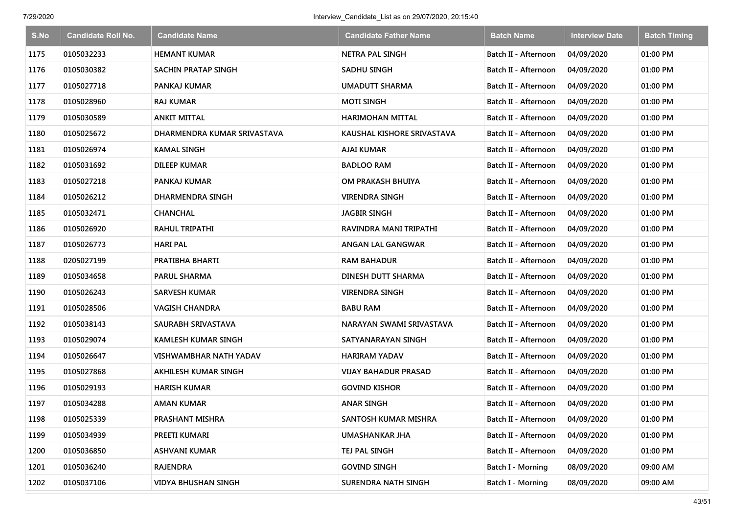| S.No | <b>Candidate Roll No.</b> | <b>Candidate Name</b>       | <b>Candidate Father Name</b> | <b>Batch Name</b>        | <b>Interview Date</b> | <b>Batch Timing</b> |
|------|---------------------------|-----------------------------|------------------------------|--------------------------|-----------------------|---------------------|
| 1175 | 0105032233                | <b>HEMANT KUMAR</b>         | <b>NETRA PAL SINGH</b>       | Batch II - Afternoon     | 04/09/2020            | 01:00 PM            |
| 1176 | 0105030382                | SACHIN PRATAP SINGH         | SADHU SINGH                  | Batch II - Afternoon     | 04/09/2020            | 01:00 PM            |
| 1177 | 0105027718                | <b>PANKAJ KUMAR</b>         | <b>UMADUTT SHARMA</b>        | Batch II - Afternoon     | 04/09/2020            | 01:00 PM            |
| 1178 | 0105028960                | <b>RAJ KUMAR</b>            | <b>MOTI SINGH</b>            | Batch II - Afternoon     | 04/09/2020            | 01:00 PM            |
| 1179 | 0105030589                | <b>ANKIT MITTAL</b>         | HARIMOHAN MITTAL             | Batch II - Afternoon     | 04/09/2020            | 01:00 PM            |
| 1180 | 0105025672                | DHARMENDRA KUMAR SRIVASTAVA | KAUSHAL KISHORE SRIVASTAVA   | Batch II - Afternoon     | 04/09/2020            | 01:00 PM            |
| 1181 | 0105026974                | <b>KAMAL SINGH</b>          | AJAI KUMAR                   | Batch II - Afternoon     | 04/09/2020            | 01:00 PM            |
| 1182 | 0105031692                | <b>DILEEP KUMAR</b>         | <b>BADLOO RAM</b>            | Batch II - Afternoon     | 04/09/2020            | 01:00 PM            |
| 1183 | 0105027218                | PANKAJ KUMAR                | OM PRAKASH BHUIYA            | Batch II - Afternoon     | 04/09/2020            | 01:00 PM            |
| 1184 | 0105026212                | DHARMENDRA SINGH            | <b>VIRENDRA SINGH</b>        | Batch II - Afternoon     | 04/09/2020            | 01:00 PM            |
| 1185 | 0105032471                | <b>CHANCHAL</b>             | <b>JAGBIR SINGH</b>          | Batch II - Afternoon     | 04/09/2020            | 01:00 PM            |
| 1186 | 0105026920                | <b>RAHUL TRIPATHI</b>       | RAVINDRA MANI TRIPATHI       | Batch II - Afternoon     | 04/09/2020            | 01:00 PM            |
| 1187 | 0105026773                | <b>HARI PAL</b>             | ANGAN LAL GANGWAR            | Batch II - Afternoon     | 04/09/2020            | 01:00 PM            |
| 1188 | 0205027199                | PRATIBHA BHARTI             | RAM BAHADUR                  | Batch II - Afternoon     | 04/09/2020            | 01:00 PM            |
| 1189 | 0105034658                | <b>PARUL SHARMA</b>         | DINESH DUTT SHARMA           | Batch II - Afternoon     | 04/09/2020            | 01:00 PM            |
| 1190 | 0105026243                | <b>SARVESH KUMAR</b>        | <b>VIRENDRA SINGH</b>        | Batch II - Afternoon     | 04/09/2020            | 01:00 PM            |
| 1191 | 0105028506                | <b>VAGISH CHANDRA</b>       | <b>BABU RAM</b>              | Batch II - Afternoon     | 04/09/2020            | 01:00 PM            |
| 1192 | 0105038143                | SAURABH SRIVASTAVA          | NARAYAN SWAMI SRIVASTAVA     | Batch II - Afternoon     | 04/09/2020            | 01:00 PM            |
| 1193 | 0105029074                | KAMLESH KUMAR SINGH         | SATYANARAYAN SINGH           | Batch II - Afternoon     | 04/09/2020            | 01:00 PM            |
| 1194 | 0105026647                | VISHWAMBHAR NATH YADAV      | <b>HARIRAM YADAV</b>         | Batch II - Afternoon     | 04/09/2020            | 01:00 PM            |
| 1195 | 0105027868                | AKHILESH KUMAR SINGH        | VIJAY BAHADUR PRASAD         | Batch II - Afternoon     | 04/09/2020            | 01:00 PM            |
| 1196 | 0105029193                | <b>HARISH KUMAR</b>         | <b>GOVIND KISHOR</b>         | Batch II - Afternoon     | 04/09/2020            | 01:00 PM            |
| 1197 | 0105034288                | <b>AMAN KUMAR</b>           | <b>ANAR SINGH</b>            | Batch II - Afternoon     | 04/09/2020            | 01:00 PM            |
| 1198 | 0105025339                | PRASHANT MISHRA             | SANTOSH KUMAR MISHRA         | Batch II - Afternoon     | 04/09/2020            | 01:00 PM            |
| 1199 | 0105034939                | PREETI KUMARI               | <b>UMASHANKAR JHA</b>        | Batch II - Afternoon     | 04/09/2020            | 01:00 PM            |
| 1200 | 0105036850                | <b>ASHVANI KUMAR</b>        | TEJ PAL SINGH                | Batch II - Afternoon     | 04/09/2020            | 01:00 PM            |
| 1201 | 0105036240                | <b>RAJENDRA</b>             | <b>GOVIND SINGH</b>          | Batch I - Morning        | 08/09/2020            | 09:00 AM            |
| 1202 | 0105037106                | <b>VIDYA BHUSHAN SINGH</b>  | SURENDRA NATH SINGH          | <b>Batch I - Morning</b> | 08/09/2020            | 09:00 AM            |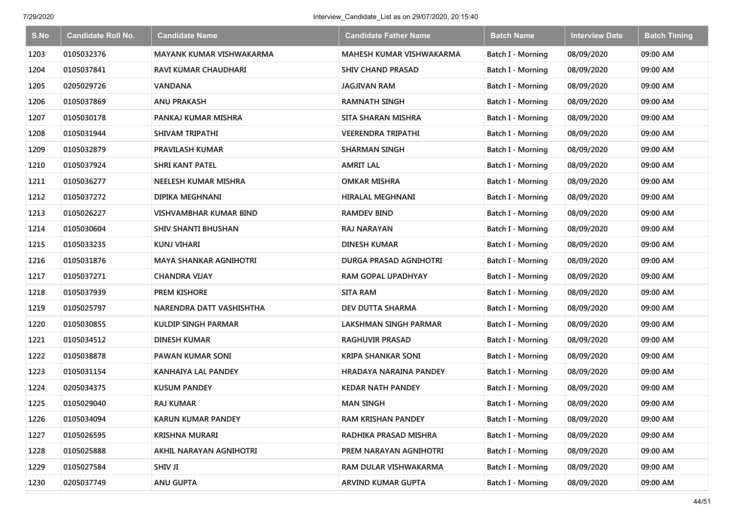| S.No | <b>Candidate Roll No.</b> | <b>Candidate Name</b>           | <b>Candidate Father Name</b>  | <b>Batch Name</b>        | <b>Interview Date</b> | <b>Batch Timing</b> |
|------|---------------------------|---------------------------------|-------------------------------|--------------------------|-----------------------|---------------------|
| 1203 | 0105032376                | <b>MAYANK KUMAR VISHWAKARMA</b> | MAHESH KUMAR VISHWAKARMA      | <b>Batch I - Morning</b> | 08/09/2020            | 09:00 AM            |
| 1204 | 0105037841                | RAVI KUMAR CHAUDHARI            | <b>SHIV CHAND PRASAD</b>      | Batch I - Morning        | 08/09/2020            | 09:00 AM            |
| 1205 | 0205029726                | <b>VANDANA</b>                  | <b>JAGJIVAN RAM</b>           | Batch I - Morning        | 08/09/2020            | 09:00 AM            |
| 1206 | 0105037869                | <b>ANU PRAKASH</b>              | <b>RAMNATH SINGH</b>          | Batch I - Morning        | 08/09/2020            | 09:00 AM            |
| 1207 | 0105030178                | PANKAJ KUMAR MISHRA             | <b>SITA SHARAN MISHRA</b>     | Batch I - Morning        | 08/09/2020            | 09:00 AM            |
| 1208 | 0105031944                | SHIVAM TRIPATHI                 | <b>VEERENDRA TRIPATHI</b>     | <b>Batch I - Morning</b> | 08/09/2020            | 09:00 AM            |
| 1209 | 0105032879                | <b>PRAVILASH KUMAR</b>          | <b>SHARMAN SINGH</b>          | Batch I - Morning        | 08/09/2020            | 09:00 AM            |
| 1210 | 0105037924                | <b>SHRI KANT PATEL</b>          | <b>AMRIT LAL</b>              | <b>Batch I - Morning</b> | 08/09/2020            | 09:00 AM            |
| 1211 | 0105036277                | NEELESH KUMAR MISHRA            | <b>OMKAR MISHRA</b>           | Batch I - Morning        | 08/09/2020            | 09:00 AM            |
| 1212 | 0105037272                | DIPIKA MEGHNANI                 | <b>HIRALAL MEGHNANI</b>       | Batch I - Morning        | 08/09/2020            | 09:00 AM            |
| 1213 | 0105026227                | <b>VISHVAMBHAR KUMAR BIND</b>   | <b>RAMDEV BIND</b>            | Batch I - Morning        | 08/09/2020            | 09:00 AM            |
| 1214 | 0105030604                | SHIV SHANTI BHUSHAN             | RAJ NARAYAN                   | <b>Batch I - Morning</b> | 08/09/2020            | 09:00 AM            |
| 1215 | 0105033235                | KUNJ VIHARI                     | <b>DINESH KUMAR</b>           | Batch I - Morning        | 08/09/2020            | 09:00 AM            |
| 1216 | 0105031876                | <b>MAYA SHANKAR AGNIHOTRI</b>   | DURGA PRASAD AGNIHOTRI        | Batch I - Morning        | 08/09/2020            | 09:00 AM            |
| 1217 | 0105037271                | <b>CHANDRA VIJAY</b>            | RAM GOPAL UPADHYAY            | Batch I - Morning        | 08/09/2020            | 09:00 AM            |
| 1218 | 0105037939                | <b>PREM KISHORE</b>             | <b>SITA RAM</b>               | Batch I - Morning        | 08/09/2020            | 09:00 AM            |
| 1219 | 0105025797                | NARENDRA DATT VASHISHTHA        | <b>DEV DUTTA SHARMA</b>       | Batch I - Morning        | 08/09/2020            | 09:00 AM            |
| 1220 | 0105030855                | <b>KULDIP SINGH PARMAR</b>      | LAKSHMAN SINGH PARMAR         | Batch I - Morning        | 08/09/2020            | 09:00 AM            |
| 1221 | 0105034512                | <b>DINESH KUMAR</b>             | <b>RAGHUVIR PRASAD</b>        | Batch I - Morning        | 08/09/2020            | 09:00 AM            |
| 1222 | 0105038878                | PAWAN KUMAR SONI                | <b>KRIPA SHANKAR SONI</b>     | Batch I - Morning        | 08/09/2020            | 09:00 AM            |
| 1223 | 0105031154                | <b>KANHAIYA LAL PANDEY</b>      | <b>HRADAYA NARAINA PANDEY</b> | Batch I - Morning        | 08/09/2020            | 09:00 AM            |
| 1224 | 0205034375                | <b>KUSUM PANDEY</b>             | <b>KEDAR NATH PANDEY</b>      | Batch I - Morning        | 08/09/2020            | 09:00 AM            |
| 1225 | 0105029040                | <b>RAJ KUMAR</b>                | <b>MAN SINGH</b>              | Batch I - Morning        | 08/09/2020            | 09:00 AM            |
| 1226 | 0105034094                | <b>KARUN KUMAR PANDEY</b>       | <b>RAM KRISHAN PANDEY</b>     | Batch I - Morning        | 08/09/2020            | 09:00 AM            |
| 1227 | 0105026595                | <b>KRISHNA MURARI</b>           | RADHIKA PRASAD MISHRA         | Batch I - Morning        | 08/09/2020            | 09:00 AM            |
| 1228 | 0105025888                | AKHIL NARAYAN AGNIHOTRI         | PREM NARAYAN AGNIHOTRI        | Batch I - Morning        | 08/09/2020            | 09:00 AM            |
| 1229 | 0105027584                | <b>SHIV JI</b>                  | RAM DULAR VISHWAKARMA         | Batch I - Morning        | 08/09/2020            | 09:00 AM            |
| 1230 | 0205037749                | ANU GUPTA                       | ARVIND KUMAR GUPTA            | <b>Batch I - Morning</b> | 08/09/2020            | 09:00 AM            |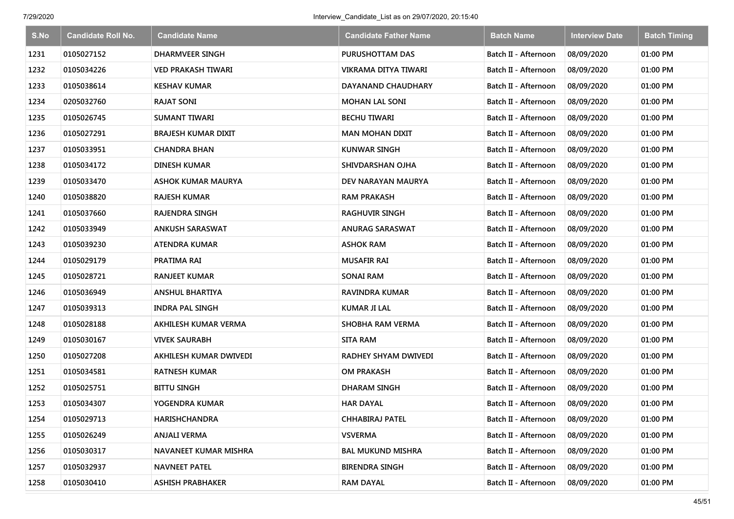| S.No | <b>Candidate Roll No.</b> | <b>Candidate Name</b>      | <b>Candidate Father Name</b> | <b>Batch Name</b>    | <b>Interview Date</b> | <b>Batch Timing</b> |
|------|---------------------------|----------------------------|------------------------------|----------------------|-----------------------|---------------------|
| 1231 | 0105027152                | <b>DHARMVEER SINGH</b>     | PURUSHOTTAM DAS              | Batch II - Afternoon | 08/09/2020            | 01:00 PM            |
| 1232 | 0105034226                | <b>VED PRAKASH TIWARI</b>  | <b>VIKRAMA DITYA TIWARI</b>  | Batch II - Afternoon | 08/09/2020            | 01:00 PM            |
| 1233 | 0105038614                | <b>KESHAV KUMAR</b>        | <b>DAYANAND CHAUDHARY</b>    | Batch II - Afternoon | 08/09/2020            | 01:00 PM            |
| 1234 | 0205032760                | <b>RAJAT SONI</b>          | <b>MOHAN LAL SONI</b>        | Batch II - Afternoon | 08/09/2020            | 01:00 PM            |
| 1235 | 0105026745                | <b>SUMANT TIWARI</b>       | <b>BECHU TIWARI</b>          | Batch II - Afternoon | 08/09/2020            | 01:00 PM            |
| 1236 | 0105027291                | <b>BRAJESH KUMAR DIXIT</b> | MAN MOHAN DIXIT              | Batch II - Afternoon | 08/09/2020            | 01:00 PM            |
| 1237 | 0105033951                | <b>CHANDRA BHAN</b>        | <b>KUNWAR SINGH</b>          | Batch II - Afternoon | 08/09/2020            | 01:00 PM            |
| 1238 | 0105034172                | <b>DINESH KUMAR</b>        | SHIVDARSHAN OJHA             | Batch II - Afternoon | 08/09/2020            | 01:00 PM            |
| 1239 | 0105033470                | <b>ASHOK KUMAR MAURYA</b>  | DEV NARAYAN MAURYA           | Batch II - Afternoon | 08/09/2020            | 01:00 PM            |
| 1240 | 0105038820                | <b>RAJESH KUMAR</b>        | <b>RAM PRAKASH</b>           | Batch II - Afternoon | 08/09/2020            | 01:00 PM            |
| 1241 | 0105037660                | <b>RAJENDRA SINGH</b>      | <b>RAGHUVIR SINGH</b>        | Batch II - Afternoon | 08/09/2020            | 01:00 PM            |
| 1242 | 0105033949                | <b>ANKUSH SARASWAT</b>     | <b>ANURAG SARASWAT</b>       | Batch II - Afternoon | 08/09/2020            | 01:00 PM            |
| 1243 | 0105039230                | <b>ATENDRA KUMAR</b>       | <b>ASHOK RAM</b>             | Batch II - Afternoon | 08/09/2020            | 01:00 PM            |
| 1244 | 0105029179                | PRATIMA RAI                | <b>MUSAFIR RAI</b>           | Batch II - Afternoon | 08/09/2020            | 01:00 PM            |
| 1245 | 0105028721                | <b>RANJEET KUMAR</b>       | <b>SONAI RAM</b>             | Batch II - Afternoon | 08/09/2020            | 01:00 PM            |
| 1246 | 0105036949                | <b>ANSHUL BHARTIYA</b>     | RAVINDRA KUMAR               | Batch II - Afternoon | 08/09/2020            | 01:00 PM            |
| 1247 | 0105039313                | <b>INDRA PAL SINGH</b>     | <b>KUMAR JI LAL</b>          | Batch II - Afternoon | 08/09/2020            | 01:00 PM            |
| 1248 | 0105028188                | AKHILESH KUMAR VERMA       | SHOBHA RAM VERMA             | Batch II - Afternoon | 08/09/2020            | 01:00 PM            |
| 1249 | 0105030167                | <b>VIVEK SAURABH</b>       | <b>SITA RAM</b>              | Batch II - Afternoon | 08/09/2020            | 01:00 PM            |
| 1250 | 0105027208                | AKHILESH KUMAR DWIVEDI     | RADHEY SHYAM DWIVEDI         | Batch II - Afternoon | 08/09/2020            | 01:00 PM            |
| 1251 | 0105034581                | <b>RATNESH KUMAR</b>       | <b>OM PRAKASH</b>            | Batch II - Afternoon | 08/09/2020            | 01:00 PM            |
| 1252 | 0105025751                | <b>BITTU SINGH</b>         | DHARAM SINGH                 | Batch II - Afternoon | 08/09/2020            | 01:00 PM            |
| 1253 | 0105034307                | YOGENDRA KUMAR             | <b>HAR DAYAL</b>             | Batch II - Afternoon | 08/09/2020            | 01:00 PM            |
| 1254 | 0105029713                | <b>HARISHCHANDRA</b>       | CHHABIRAJ PATEL              | Batch II - Afternoon | 08/09/2020            | 01:00 PM            |
| 1255 | 0105026249                | <b>ANJALI VERMA</b>        | <b>VSVERMA</b>               | Batch II - Afternoon | 08/09/2020            | 01:00 PM            |
| 1256 | 0105030317                | NAVANEET KUMAR MISHRA      | <b>BAL MUKUND MISHRA</b>     | Batch II - Afternoon | 08/09/2020            | 01:00 PM            |
| 1257 | 0105032937                | <b>NAVNEET PATEL</b>       | <b>BIRENDRA SINGH</b>        | Batch II - Afternoon | 08/09/2020            | 01:00 PM            |
| 1258 | 0105030410                | <b>ASHISH PRABHAKER</b>    | <b>RAM DAYAL</b>             | Batch II - Afternoon | 08/09/2020            | 01:00 PM            |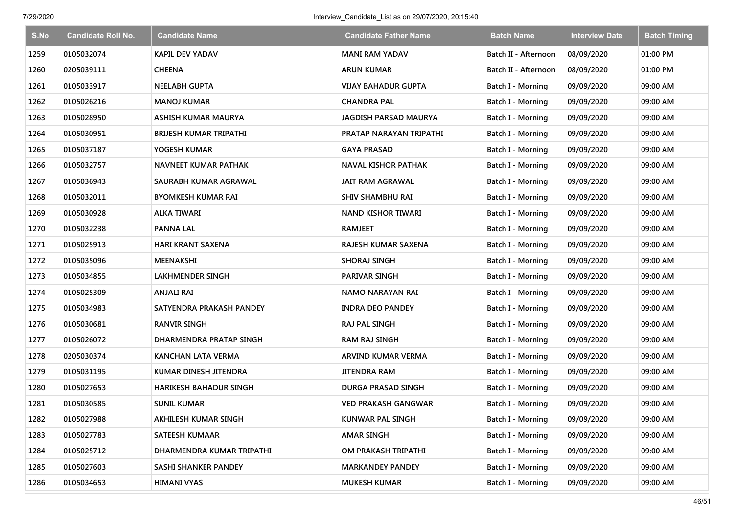| S.No | <b>Candidate Roll No.</b> | <b>Candidate Name</b>         | <b>Candidate Father Name</b> | <b>Batch Name</b>    | <b>Interview Date</b> | <b>Batch Timing</b> |
|------|---------------------------|-------------------------------|------------------------------|----------------------|-----------------------|---------------------|
| 1259 | 0105032074                | <b>KAPIL DEV YADAV</b>        | <b>MANI RAM YADAV</b>        | Batch II - Afternoon | 08/09/2020            | 01:00 PM            |
| 1260 | 0205039111                | <b>CHEENA</b>                 | ARUN KUMAR                   | Batch II - Afternoon | 08/09/2020            | 01:00 PM            |
| 1261 | 0105033917                | <b>NEELABH GUPTA</b>          | VIJAY BAHADUR GUPTA          | Batch I - Morning    | 09/09/2020            | 09:00 AM            |
| 1262 | 0105026216                | <b>MANOJ KUMAR</b>            | <b>CHANDRA PAL</b>           | Batch I - Morning    | 09/09/2020            | 09:00 AM            |
| 1263 | 0105028950                | ASHISH KUMAR MAURYA           | <b>JAGDISH PARSAD MAURYA</b> | Batch I - Morning    | 09/09/2020            | 09:00 AM            |
| 1264 | 0105030951                | <b>BRIJESH KUMAR TRIPATHI</b> | PRATAP NARAYAN TRIPATHI      | Batch I - Morning    | 09/09/2020            | 09:00 AM            |
| 1265 | 0105037187                | YOGESH KUMAR                  | <b>GAYA PRASAD</b>           | Batch I - Morning    | 09/09/2020            | 09:00 AM            |
| 1266 | 0105032757                | <b>NAVNEET KUMAR PATHAK</b>   | <b>NAVAL KISHOR PATHAK</b>   | Batch I - Morning    | 09/09/2020            | 09:00 AM            |
| 1267 | 0105036943                | SAURABH KUMAR AGRAWAL         | <b>JAIT RAM AGRAWAL</b>      | Batch I - Morning    | 09/09/2020            | 09:00 AM            |
| 1268 | 0105032011                | <b>BYOMKESH KUMAR RAI</b>     | SHIV SHAMBHU RAI             | Batch I - Morning    | 09/09/2020            | 09:00 AM            |
| 1269 | 0105030928                | <b>ALKA TIWARI</b>            | <b>NAND KISHOR TIWARI</b>    | Batch I - Morning    | 09/09/2020            | 09:00 AM            |
| 1270 | 0105032238                | <b>PANNA LAL</b>              | <b>RAMJEET</b>               | Batch I - Morning    | 09/09/2020            | 09:00 AM            |
| 1271 | 0105025913                | <b>HARI KRANT SAXENA</b>      | RAJESH KUMAR SAXENA          | Batch I - Morning    | 09/09/2020            | 09:00 AM            |
| 1272 | 0105035096                | MEENAKSHI                     | SHORAJ SINGH                 | Batch I - Morning    | 09/09/2020            | 09:00 AM            |
| 1273 | 0105034855                | LAKHMENDER SINGH              | PARIVAR SINGH                | Batch I - Morning    | 09/09/2020            | 09:00 AM            |
| 1274 | 0105025309                | <b>ANJALI RAI</b>             | NAMO NARAYAN RAI             | Batch I - Morning    | 09/09/2020            | 09:00 AM            |
| 1275 | 0105034983                | SATYENDRA PRAKASH PANDEY      | <b>INDRA DEO PANDEY</b>      | Batch I - Morning    | 09/09/2020            | 09:00 AM            |
| 1276 | 0105030681                | <b>RANVIR SINGH</b>           | <b>RAJ PAL SINGH</b>         | Batch I - Morning    | 09/09/2020            | 09:00 AM            |
| 1277 | 0105026072                | DHARMENDRA PRATAP SINGH       | <b>RAM RAJ SINGH</b>         | Batch I - Morning    | 09/09/2020            | 09:00 AM            |
| 1278 | 0205030374                | KANCHAN LATA VERMA            | ARVIND KUMAR VERMA           | Batch I - Morning    | 09/09/2020            | 09:00 AM            |
| 1279 | 0105031195                | KUMAR DINESH JITENDRA         | JITENDRA RAM                 | Batch I - Morning    | 09/09/2020            | 09:00 AM            |
| 1280 | 0105027653                | <b>HARIKESH BAHADUR SINGH</b> | DURGA PRASAD SINGH           | Batch I - Morning    | 09/09/2020            | 09:00 AM            |
| 1281 | 0105030585                | <b>SUNIL KUMAR</b>            | <b>VED PRAKASH GANGWAR</b>   | Batch I - Morning    | 09/09/2020            | 09:00 AM            |
| 1282 | 0105027988                | AKHILESH KUMAR SINGH          | <b>KUNWAR PAL SINGH</b>      | Batch I - Morning    | 09/09/2020            | 09:00 AM            |
| 1283 | 0105027783                | <b>SATEESH KUMAAR</b>         | <b>AMAR SINGH</b>            | Batch I - Morning    | 09/09/2020            | 09:00 AM            |
| 1284 | 0105025712                | DHARMENDRA KUMAR TRIPATHI     | OM PRAKASH TRIPATHI          | Batch I - Morning    | 09/09/2020            | 09:00 AM            |
| 1285 | 0105027603                | SASHI SHANKER PANDEY          | <b>MARKANDEY PANDEY</b>      | Batch I - Morning    | 09/09/2020            | 09:00 AM            |
| 1286 | 0105034653                | <b>HIMANI VYAS</b>            | <b>MUKESH KUMAR</b>          | Batch I - Morning    | 09/09/2020            | 09:00 AM            |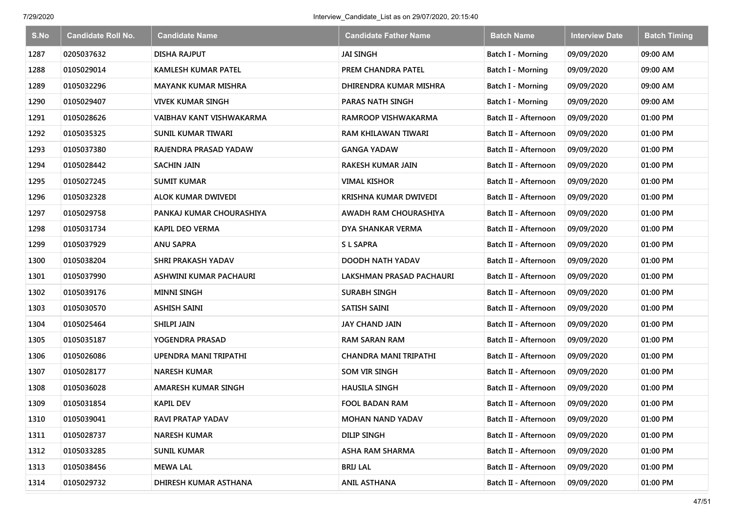| S.No | <b>Candidate Roll No.</b> | <b>Candidate Name</b>      | Candidate Father Name        | <b>Batch Name</b>    | <b>Interview Date</b> | <b>Batch Timing</b> |
|------|---------------------------|----------------------------|------------------------------|----------------------|-----------------------|---------------------|
| 1287 | 0205037632                | <b>DISHA RAJPUT</b>        | <b>JAI SINGH</b>             | Batch I - Morning    | 09/09/2020            | 09:00 AM            |
| 1288 | 0105029014                | <b>KAMLESH KUMAR PATEL</b> | PREM CHANDRA PATEL           | Batch I - Morning    | 09/09/2020            | 09:00 AM            |
| 1289 | 0105032296                | <b>MAYANK KUMAR MISHRA</b> | DHIRENDRA KUMAR MISHRA       | Batch I - Morning    | 09/09/2020            | 09:00 AM            |
| 1290 | 0105029407                | VIVEK KUMAR SINGH          | <b>PARAS NATH SINGH</b>      | Batch I - Morning    | 09/09/2020            | 09:00 AM            |
| 1291 | 0105028626                | VAIBHAV KANT VISHWAKARMA   | RAMROOP VISHWAKARMA          | Batch II - Afternoon | 09/09/2020            | 01:00 PM            |
| 1292 | 0105035325                | SUNIL KUMAR TIWARI         | RAM KHILAWAN TIWARI          | Batch II - Afternoon | 09/09/2020            | 01:00 PM            |
| 1293 | 0105037380                | RAJENDRA PRASAD YADAW      | GANGA YADAW                  | Batch II - Afternoon | 09/09/2020            | 01:00 PM            |
| 1294 | 0105028442                | <b>SACHIN JAIN</b>         | RAKESH KUMAR JAIN            | Batch II - Afternoon | 09/09/2020            | 01:00 PM            |
| 1295 | 0105027245                | <b>SUMIT KUMAR</b>         | <b>VIMAL KISHOR</b>          | Batch II - Afternoon | 09/09/2020            | 01:00 PM            |
| 1296 | 0105032328                | ALOK KUMAR DWIVEDI         | KRISHNA KUMAR DWIVEDI        | Batch II - Afternoon | 09/09/2020            | 01:00 PM            |
| 1297 | 0105029758                | PANKAJ KUMAR CHOURASHIYA   | AWADH RAM CHOURASHIYA        | Batch II - Afternoon | 09/09/2020            | 01:00 PM            |
| 1298 | 0105031734                | KAPIL DEO VERMA            | DYA SHANKAR VERMA            | Batch II - Afternoon | 09/09/2020            | 01:00 PM            |
| 1299 | 0105037929                | <b>ANU SAPRA</b>           | <b>SL SAPRA</b>              | Batch II - Afternoon | 09/09/2020            | 01:00 PM            |
| 1300 | 0105038204                | <b>SHRI PRAKASH YADAV</b>  | DOODH NATH YADAV             | Batch II - Afternoon | 09/09/2020            | 01:00 PM            |
| 1301 | 0105037990                | ASHWINI KUMAR PACHAURI     | LAKSHMAN PRASAD PACHAURI     | Batch II - Afternoon | 09/09/2020            | 01:00 PM            |
| 1302 | 0105039176                | <b>MINNI SINGH</b>         | <b>SURABH SINGH</b>          | Batch II - Afternoon | 09/09/2020            | 01:00 PM            |
| 1303 | 0105030570                | <b>ASHISH SAINI</b>        | SATISH SAINI                 | Batch II - Afternoon | 09/09/2020            | 01:00 PM            |
| 1304 | 0105025464                | <b>SHILPI JAIN</b>         | <b>JAY CHAND JAIN</b>        | Batch II - Afternoon | 09/09/2020            | 01:00 PM            |
| 1305 | 0105035187                | YOGENDRA PRASAD            | <b>RAM SARAN RAM</b>         | Batch II - Afternoon | 09/09/2020            | 01:00 PM            |
| 1306 | 0105026086                | UPENDRA MANI TRIPATHI      | <b>CHANDRA MANI TRIPATHI</b> | Batch II - Afternoon | 09/09/2020            | 01:00 PM            |
| 1307 | 0105028177                | <b>NARESH KUMAR</b>        | SOM VIR SINGH                | Batch II - Afternoon | 09/09/2020            | 01:00 PM            |
| 1308 | 0105036028                | AMARESH KUMAR SINGH        | <b>HAUSILA SINGH</b>         | Batch II - Afternoon | 09/09/2020            | 01:00 PM            |
| 1309 | 0105031854                | <b>KAPIL DEV</b>           | <b>FOOL BADAN RAM</b>        | Batch II - Afternoon | 09/09/2020            | 01:00 PM            |
| 1310 | 0105039041                | <b>RAVI PRATAP YADAV</b>   | <b>MOHAN NAND YADAV</b>      | Batch II - Afternoon | 09/09/2020            | 01:00 PM            |
| 1311 | 0105028737                | <b>NARESH KUMAR</b>        | <b>DILIP SINGH</b>           | Batch II - Afternoon | 09/09/2020            | 01:00 PM            |
| 1312 | 0105033285                | SUNIL KUMAR                | <b>ASHA RAM SHARMA</b>       | Batch II - Afternoon | 09/09/2020            | 01:00 PM            |
| 1313 | 0105038456                | <b>MEWA LAL</b>            | <b>BRIJ LAL</b>              | Batch II - Afternoon | 09/09/2020            | 01:00 PM            |
| 1314 | 0105029732                | DHIRESH KUMAR ASTHANA      | <b>ANIL ASTHANA</b>          | Batch II - Afternoon | 09/09/2020            | 01:00 PM            |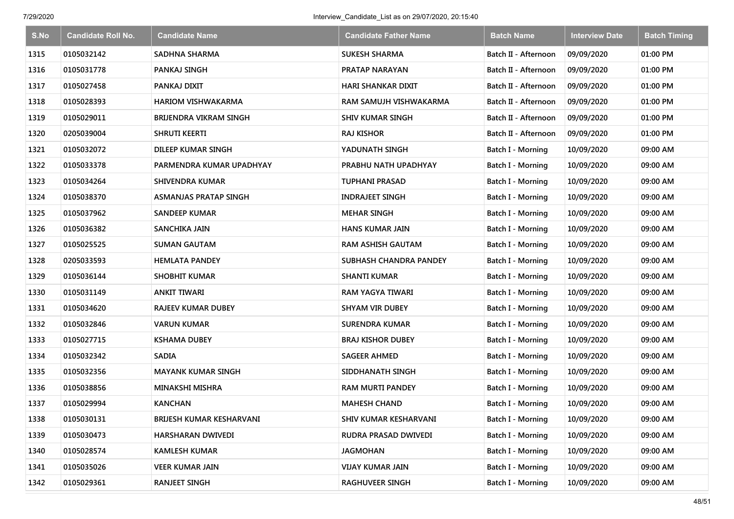| S.No | <b>Candidate Roll No.</b> | <b>Candidate Name</b>     | <b>Candidate Father Name</b> | <b>Batch Name</b>        | <b>Interview Date</b> | <b>Batch Timing</b> |
|------|---------------------------|---------------------------|------------------------------|--------------------------|-----------------------|---------------------|
| 1315 | 0105032142                | <b>SADHNA SHARMA</b>      | <b>SUKESH SHARMA</b>         | Batch II - Afternoon     | 09/09/2020            | 01:00 PM            |
| 1316 | 0105031778                | PANKAJ SINGH              | PRATAP NARAYAN               | Batch II - Afternoon     | 09/09/2020            | 01:00 PM            |
| 1317 | 0105027458                | PANKAJ DIXIT              | HARI SHANKAR DIXIT           | Batch II - Afternoon     | 09/09/2020            | 01:00 PM            |
| 1318 | 0105028393                | <b>HARIOM VISHWAKARMA</b> | RAM SAMUJH VISHWAKARMA       | Batch II - Afternoon     | 09/09/2020            | 01:00 PM            |
| 1319 | 0105029011                | BRIJENDRA VIKRAM SINGH    | <b>SHIV KUMAR SINGH</b>      | Batch II - Afternoon     | 09/09/2020            | 01:00 PM            |
| 1320 | 0205039004                | SHRUTI KEERTI             | <b>RAJ KISHOR</b>            | Batch II - Afternoon     | 09/09/2020            | 01:00 PM            |
| 1321 | 0105032072                | DILEEP KUMAR SINGH        | YADUNATH SINGH               | Batch I - Morning        | 10/09/2020            | 09:00 AM            |
| 1322 | 0105033378                | PARMENDRA KUMAR UPADHYAY  | PRABHU NATH UPADHYAY         | <b>Batch I - Morning</b> | 10/09/2020            | 09:00 AM            |
| 1323 | 0105034264                | SHIVENDRA KUMAR           | <b>TUPHANI PRASAD</b>        | Batch I - Morning        | 10/09/2020            | 09:00 AM            |
| 1324 | 0105038370                | ASMANJAS PRATAP SINGH     | <b>INDRAJEET SINGH</b>       | Batch I - Morning        | 10/09/2020            | 09:00 AM            |
| 1325 | 0105037962                | <b>SANDEEP KUMAR</b>      | <b>MEHAR SINGH</b>           | Batch I - Morning        | 10/09/2020            | 09:00 AM            |
| 1326 | 0105036382                | SANCHIKA JAIN             | <b>HANS KUMAR JAIN</b>       | <b>Batch I - Morning</b> | 10/09/2020            | 09:00 AM            |
| 1327 | 0105025525                | <b>SUMAN GAUTAM</b>       | <b>RAM ASHISH GAUTAM</b>     | Batch I - Morning        | 10/09/2020            | 09:00 AM            |
| 1328 | 0205033593                | <b>HEMLATA PANDEY</b>     | SUBHASH CHANDRA PANDEY       | <b>Batch I - Morning</b> | 10/09/2020            | 09:00 AM            |
| 1329 | 0105036144                | <b>SHOBHIT KUMAR</b>      | <b>SHANTI KUMAR</b>          | Batch I - Morning        | 10/09/2020            | 09:00 AM            |
| 1330 | 0105031149                | ANKIT TIWARI              | RAM YAGYA TIWARI             | Batch I - Morning        | 10/09/2020            | 09:00 AM            |
| 1331 | 0105034620                | <b>RAJEEV KUMAR DUBEY</b> | <b>SHYAM VIR DUBEY</b>       | Batch I - Morning        | 10/09/2020            | 09:00 AM            |
| 1332 | 0105032846                | <b>VARUN KUMAR</b>        | SURENDRA KUMAR               | Batch I - Morning        | 10/09/2020            | 09:00 AM            |
| 1333 | 0105027715                | <b>KSHAMA DUBEY</b>       | <b>BRAJ KISHOR DUBEY</b>     | Batch I - Morning        | 10/09/2020            | 09:00 AM            |
| 1334 | 0105032342                | <b>SADIA</b>              | <b>SAGEER AHMED</b>          | Batch I - Morning        | 10/09/2020            | 09:00 AM            |
| 1335 | 0105032356                | <b>MAYANK KUMAR SINGH</b> | SIDDHANATH SINGH             | Batch I - Morning        | 10/09/2020            | 09:00 AM            |
| 1336 | 0105038856                | <b>MINAKSHI MISHRA</b>    | <b>RAM MURTI PANDEY</b>      | Batch I - Morning        | 10/09/2020            | 09:00 AM            |
| 1337 | 0105029994                | <b>KANCHAN</b>            | <b>MAHESH CHAND</b>          | Batch I - Morning        | 10/09/2020            | 09:00 AM            |
| 1338 | 0105030131                | BRIJESH KUMAR KESHARVANI  | SHIV KUMAR KESHARVANI        | Batch I - Morning        | 10/09/2020            | 09:00 AM            |
| 1339 | 0105030473                | HARSHARAN DWIVEDI         | RUDRA PRASAD DWIVEDI         | Batch I - Morning        | 10/09/2020            | 09:00 AM            |
| 1340 | 0105028574                | <b>KAMLESH KUMAR</b>      | JAGMOHAN                     | Batch I - Morning        | 10/09/2020            | 09:00 AM            |
| 1341 | 0105035026                | <b>VEER KUMAR JAIN</b>    | <b>VIJAY KUMAR JAIN</b>      | Batch I - Morning        | 10/09/2020            | 09:00 AM            |
| 1342 | 0105029361                | <b>RANJEET SINGH</b>      | <b>RAGHUVEER SINGH</b>       | <b>Batch I - Morning</b> | 10/09/2020            | 09:00 AM            |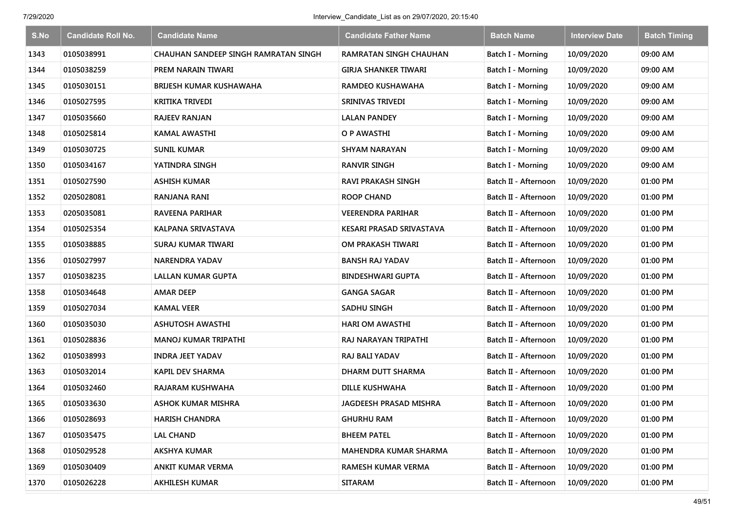| S.No | <b>Candidate Roll No.</b> | <b>Candidate Name</b>                | <b>Candidate Father Name</b>  | <b>Batch Name</b>        | <b>Interview Date</b> | <b>Batch Timing</b> |
|------|---------------------------|--------------------------------------|-------------------------------|--------------------------|-----------------------|---------------------|
| 1343 | 0105038991                | CHAUHAN SANDEEP SINGH RAMRATAN SINGH | <b>RAMRATAN SINGH CHAUHAN</b> | Batch I - Morning        | 10/09/2020            | 09:00 AM            |
| 1344 | 0105038259                | PREM NARAIN TIWARI                   | GIRJA SHANKER TIWARI          | Batch I - Morning        | 10/09/2020            | 09:00 AM            |
| 1345 | 0105030151                | BRIJESH KUMAR KUSHAWAHA              | <b>RAMDEO KUSHAWAHA</b>       | Batch I - Morning        | 10/09/2020            | 09:00 AM            |
| 1346 | 0105027595                | <b>KRITIKA TRIVEDI</b>               | SRINIVAS TRIVEDI              | Batch I - Morning        | 10/09/2020            | 09:00 AM            |
| 1347 | 0105035660                | <b>RAJEEV RANJAN</b>                 | <b>LALAN PANDEY</b>           | Batch I - Morning        | 10/09/2020            | 09:00 AM            |
| 1348 | 0105025814                | KAMAL AWASTHI                        | O P AWASTHI                   | <b>Batch I - Morning</b> | 10/09/2020            | 09:00 AM            |
| 1349 | 0105030725                | <b>SUNIL KUMAR</b>                   | <b>SHYAM NARAYAN</b>          | Batch I - Morning        | 10/09/2020            | 09:00 AM            |
| 1350 | 0105034167                | YATINDRA SINGH                       | <b>RANVIR SINGH</b>           | Batch I - Morning        | 10/09/2020            | 09:00 AM            |
| 1351 | 0105027590                | <b>ASHISH KUMAR</b>                  | <b>RAVI PRAKASH SINGH</b>     | Batch II - Afternoon     | 10/09/2020            | 01:00 PM            |
| 1352 | 0205028081                | RANJANA RANI                         | ROOP CHAND                    | Batch II - Afternoon     | 10/09/2020            | 01:00 PM            |
| 1353 | 0205035081                | <b>RAVEENA PARIHAR</b>               | <b>VEERENDRA PARIHAR</b>      | Batch II - Afternoon     | 10/09/2020            | 01:00 PM            |
| 1354 | 0105025354                | KALPANA SRIVASTAVA                   | KESARI PRASAD SRIVASTAVA      | Batch II - Afternoon     | 10/09/2020            | 01:00 PM            |
| 1355 | 0105038885                | <b>SURAJ KUMAR TIWARI</b>            | OM PRAKASH TIWARI             | Batch II - Afternoon     | 10/09/2020            | 01:00 PM            |
| 1356 | 0105027997                | <b>NARENDRA YADAV</b>                | <b>BANSH RAJ YADAV</b>        | Batch II - Afternoon     | 10/09/2020            | 01:00 PM            |
| 1357 | 0105038235                | <b>LALLAN KUMAR GUPTA</b>            | <b>BINDESHWARI GUPTA</b>      | Batch II - Afternoon     | 10/09/2020            | 01:00 PM            |
| 1358 | 0105034648                | <b>AMAR DEEP</b>                     | <b>GANGA SAGAR</b>            | Batch II - Afternoon     | 10/09/2020            | 01:00 PM            |
| 1359 | 0105027034                | <b>KAMAL VEER</b>                    | <b>SADHU SINGH</b>            | Batch II - Afternoon     | 10/09/2020            | 01:00 PM            |
| 1360 | 0105035030                | <b>ASHUTOSH AWASTHI</b>              | HARI OM AWASTHI               | Batch II - Afternoon     | 10/09/2020            | 01:00 PM            |
| 1361 | 0105028836                | <b>MANOJ KUMAR TRIPATHI</b>          | RAJ NARAYAN TRIPATHI          | Batch II - Afternoon     | 10/09/2020            | 01:00 PM            |
| 1362 | 0105038993                | <b>INDRA JEET YADAV</b>              | RAJ BALI YADAV                | Batch II - Afternoon     | 10/09/2020            | 01:00 PM            |
| 1363 | 0105032014                | <b>KAPIL DEV SHARMA</b>              | DHARM DUTT SHARMA             | Batch II - Afternoon     | 10/09/2020            | 01:00 PM            |
| 1364 | 0105032460                | RAJARAM KUSHWAHA                     | <b>DILLE KUSHWAHA</b>         | Batch II - Afternoon     | 10/09/2020            | 01:00 PM            |
| 1365 | 0105033630                | <b>ASHOK KUMAR MISHRA</b>            | <b>JAGDEESH PRASAD MISHRA</b> | Batch II - Afternoon     | 10/09/2020            | 01:00 PM            |
| 1366 | 0105028693                | <b>HARISH CHANDRA</b>                | <b>GHURHU RAM</b>             | Batch II - Afternoon     | 10/09/2020            | 01:00 PM            |
| 1367 | 0105035475                | <b>LAL CHAND</b>                     | <b>BHEEM PATEL</b>            | Batch II - Afternoon     | 10/09/2020            | 01:00 PM            |
| 1368 | 0105029528                | <b>AKSHYA KUMAR</b>                  | <b>MAHENDRA KUMAR SHARMA</b>  | Batch II - Afternoon     | 10/09/2020            | 01:00 PM            |
| 1369 | 0105030409                | <b>ANKIT KUMAR VERMA</b>             | <b>RAMESH KUMAR VERMA</b>     | Batch II - Afternoon     | 10/09/2020            | 01:00 PM            |
| 1370 | 0105026228                | <b>AKHILESH KUMAR</b>                | <b>SITARAM</b>                | Batch II - Afternoon     | 10/09/2020            | 01:00 PM            |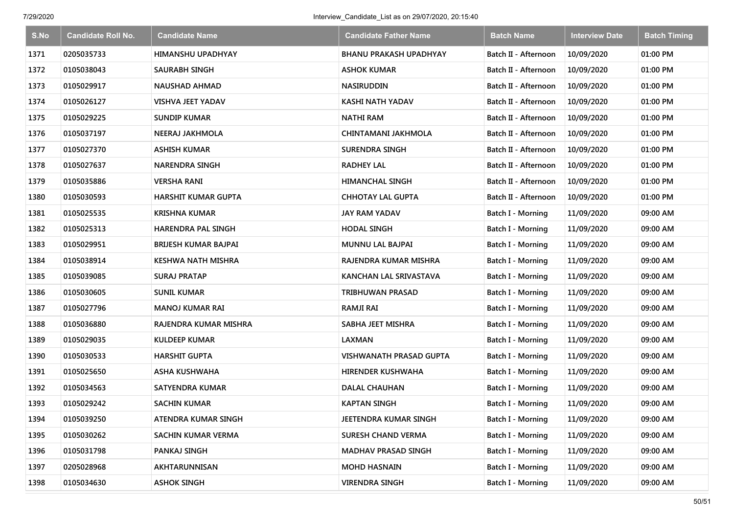| S.No | <b>Candidate Roll No.</b> | <b>Candidate Name</b>       | <b>Candidate Father Name</b>   | <b>Batch Name</b>        | <b>Interview Date</b> | <b>Batch Timing</b> |
|------|---------------------------|-----------------------------|--------------------------------|--------------------------|-----------------------|---------------------|
| 1371 | 0205035733                | HIMANSHU UPADHYAY           | <b>BHANU PRAKASH UPADHYAY</b>  | Batch II - Afternoon     | 10/09/2020            | 01:00 PM            |
| 1372 | 0105038043                | <b>SAURABH SINGH</b>        | <b>ASHOK KUMAR</b>             | Batch II - Afternoon     | 10/09/2020            | 01:00 PM            |
| 1373 | 0105029917                | <b>NAUSHAD AHMAD</b>        | <b>NASIRUDDIN</b>              | Batch II - Afternoon     | 10/09/2020            | 01:00 PM            |
| 1374 | 0105026127                | VISHVA JEET YADAV           | KASHI NATH YADAV               | Batch II - Afternoon     | 10/09/2020            | 01:00 PM            |
| 1375 | 0105029225                | <b>SUNDIP KUMAR</b>         | <b>NATHI RAM</b>               | Batch II - Afternoon     | 10/09/2020            | 01:00 PM            |
| 1376 | 0105037197                | NEERAJ JAKHMOLA             | CHINTAMANI JAKHMOLA            | Batch II - Afternoon     | 10/09/2020            | 01:00 PM            |
| 1377 | 0105027370                | <b>ASHISH KUMAR</b>         | <b>SURENDRA SINGH</b>          | Batch II - Afternoon     | 10/09/2020            | 01:00 PM            |
| 1378 | 0105027637                | <b>NARENDRA SINGH</b>       | <b>RADHEY LAL</b>              | Batch II - Afternoon     | 10/09/2020            | 01:00 PM            |
| 1379 | 0105035886                | <b>VERSHA RANI</b>          | <b>HIMANCHAL SINGH</b>         | Batch II - Afternoon     | 10/09/2020            | 01:00 PM            |
| 1380 | 0105030593                | <b>HARSHIT KUMAR GUPTA</b>  | <b>CHHOTAY LAL GUPTA</b>       | Batch II - Afternoon     | 10/09/2020            | 01:00 PM            |
| 1381 | 0105025535                | <b>KRISHNA KUMAR</b>        | <b>JAY RAM YADAV</b>           | Batch I - Morning        | 11/09/2020            | 09:00 AM            |
| 1382 | 0105025313                | HARENDRA PAL SINGH          | <b>HODAL SINGH</b>             | <b>Batch I - Morning</b> | 11/09/2020            | 09:00 AM            |
| 1383 | 0105029951                | <b>BRIJESH KUMAR BAJPAI</b> | <b>MUNNU LAL BAJPAI</b>        | Batch I - Morning        | 11/09/2020            | 09:00 AM            |
| 1384 | 0105038914                | <b>KESHWA NATH MISHRA</b>   | RAJENDRA KUMAR MISHRA          | <b>Batch I - Morning</b> | 11/09/2020            | 09:00 AM            |
| 1385 | 0105039085                | <b>SURAJ PRATAP</b>         | KANCHAN LAL SRIVASTAVA         | Batch I - Morning        | 11/09/2020            | 09:00 AM            |
| 1386 | 0105030605                | <b>SUNIL KUMAR</b>          | TRIBHUWAN PRASAD               | Batch I - Morning        | 11/09/2020            | 09:00 AM            |
| 1387 | 0105027796                | <b>MANOJ KUMAR RAI</b>      | RAMJI RAI                      | <b>Batch I - Morning</b> | 11/09/2020            | 09:00 AM            |
| 1388 | 0105036880                | RAJENDRA KUMAR MISHRA       | SABHA JEET MISHRA              | Batch I - Morning        | 11/09/2020            | 09:00 AM            |
| 1389 | 0105029035                | <b>KULDEEP KUMAR</b>        | LAXMAN                         | Batch I - Morning        | 11/09/2020            | 09:00 AM            |
| 1390 | 0105030533                | <b>HARSHIT GUPTA</b>        | <b>VISHWANATH PRASAD GUPTA</b> | Batch I - Morning        | 11/09/2020            | 09:00 AM            |
| 1391 | 0105025650                | <b>ASHA KUSHWAHA</b>        | <b>HIRENDER KUSHWAHA</b>       | Batch I - Morning        | 11/09/2020            | 09:00 AM            |
| 1392 | 0105034563                | <b>SATYENDRA KUMAR</b>      | <b>DALAL CHAUHAN</b>           | Batch I - Morning        | 11/09/2020            | 09:00 AM            |
| 1393 | 0105029242                | <b>SACHIN KUMAR</b>         | <b>KAPTAN SINGH</b>            | Batch I - Morning        | 11/09/2020            | 09:00 AM            |
| 1394 | 0105039250                | ATENDRA KUMAR SINGH         | JEETENDRA KUMAR SINGH          | Batch I - Morning        | 11/09/2020            | 09:00 AM            |
| 1395 | 0105030262                | SACHIN KUMAR VERMA          | <b>SURESH CHAND VERMA</b>      | Batch I - Morning        | 11/09/2020            | 09:00 AM            |
| 1396 | 0105031798                | PANKAJ SINGH                | <b>MADHAV PRASAD SINGH</b>     | Batch I - Morning        | 11/09/2020            | 09:00 AM            |
| 1397 | 0205028968                | AKHTARUNNISAN               | <b>MOHD HASNAIN</b>            | Batch I - Morning        | 11/09/2020            | 09:00 AM            |
| 1398 | 0105034630                | <b>ASHOK SINGH</b>          | <b>VIRENDRA SINGH</b>          | <b>Batch I - Morning</b> | 11/09/2020            | 09:00 AM            |